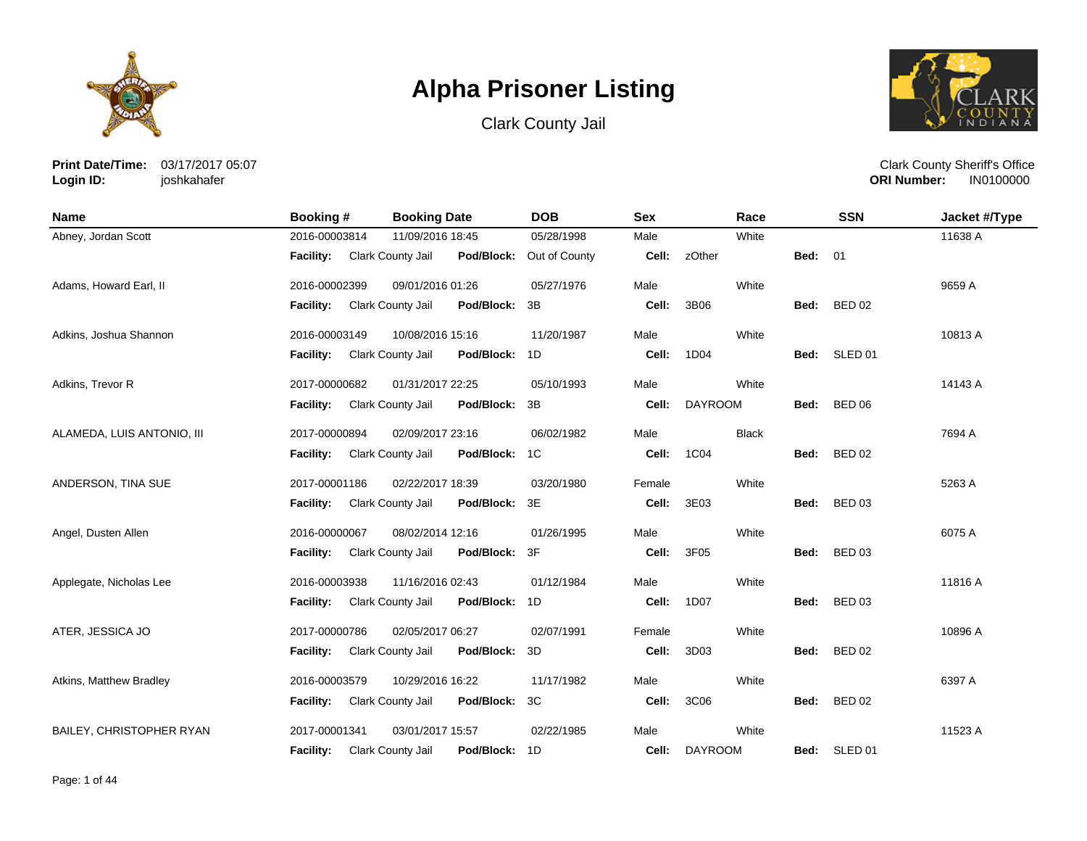





**Print Date/Time:** 03/17/2017 05:07 **Login ID:** joshkahafer

| <b>Name</b>                | Booking #        | <b>Booking Date</b>             | <b>DOB</b>     | <b>Sex</b> | Race           |      | <b>SSN</b>         | Jacket #/Type |
|----------------------------|------------------|---------------------------------|----------------|------------|----------------|------|--------------------|---------------|
| Abney, Jordan Scott        | 2016-00003814    | 11/09/2016 18:45                | 05/28/1998     | Male       | White          |      |                    | 11638 A       |
|                            | <b>Facility:</b> | Clark County Jail<br>Pod/Block: | Out of County  | Cell:      | zOther         | Bed: | - 01               |               |
| Adams, Howard Earl, II     | 2016-00002399    | 09/01/2016 01:26                | 05/27/1976     | Male       | White          |      |                    | 9659 A        |
|                            | <b>Facility:</b> | Clark County Jail<br>Pod/Block: | 3B             | Cell:      | 3B06           | Bed: | <b>BED 02</b>      |               |
| Adkins, Joshua Shannon     | 2016-00003149    | 10/08/2016 15:16                | 11/20/1987     | Male       | White          |      |                    | 10813 A       |
|                            | Facility:        | Clark County Jail<br>Pod/Block: | 1D             | Cell:      | 1D04           | Bed: | SLED <sub>01</sub> |               |
| Adkins, Trevor R           | 2017-00000682    | 01/31/2017 22:25                | 05/10/1993     | Male       | White          |      |                    | 14143 A       |
|                            | <b>Facility:</b> | Clark County Jail<br>Pod/Block: | 3B             | Cell:      | <b>DAYROOM</b> | Bed: | <b>BED 06</b>      |               |
| ALAMEDA, LUIS ANTONIO, III | 2017-00000894    | 02/09/2017 23:16                | 06/02/1982     | Male       | <b>Black</b>   |      |                    | 7694 A        |
|                            | Facility:        | Clark County Jail<br>Pod/Block: | 1 <sup>C</sup> | Cell:      | 1C04           | Bed: | <b>BED 02</b>      |               |
| ANDERSON, TINA SUE         | 2017-00001186    | 02/22/2017 18:39                | 03/20/1980     | Female     | White          |      |                    | 5263 A        |
|                            | <b>Facility:</b> | Pod/Block:<br>Clark County Jail | 3E             | Cell:      | 3E03           | Bed: | <b>BED 03</b>      |               |
| Angel, Dusten Allen        | 2016-00000067    | 08/02/2014 12:16                | 01/26/1995     | Male       | White          |      |                    | 6075 A        |
|                            | <b>Facility:</b> | Pod/Block:<br>Clark County Jail | 3F             | Cell:      | 3F05           | Bed: | <b>BED 03</b>      |               |
| Applegate, Nicholas Lee    | 2016-00003938    | 11/16/2016 02:43                | 01/12/1984     | Male       | White          |      |                    | 11816 A       |
|                            | <b>Facility:</b> | Clark County Jail<br>Pod/Block: | 1D             | Cell:      | 1D07           | Bed: | <b>BED 03</b>      |               |
| ATER, JESSICA JO           | 2017-00000786    | 02/05/2017 06:27                | 02/07/1991     | Female     | White          |      |                    | 10896 A       |
|                            | <b>Facility:</b> | Pod/Block:<br>Clark County Jail | 3D             | Cell:      | 3D03           | Bed: | <b>BED 02</b>      |               |
| Atkins, Matthew Bradley    | 2016-00003579    | 10/29/2016 16:22                | 11/17/1982     | Male       | White          |      |                    | 6397 A        |
|                            | Facility:        | Clark County Jail<br>Pod/Block: | 3C             | Cell:      | 3C06           | Bed: | <b>BED 02</b>      |               |
| BAILEY, CHRISTOPHER RYAN   | 2017-00001341    | 03/01/2017 15:57                | 02/22/1985     | Male       | White          |      |                    | 11523 A       |
|                            | <b>Facility:</b> | Clark County Jail<br>Pod/Block: | 1D             | Cell:      | <b>DAYROOM</b> | Bed: | SLED 01            |               |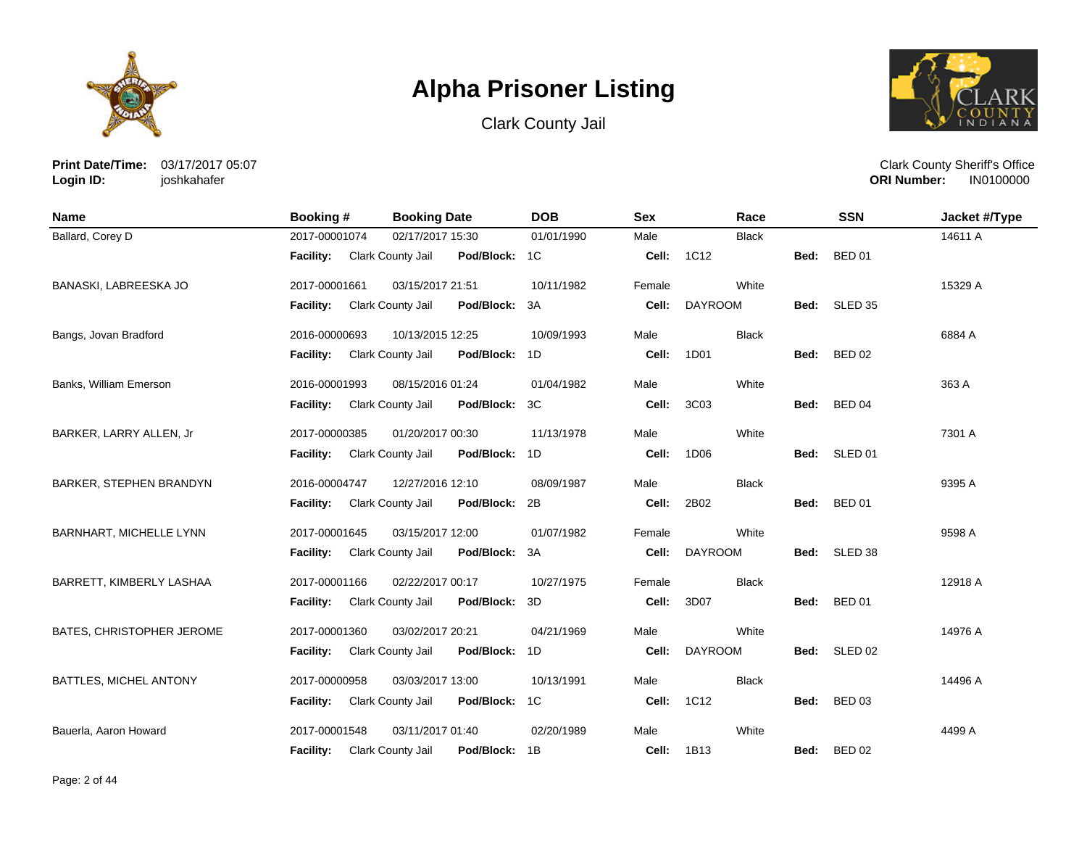





**Print Date/Time:** 03/17/2017 05:07 **Login ID:** joshkahafer

| Name                      | Booking #        | <b>Booking Date</b>                       | <b>DOB</b> | <b>Sex</b> | Race           |      | <b>SSN</b>    | Jacket #/Type |
|---------------------------|------------------|-------------------------------------------|------------|------------|----------------|------|---------------|---------------|
| Ballard, Corey D          | 2017-00001074    | 02/17/2017 15:30                          | 01/01/1990 | Male       | <b>Black</b>   |      |               | 14611 A       |
|                           | <b>Facility:</b> | Clark County Jail<br>Pod/Block: 1C        |            | Cell:      | 1C12           | Bed: | <b>BED 01</b> |               |
| BANASKI, LABREESKA JO     | 2017-00001661    | 03/15/2017 21:51                          | 10/11/1982 | Female     | White          |      |               | 15329 A       |
|                           | <b>Facility:</b> | <b>Clark County Jail</b><br>Pod/Block: 3A |            | Cell:      | <b>DAYROOM</b> | Bed: | SLED 35       |               |
| Bangs, Jovan Bradford     | 2016-00000693    | 10/13/2015 12:25                          | 10/09/1993 | Male       | <b>Black</b>   |      |               | 6884 A        |
|                           | <b>Facility:</b> | Clark County Jail<br>Pod/Block: 1D        |            | Cell:      | 1D01           | Bed: | <b>BED 02</b> |               |
| Banks, William Emerson    | 2016-00001993    | 08/15/2016 01:24                          | 01/04/1982 | Male       | White          |      |               | 363 A         |
|                           | <b>Facility:</b> | Clark County Jail<br>Pod/Block: 3C        |            | Cell:      | 3C03           | Bed: | <b>BED 04</b> |               |
| BARKER, LARRY ALLEN, Jr   | 2017-00000385    | 01/20/2017 00:30                          | 11/13/1978 | Male       | White          |      |               | 7301 A        |
|                           | <b>Facility:</b> | Pod/Block: 1D<br>Clark County Jail        |            | Cell:      | 1D06           |      | Bed: SLED 01  |               |
| BARKER, STEPHEN BRANDYN   | 2016-00004747    | 12/27/2016 12:10                          | 08/09/1987 | Male       | <b>Black</b>   |      |               | 9395 A        |
|                           | <b>Facility:</b> | <b>Clark County Jail</b><br>Pod/Block: 2B |            | Cell:      | 2B02           | Bed: | <b>BED 01</b> |               |
| BARNHART, MICHELLE LYNN   | 2017-00001645    | 03/15/2017 12:00                          | 01/07/1982 | Female     | White          |      |               | 9598 A        |
|                           | <b>Facility:</b> | Clark County Jail<br>Pod/Block: 3A        |            | Cell:      | <b>DAYROOM</b> | Bed: | SLED 38       |               |
| BARRETT, KIMBERLY LASHAA  | 2017-00001166    | 02/22/2017 00:17                          | 10/27/1975 | Female     | <b>Black</b>   |      |               | 12918 A       |
|                           | <b>Facility:</b> | Clark County Jail<br>Pod/Block: 3D        |            | Cell:      | 3D07           | Bed: | <b>BED 01</b> |               |
| BATES, CHRISTOPHER JEROME | 2017-00001360    | 03/02/2017 20:21                          | 04/21/1969 | Male       | White          |      |               | 14976 A       |
|                           | <b>Facility:</b> | <b>Clark County Jail</b><br>Pod/Block: 1D |            | Cell:      | <b>DAYROOM</b> | Bed: | SLED 02       |               |
| BATTLES, MICHEL ANTONY    | 2017-00000958    | 03/03/2017 13:00                          | 10/13/1991 | Male       | <b>Black</b>   |      |               | 14496 A       |
|                           | Facility:        | Clark County Jail<br>Pod/Block: 1C        |            | Cell:      | 1C12           | Bed: | <b>BED 03</b> |               |
| Bauerla, Aaron Howard     | 2017-00001548    | 03/11/2017 01:40                          | 02/20/1989 | Male       | White          |      |               | 4499 A        |
|                           | <b>Facility:</b> | Pod/Block: 1B<br>Clark County Jail        |            | Cell:      | 1B13           | Bed: | <b>BED 02</b> |               |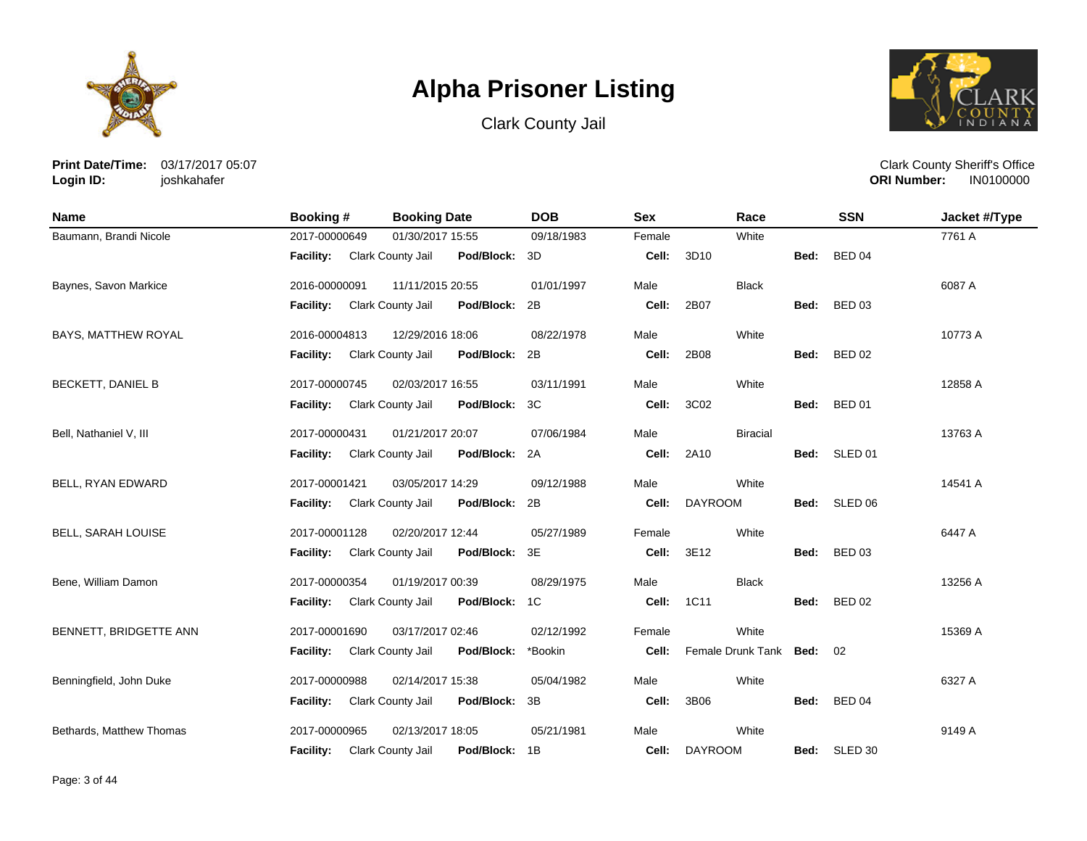





**Print Date/Time:** 03/17/2017 05:07 **Login ID:** joshkahafer

| <b>Name</b>              | Booking #                          | <b>Booking Date</b>                | <b>DOB</b> | <b>Sex</b> | Race                   |      | <b>SSN</b>    | Jacket #/Type |
|--------------------------|------------------------------------|------------------------------------|------------|------------|------------------------|------|---------------|---------------|
| Baumann, Brandi Nicole   | 2017-00000649                      | 01/30/2017 15:55                   | 09/18/1983 | Female     | White                  |      |               | 7761 A        |
|                          | <b>Facility:</b> Clark County Jail | Pod/Block:                         | 3D         | Cell:      | 3D10                   | Bed: | <b>BED 04</b> |               |
| Baynes, Savon Markice    | 2016-00000091                      | 11/11/2015 20:55                   | 01/01/1997 | Male       | <b>Black</b>           |      |               | 6087 A        |
|                          | <b>Facility:</b>                   | Clark County Jail<br>Pod/Block:    | 2B         | Cell:      | 2B07                   | Bed: | <b>BED 03</b> |               |
| BAYS, MATTHEW ROYAL      | 2016-00004813                      | 12/29/2016 18:06                   | 08/22/1978 | Male       | White                  |      |               | 10773 A       |
|                          | <b>Facility:</b>                   | Clark County Jail<br>Pod/Block:    | 2B         | Cell:      | 2B08                   | Bed: | <b>BED 02</b> |               |
| <b>BECKETT, DANIEL B</b> | 2017-00000745                      | 02/03/2017 16:55                   | 03/11/1991 | Male       | White                  |      |               | 12858 A       |
|                          | <b>Facility:</b>                   | Clark County Jail<br>Pod/Block:    | ЗC         | Cell:      | 3C02                   | Bed: | <b>BED 01</b> |               |
| Bell, Nathaniel V, III   | 2017-00000431                      | 01/21/2017 20:07                   | 07/06/1984 | Male       | <b>Biracial</b>        |      |               | 13763 A       |
|                          | <b>Facility:</b>                   | Clark County Jail<br>Pod/Block:    | 2A         | Cell:      | 2A10                   | Bed: | SLED 01       |               |
| BELL, RYAN EDWARD        | 2017-00001421                      | 03/05/2017 14:29                   | 09/12/1988 | Male       | White                  |      |               | 14541 A       |
|                          | <b>Facility:</b>                   | Clark County Jail<br>Pod/Block:    | 2B         | Cell:      | <b>DAYROOM</b>         | Bed: | SLED 06       |               |
| BELL, SARAH LOUISE       | 2017-00001128                      | 02/20/2017 12:44                   | 05/27/1989 | Female     | White                  |      |               | 6447 A        |
|                          | Facility:                          | Clark County Jail<br>Pod/Block:    | 3E         | Cell:      | 3E12                   | Bed: | <b>BED 03</b> |               |
| Bene, William Damon      | 2017-00000354                      | 01/19/2017 00:39                   | 08/29/1975 | Male       | <b>Black</b>           |      |               | 13256 A       |
|                          | <b>Facility:</b>                   | Clark County Jail<br>Pod/Block:    | 1C         | Cell:      | 1C11                   | Bed: | <b>BED 02</b> |               |
| BENNETT, BRIDGETTE ANN   | 2017-00001690                      | 03/17/2017 02:46                   | 02/12/1992 | Female     | White                  |      |               | 15369 A       |
|                          | <b>Facility:</b>                   | Clark County Jail<br>Pod/Block:    | *Bookin    | Cell:      | Female Drunk Tank Bed: |      | 02            |               |
| Benningfield, John Duke  | 2017-00000988                      | 02/14/2017 15:38                   | 05/04/1982 | Male       | White                  |      |               | 6327 A        |
|                          | <b>Facility:</b>                   | Clark County Jail<br>Pod/Block:    | 3B         | Cell:      | 3B06                   | Bed: | <b>BED 04</b> |               |
| Bethards, Matthew Thomas | 2017-00000965                      | 02/13/2017 18:05                   | 05/21/1981 | Male       | White                  |      |               | 9149 A        |
|                          | <b>Facility:</b>                   | Pod/Block: 1B<br>Clark County Jail |            |            | Cell: DAYROOM          |      | Bed: SLED 30  |               |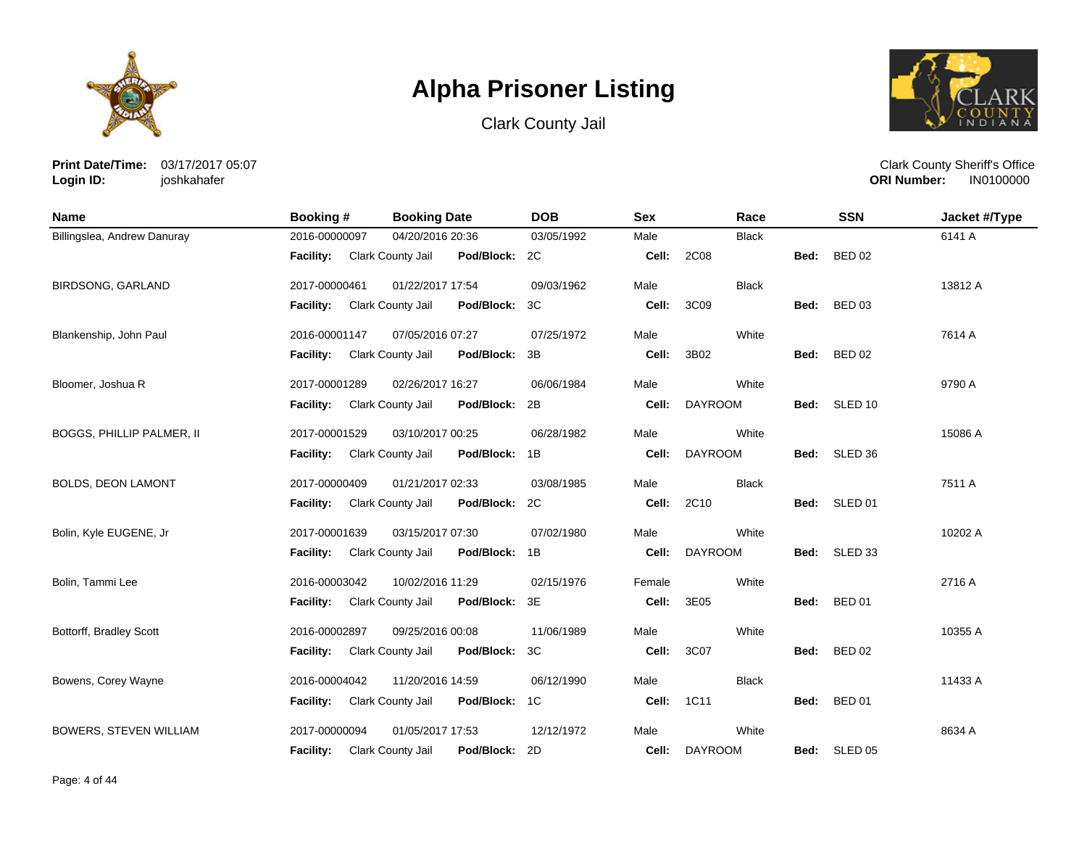





**Print Date/Time:** 03/17/2017 05:07 **Login ID:** joshkahafer

| <b>Name</b>                   | Booking #        | <b>Booking Date</b>                | <b>DOB</b> | <b>Sex</b> | Race           |      | <b>SSN</b>         | Jacket #/Type |
|-------------------------------|------------------|------------------------------------|------------|------------|----------------|------|--------------------|---------------|
| Billingslea, Andrew Danuray   | 2016-00000097    | 04/20/2016 20:36                   | 03/05/1992 | Male       | <b>Black</b>   |      |                    | 6141 A        |
|                               | <b>Facility:</b> | Clark County Jail<br>Pod/Block: 2C |            | Cell:      | 2C08           | Bed: | <b>BED 02</b>      |               |
| <b>BIRDSONG, GARLAND</b>      | 2017-00000461    | 01/22/2017 17:54                   | 09/03/1962 | Male       | <b>Black</b>   |      |                    | 13812 A       |
|                               | <b>Facility:</b> | Clark County Jail<br>Pod/Block:    | 3C         | Cell:      | 3C09           | Bed: | <b>BED 03</b>      |               |
| Blankenship, John Paul        | 2016-00001147    | 07/05/2016 07:27                   | 07/25/1972 | Male       | White          |      |                    | 7614 A        |
|                               | <b>Facility:</b> | Clark County Jail<br>Pod/Block:    | 3B         | Cell:      | 3B02           | Bed: | <b>BED 02</b>      |               |
| Bloomer, Joshua R             | 2017-00001289    | 02/26/2017 16:27                   | 06/06/1984 | Male       | White          |      |                    | 9790 A        |
|                               | <b>Facility:</b> | Clark County Jail<br>Pod/Block:    | 2B         | Cell:      | <b>DAYROOM</b> | Bed: | SLED <sub>10</sub> |               |
| BOGGS, PHILLIP PALMER, II     | 2017-00001529    | 03/10/2017 00:25                   | 06/28/1982 | Male       | White          |      |                    | 15086 A       |
|                               | <b>Facility:</b> | Clark County Jail<br>Pod/Block:    | 1B         | Cell:      | <b>DAYROOM</b> | Bed: | SLED <sub>36</sub> |               |
| <b>BOLDS, DEON LAMONT</b>     | 2017-00000409    | 01/21/2017 02:33                   | 03/08/1985 | Male       | <b>Black</b>   |      |                    | 7511 A        |
|                               | Facility:        | Clark County Jail<br>Pod/Block:    | 2C         | Cell:      | 2C10           | Bed: | SLED <sub>01</sub> |               |
| Bolin, Kyle EUGENE, Jr        | 2017-00001639    | 03/15/2017 07:30                   | 07/02/1980 | Male       | White          |      |                    | 10202 A       |
|                               | Facility:        | Clark County Jail<br>Pod/Block:    | 1B         | Cell:      | <b>DAYROOM</b> | Bed: | SLED 33            |               |
| Bolin, Tammi Lee              | 2016-00003042    | 10/02/2016 11:29                   | 02/15/1976 | Female     | White          |      |                    | 2716 A        |
|                               | <b>Facility:</b> | Clark County Jail<br>Pod/Block:    | 3E         | Cell:      | 3E05           | Bed: | <b>BED 01</b>      |               |
| Bottorff, Bradley Scott       | 2016-00002897    | 09/25/2016 00:08                   | 11/06/1989 | Male       | White          |      |                    | 10355 A       |
|                               | <b>Facility:</b> | Clark County Jail<br>Pod/Block:    | 3C         | Cell:      | 3C07           | Bed: | <b>BED 02</b>      |               |
| Bowens, Corey Wayne           | 2016-00004042    | 11/20/2016 14:59                   | 06/12/1990 | Male       | <b>Black</b>   |      |                    | 11433 A       |
|                               | Facility:        | Clark County Jail<br>Pod/Block:    | 1C         | Cell:      | 1C11           | Bed: | <b>BED 01</b>      |               |
| <b>BOWERS, STEVEN WILLIAM</b> | 2017-00000094    | 01/05/2017 17:53                   | 12/12/1972 | Male       | White          |      |                    | 8634 A        |
|                               | <b>Facility:</b> | Pod/Block:<br>Clark County Jail    | 2D         | Cell:      | <b>DAYROOM</b> | Bed: | SLED <sub>05</sub> |               |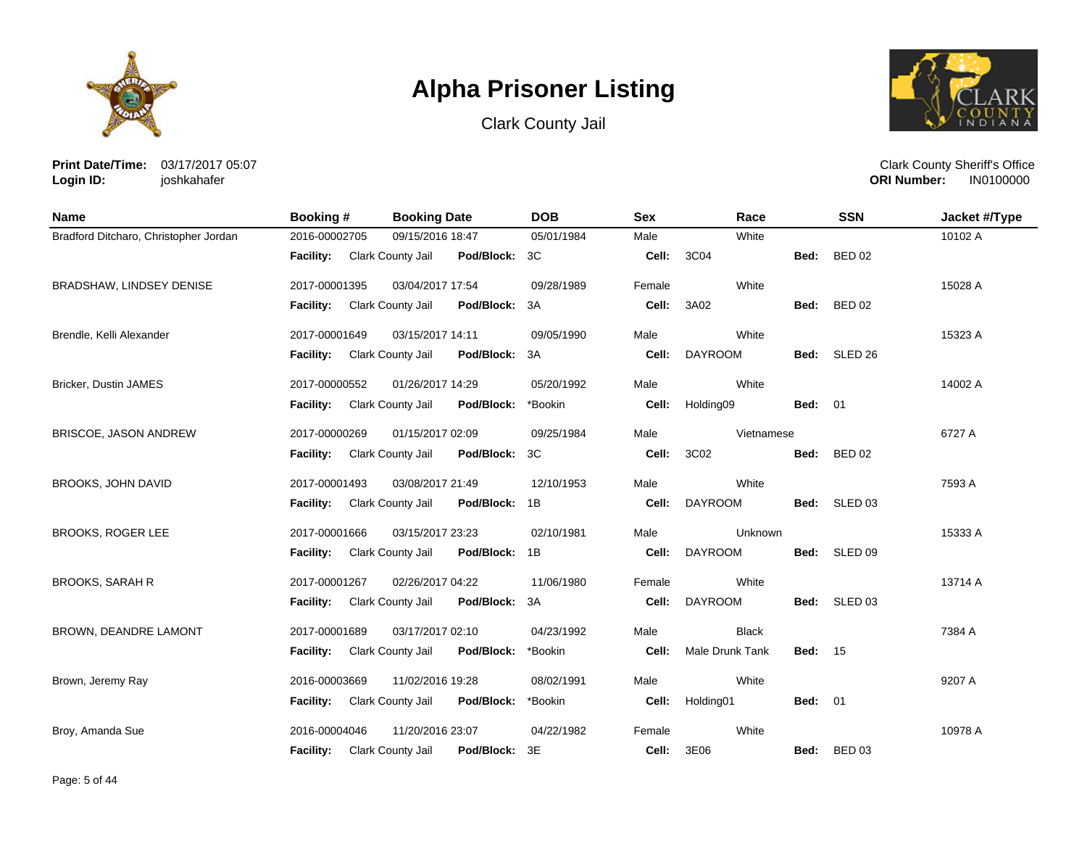





**Print Date/Time:** 03/17/2017 05:07 **Login ID:** joshkahafer

| <b>Name</b>                           | <b>Booking#</b>  | <b>Booking Date</b>                | <b>DOB</b> | <b>Sex</b> | Race            |                | <b>SSN</b>    | Jacket #/Type |
|---------------------------------------|------------------|------------------------------------|------------|------------|-----------------|----------------|---------------|---------------|
| Bradford Ditcharo, Christopher Jordan | 2016-00002705    | 09/15/2016 18:47                   | 05/01/1984 | Male       | White           |                |               | 10102 A       |
|                                       | <b>Facility:</b> | Clark County Jail<br>Pod/Block:    | 3C         | Cell:      | 3C04            | Bed:           | <b>BED 02</b> |               |
| BRADSHAW, LINDSEY DENISE              | 2017-00001395    | 03/04/2017 17:54                   | 09/28/1989 | Female     | White           |                |               | 15028 A       |
|                                       | <b>Facility:</b> | Clark County Jail<br>Pod/Block:    | 3A         | Cell:      | 3A02            |                | Bed: BED 02   |               |
| Brendle, Kelli Alexander              | 2017-00001649    | 03/15/2017 14:11                   | 09/05/1990 | Male       | White           |                |               | 15323 A       |
|                                       | <b>Facility:</b> | Clark County Jail<br>Pod/Block:    | 3A         | Cell:      | <b>DAYROOM</b>  | Bed:           | SLED 26       |               |
| Bricker, Dustin JAMES                 | 2017-00000552    | 01/26/2017 14:29                   | 05/20/1992 | Male       | White           |                |               | 14002 A       |
|                                       | <b>Facility:</b> | Clark County Jail<br>Pod/Block:    | *Bookin    | Cell:      | Holding09       | <b>Bed: 01</b> |               |               |
| BRISCOE, JASON ANDREW                 | 2017-00000269    | 01/15/2017 02:09                   | 09/25/1984 | Male       | Vietnamese      |                |               | 6727 A        |
|                                       | <b>Facility:</b> | Clark County Jail<br>Pod/Block:    | ЗC         | Cell:      | 3C02            | Bed:           | <b>BED 02</b> |               |
| <b>BROOKS, JOHN DAVID</b>             | 2017-00001493    | 03/08/2017 21:49                   | 12/10/1953 | Male       | White           |                |               | 7593 A        |
|                                       | <b>Facility:</b> | Clark County Jail<br>Pod/Block: 1B |            | Cell:      | <b>DAYROOM</b>  | Bed:           | SLED 03       |               |
| <b>BROOKS, ROGER LEE</b>              | 2017-00001666    | 03/15/2017 23:23                   | 02/10/1981 | Male       | Unknown         |                |               | 15333 A       |
|                                       | <b>Facility:</b> | Clark County Jail<br>Pod/Block: 1B |            | Cell:      | <b>DAYROOM</b>  |                | Bed: SLED 09  |               |
| <b>BROOKS, SARAH R</b>                | 2017-00001267    | 02/26/2017 04:22                   | 11/06/1980 | Female     | White           |                |               | 13714 A       |
|                                       | Facility:        | Clark County Jail<br>Pod/Block:    | 3A         | Cell:      | <b>DAYROOM</b>  |                | Bed: SLED 03  |               |
| <b>BROWN, DEANDRE LAMONT</b>          | 2017-00001689    | 03/17/2017 02:10                   | 04/23/1992 | Male       | <b>Black</b>    |                |               | 7384 A        |
|                                       | <b>Facility:</b> | Clark County Jail<br>Pod/Block:    | *Bookin    | Cell:      | Male Drunk Tank | <b>Bed: 15</b> |               |               |
| Brown, Jeremy Ray                     | 2016-00003669    | 11/02/2016 19:28                   | 08/02/1991 | Male       | White           |                |               | 9207 A        |
|                                       | <b>Facility:</b> | Clark County Jail<br>Pod/Block:    | *Bookin    | Cell:      | Holding01       | <b>Bed: 01</b> |               |               |
| Broy, Amanda Sue                      | 2016-00004046    | 11/20/2016 23:07                   | 04/22/1982 | Female     | White           |                |               | 10978 A       |
|                                       | <b>Facility:</b> | Clark County Jail<br>Pod/Block: 3E |            | Cell:      | 3E06            |                | Bed: BED 03   |               |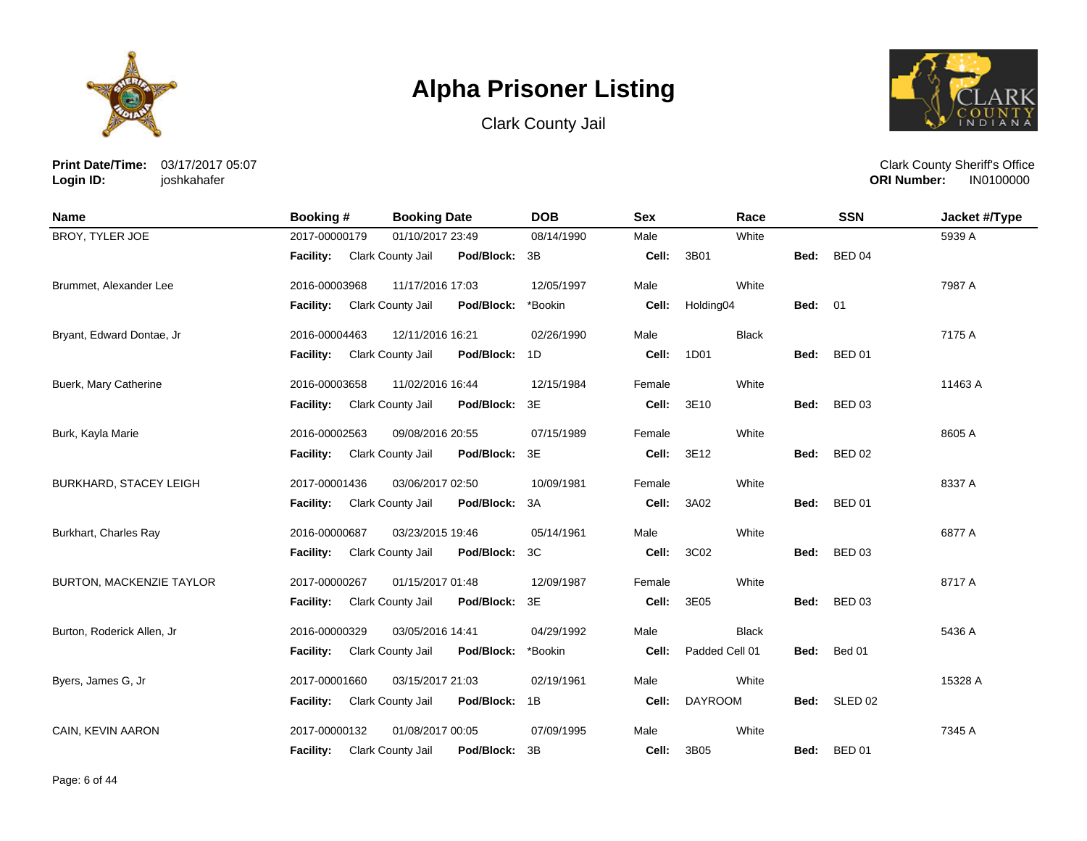





**Print Date/Time:** 03/17/2017 05:07 **Login ID:** joshkahafer

| <b>Name</b>                   | <b>Booking#</b>  | <b>Booking Date</b>                    | <b>DOB</b> | <b>Sex</b> | Race           |                | <b>SSN</b>         | Jacket #/Type |
|-------------------------------|------------------|----------------------------------------|------------|------------|----------------|----------------|--------------------|---------------|
| BROY, TYLER JOE               | 2017-00000179    | 01/10/2017 23:49                       | 08/14/1990 | Male       | White          |                |                    | 5939 A        |
|                               | <b>Facility:</b> | Pod/Block:<br>Clark County Jail        | 3B         | Cell:      | 3B01           | Bed:           | <b>BED 04</b>      |               |
| Brummet, Alexander Lee        | 2016-00003968    | 11/17/2016 17:03                       | 12/05/1997 | Male       | White          |                |                    | 7987 A        |
|                               | <b>Facility:</b> | Clark County Jail<br>Pod/Block:        | *Bookin    | Cell:      | Holding04      | <b>Bed: 01</b> |                    |               |
| Bryant, Edward Dontae, Jr     | 2016-00004463    | 12/11/2016 16:21                       | 02/26/1990 | Male       | <b>Black</b>   |                |                    | 7175 A        |
|                               | <b>Facility:</b> | Clark County Jail<br>Pod/Block:        | 1D         | Cell:      | 1D01           | Bed:           | <b>BED 01</b>      |               |
| Buerk, Mary Catherine         | 2016-00003658    | 11/02/2016 16:44                       | 12/15/1984 | Female     | White          |                |                    | 11463 A       |
|                               | <b>Facility:</b> | Clark County Jail<br>Pod/Block:        | 3E         | Cell:      | 3E10           | Bed:           | <b>BED 03</b>      |               |
| Burk, Kayla Marie             | 2016-00002563    | 09/08/2016 20:55                       | 07/15/1989 | Female     | White          |                |                    | 8605 A        |
|                               | <b>Facility:</b> | Clark County Jail<br>Pod/Block:        | 3E         | Cell:      | 3E12           | Bed:           | <b>BED 02</b>      |               |
| <b>BURKHARD, STACEY LEIGH</b> | 2017-00001436    | 03/06/2017 02:50                       | 10/09/1981 | Female     | White          |                |                    | 8337 A        |
|                               | <b>Facility:</b> | Clark County Jail<br>Pod/Block:        | 3A         | Cell:      | 3A02           | Bed:           | <b>BED 01</b>      |               |
| Burkhart, Charles Ray         | 2016-00000687    | 03/23/2015 19:46                       | 05/14/1961 | Male       | White          |                |                    | 6877 A        |
|                               | <b>Facility:</b> | Clark County Jail<br>Pod/Block:        | 3C         | Cell:      | 3C02           | Bed:           | <b>BED 03</b>      |               |
| BURTON, MACKENZIE TAYLOR      | 2017-00000267    | 01/15/2017 01:48                       | 12/09/1987 | Female     | White          |                |                    | 8717 A        |
|                               | <b>Facility:</b> | Clark County Jail<br>Pod/Block:        | 3E         | Cell:      | 3E05           | Bed:           | <b>BED 03</b>      |               |
| Burton, Roderick Allen, Jr    | 2016-00000329    | 03/05/2016 14:41                       | 04/29/1992 | Male       | <b>Black</b>   |                |                    | 5436 A        |
|                               | <b>Facility:</b> | <b>Clark County Jail</b><br>Pod/Block: | *Bookin    | Cell:      | Padded Cell 01 | Bed:           | Bed 01             |               |
| Byers, James G, Jr            | 2017-00001660    | 03/15/2017 21:03                       | 02/19/1961 | Male       | White          |                |                    | 15328 A       |
|                               | <b>Facility:</b> | Clark County Jail<br>Pod/Block:        | 1B         | Cell:      | <b>DAYROOM</b> | Bed:           | SLED <sub>02</sub> |               |
| CAIN, KEVIN AARON             | 2017-00000132    | 01/08/2017 00:05                       | 07/09/1995 | Male       | White          |                |                    | 7345 A        |
|                               | <b>Facility:</b> | Clark County Jail<br>Pod/Block:        | 3B         | Cell:      | 3B05           | Bed:           | <b>BED 01</b>      |               |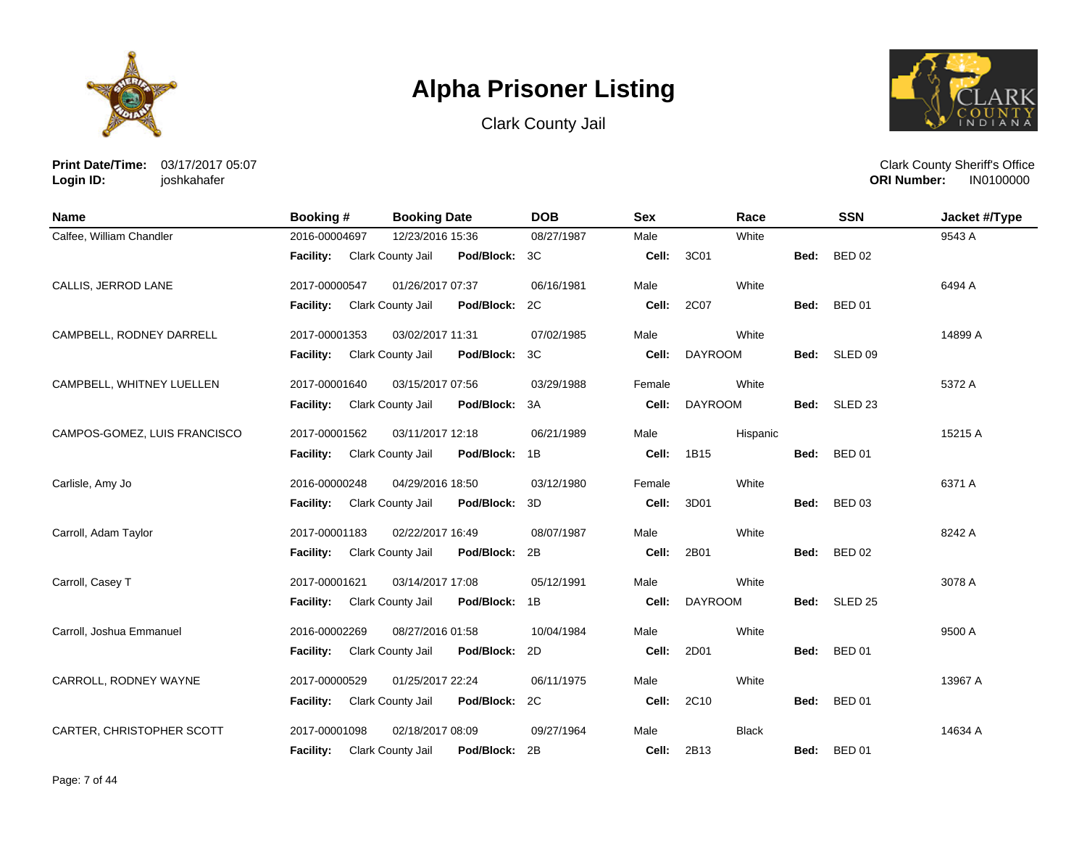





**Print Date/Time:** 03/17/2017 05:07 **Login ID:** joshkahafer

| <b>Name</b>                  | <b>Booking #</b> | <b>Booking Date</b>                | <b>DOB</b> | <b>Sex</b> | Race           |      | <b>SSN</b>    | Jacket #/Type |
|------------------------------|------------------|------------------------------------|------------|------------|----------------|------|---------------|---------------|
| Calfee, William Chandler     | 2016-00004697    | 12/23/2016 15:36                   | 08/27/1987 | Male       | White          |      |               | 9543 A        |
|                              | <b>Facility:</b> | Clark County Jail<br>Pod/Block: 3C |            | Cell:      | 3C01           | Bed: | <b>BED 02</b> |               |
| CALLIS, JERROD LANE          | 2017-00000547    | 01/26/2017 07:37                   | 06/16/1981 | Male       | White          |      |               | 6494 A        |
|                              | Facility:        | Clark County Jail<br>Pod/Block: 2C |            | Cell:      | 2C07           | Bed: | <b>BED 01</b> |               |
| CAMPBELL, RODNEY DARRELL     | 2017-00001353    | 03/02/2017 11:31                   | 07/02/1985 | Male       | White          |      |               | 14899 A       |
|                              | Facility:        | Clark County Jail<br>Pod/Block: 3C |            | Cell:      | <b>DAYROOM</b> |      | Bed: SLED 09  |               |
| CAMPBELL, WHITNEY LUELLEN    | 2017-00001640    | 03/15/2017 07:56                   | 03/29/1988 | Female     | White          |      |               | 5372 A        |
|                              | Facility:        | Clark County Jail<br>Pod/Block: 3A |            | Cell:      | <b>DAYROOM</b> |      | Bed: SLED 23  |               |
| CAMPOS-GOMEZ, LUIS FRANCISCO | 2017-00001562    | 03/11/2017 12:18                   | 06/21/1989 | Male       | Hispanic       |      |               | 15215 A       |
|                              | Facility:        | Clark County Jail<br>Pod/Block: 1B |            | Cell:      | 1B15           | Bed: | <b>BED 01</b> |               |
| Carlisle, Amy Jo             | 2016-00000248    | 04/29/2016 18:50                   | 03/12/1980 | Female     | White          |      |               | 6371 A        |
|                              | <b>Facility:</b> | Clark County Jail<br>Pod/Block:    | 3D         | Cell:      | 3D01           | Bed: | <b>BED 03</b> |               |
| Carroll, Adam Taylor         | 2017-00001183    | 02/22/2017 16:49                   | 08/07/1987 | Male       | White          |      |               | 8242 A        |
|                              | Facility:        | Clark County Jail<br>Pod/Block: 2B |            | Cell:      | 2B01           | Bed: | <b>BED 02</b> |               |
| Carroll, Casey T             | 2017-00001621    | 03/14/2017 17:08                   | 05/12/1991 | Male       | White          |      |               | 3078 A        |
|                              | <b>Facility:</b> | Clark County Jail<br>Pod/Block: 1B |            | Cell:      | <b>DAYROOM</b> |      | Bed: SLED 25  |               |
| Carroll, Joshua Emmanuel     | 2016-00002269    | 08/27/2016 01:58                   | 10/04/1984 | Male       | White          |      |               | 9500 A        |
|                              | <b>Facility:</b> | Clark County Jail<br>Pod/Block: 2D |            | Cell:      | 2D01           | Bed: | <b>BED 01</b> |               |
| CARROLL, RODNEY WAYNE        | 2017-00000529    | 01/25/2017 22:24                   | 06/11/1975 | Male       | White          |      |               | 13967 A       |
|                              | Facility:        | Clark County Jail<br>Pod/Block: 2C |            | Cell:      | 2C10           | Bed: | <b>BED 01</b> |               |
| CARTER, CHRISTOPHER SCOTT    | 2017-00001098    | 02/18/2017 08:09                   | 09/27/1964 | Male       | <b>Black</b>   |      |               | 14634 A       |
|                              | <b>Facility:</b> | Pod/Block: 2B<br>Clark County Jail |            | Cell:      | 2B13           |      | Bed: BED 01   |               |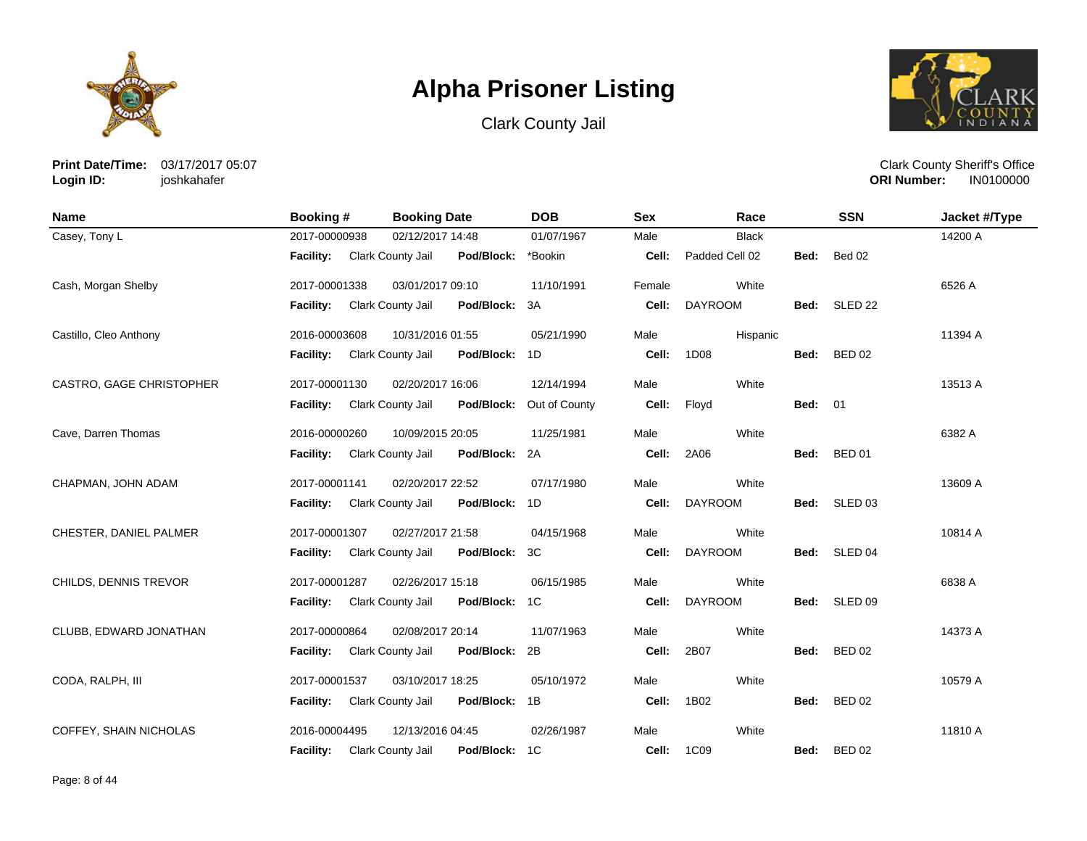





**Print Date/Time:** 03/17/2017 05:07 **Login ID:** joshkahafer

| <b>Name</b>              | Booking #<br><b>Booking Date</b> |                                    | <b>DOB</b><br><b>Sex</b> |                   |                |                | <b>SSN</b>         | Jacket #/Type |
|--------------------------|----------------------------------|------------------------------------|--------------------------|-------------------|----------------|----------------|--------------------|---------------|
| Casey, Tony L            | 2017-00000938                    | 02/12/2017 14:48                   | 01/07/1967               | Male              | <b>Black</b>   |                |                    | 14200 A       |
|                          | <b>Facility:</b>                 | Clark County Jail<br>Pod/Block:    | *Bookin                  | Cell:             | Padded Cell 02 | Bed:           | Bed 02             |               |
| Cash, Morgan Shelby      | 2017-00001338                    | 03/01/2017 09:10                   | 11/10/1991               | Female            | White          |                |                    | 6526 A        |
|                          | <b>Facility:</b>                 | Clark County Jail<br>Pod/Block:    | 3A                       | Cell:             | <b>DAYROOM</b> | Bed:           | SLED <sub>22</sub> |               |
| Castillo, Cleo Anthony   | 2016-00003608                    | 10/31/2016 01:55                   | 05/21/1990               | Male              | Hispanic       |                |                    | 11394 A       |
|                          | <b>Facility:</b>                 | Clark County Jail<br>Pod/Block:    | 1D                       | Cell:             | 1D08           | Bed:           | <b>BED 02</b>      |               |
| CASTRO, GAGE CHRISTOPHER | 2017-00001130                    | 02/20/2017 16:06                   | 12/14/1994               | Male              | White          |                |                    | 13513 A       |
|                          | Facility:                        | Clark County Jail<br>Pod/Block:    | Out of County            | Cell:             | Floyd          | <b>Bed: 01</b> |                    |               |
| Cave, Darren Thomas      | 2016-00000260                    | 10/09/2015 20:05                   | 11/25/1981               | Male              | White          |                |                    | 6382 A        |
|                          | <b>Facility:</b>                 | Clark County Jail<br>Pod/Block:    | 2A                       | Cell:             | 2A06           | Bed:           | <b>BED 01</b>      |               |
| CHAPMAN, JOHN ADAM       | 2017-00001141                    | 02/20/2017 22:52                   | 07/17/1980               | Male              | White          |                |                    | 13609 A       |
|                          | Facility:                        | Clark County Jail<br>Pod/Block:    | 1D                       | Cell:             | <b>DAYROOM</b> | Bed:           | SLED <sub>03</sub> |               |
| CHESTER, DANIEL PALMER   | 2017-00001307                    | 02/27/2017 21:58                   | 04/15/1968               | Male              | White          |                |                    | 10814 A       |
|                          | Facility:                        | Clark County Jail<br>Pod/Block:    | 3C                       | Cell:             | <b>DAYROOM</b> | Bed:           | SLED <sub>04</sub> |               |
| CHILDS, DENNIS TREVOR    | 2017-00001287                    | 02/26/2017 15:18                   | 06/15/1985               | Male              | White          |                |                    | 6838 A        |
|                          | <b>Facility:</b>                 | Clark County Jail<br>Pod/Block: 1C |                          | Cell:             | <b>DAYROOM</b> | Bed:           | SLED <sub>09</sub> |               |
| CLUBB, EDWARD JONATHAN   | 2017-00000864                    | 02/08/2017 20:14                   | 11/07/1963               | Male              | White          |                |                    | 14373 A       |
|                          | Facility:                        | Clark County Jail<br>Pod/Block:    | 2B                       | Cell:             | 2B07           | Bed:           | <b>BED 02</b>      |               |
| CODA, RALPH, III         | 2017-00001537                    | 03/10/2017 18:25                   | 05/10/1972               | Male              | White          |                |                    | 10579 A       |
|                          | <b>Facility:</b>                 | Clark County Jail<br>Pod/Block:    | 1B                       | Cell:             | 1B02           | Bed:           | <b>BED 02</b>      |               |
| COFFEY, SHAIN NICHOLAS   | 2016-00004495                    | 12/13/2016 04:45                   | 02/26/1987               | Male              | White          |                |                    | 11810 A       |
|                          | <b>Facility:</b>                 | Pod/Block: 1C<br>Clark County Jail |                          | <b>Cell: 1C09</b> |                | Bed:           | <b>BED 02</b>      |               |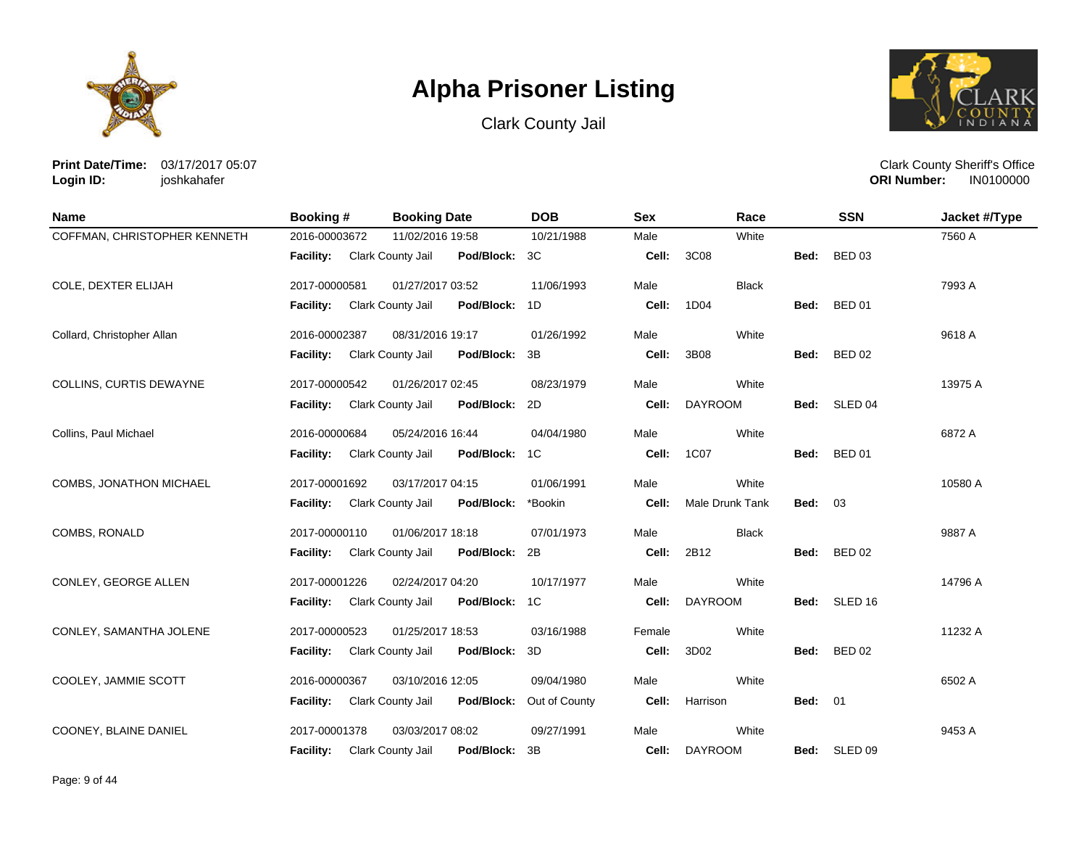





**Print Date/Time:** 03/17/2017 05:07 **Login ID:** joshkahafer

| <b>Name</b>                  | <b>Booking#</b>             | <b>Booking Date</b>                | <b>DOB</b>    | <b>Sex</b> | Race                   |                | <b>SSN</b>    | Jacket #/Type |
|------------------------------|-----------------------------|------------------------------------|---------------|------------|------------------------|----------------|---------------|---------------|
| COFFMAN, CHRISTOPHER KENNETH | 2016-00003672               | 11/02/2016 19:58                   | 10/21/1988    | Male       | White                  |                |               | 7560 A        |
|                              | Facility: Clark County Jail | Pod/Block: 3C                      |               | Cell:      | 3C08                   | Bed:           | <b>BED 03</b> |               |
| COLE, DEXTER ELIJAH          | 2017-00000581               | 01/27/2017 03:52                   | 11/06/1993    | Male       | <b>Black</b>           |                |               | 7993 A        |
|                              | <b>Facility:</b>            | Clark County Jail<br>Pod/Block:    | - 1D          | Cell:      | 1D04                   | Bed:           | <b>BED 01</b> |               |
| Collard, Christopher Allan   | 2016-00002387               | 08/31/2016 19:17                   | 01/26/1992    | Male       | White                  |                |               | 9618 A        |
|                              | <b>Facility:</b>            | Clark County Jail<br>Pod/Block: 3B |               | Cell:      | 3B08                   | Bed:           | <b>BED 02</b> |               |
| COLLINS, CURTIS DEWAYNE      | 2017-00000542               | 01/26/2017 02:45                   | 08/23/1979    | Male       | White                  |                |               | 13975 A       |
|                              | <b>Facility:</b>            | Clark County Jail<br>Pod/Block: 2D |               | Cell:      | <b>DAYROOM</b>         |                | Bed: SLED 04  |               |
| Collins, Paul Michael        | 2016-00000684               | 05/24/2016 16:44                   | 04/04/1980    | Male       | White                  |                |               | 6872 A        |
|                              | <b>Facility:</b>            | Clark County Jail<br>Pod/Block: 1C |               | Cell:      | 1C07                   |                | Bed: BED 01   |               |
| COMBS, JONATHON MICHAEL      | 2017-00001692               | 03/17/2017 04:15                   | 01/06/1991    | Male       | White                  |                |               | 10580 A       |
|                              | Facility:                   | Clark County Jail<br>Pod/Block:    | *Bookin       | Cell:      | <b>Male Drunk Tank</b> | <b>Bed: 03</b> |               |               |
| COMBS, RONALD                | 2017-00000110               | 01/06/2017 18:18                   | 07/01/1973    | Male       | <b>Black</b>           |                |               | 9887 A        |
|                              | Facility:                   | Clark County Jail<br>Pod/Block: 2B |               | Cell:      | 2B12                   |                | Bed: BED 02   |               |
| CONLEY, GEORGE ALLEN         | 2017-00001226               | 02/24/2017 04:20                   | 10/17/1977    | Male       | White                  |                |               | 14796 A       |
|                              | <b>Facility:</b>            | Clark County Jail<br>Pod/Block: 1C |               | Cell:      | <b>DAYROOM</b>         |                | Bed: SLED 16  |               |
| CONLEY, SAMANTHA JOLENE      | 2017-00000523               | 01/25/2017 18:53                   | 03/16/1988    | Female     | White                  |                |               | 11232 A       |
|                              | <b>Facility:</b>            | Pod/Block: 3D<br>Clark County Jail |               | Cell:      | 3D02                   | Bed:           | <b>BED 02</b> |               |
| COOLEY, JAMMIE SCOTT         | 2016-00000367               | 03/10/2016 12:05                   | 09/04/1980    | Male       | White                  |                |               | 6502 A        |
|                              | <b>Facility:</b>            | Clark County Jail<br>Pod/Block:    | Out of County | Cell:      | Harrison               | <b>Bed: 01</b> |               |               |
| COONEY, BLAINE DANIEL        | 2017-00001378               | 03/03/2017 08:02                   | 09/27/1991    | Male       | White                  |                |               | 9453 A        |
|                              | <b>Facility:</b>            | Clark County Jail<br>Pod/Block:    | 3B            | Cell:      | <b>DAYROOM</b>         | Bed:           | SLED 09       |               |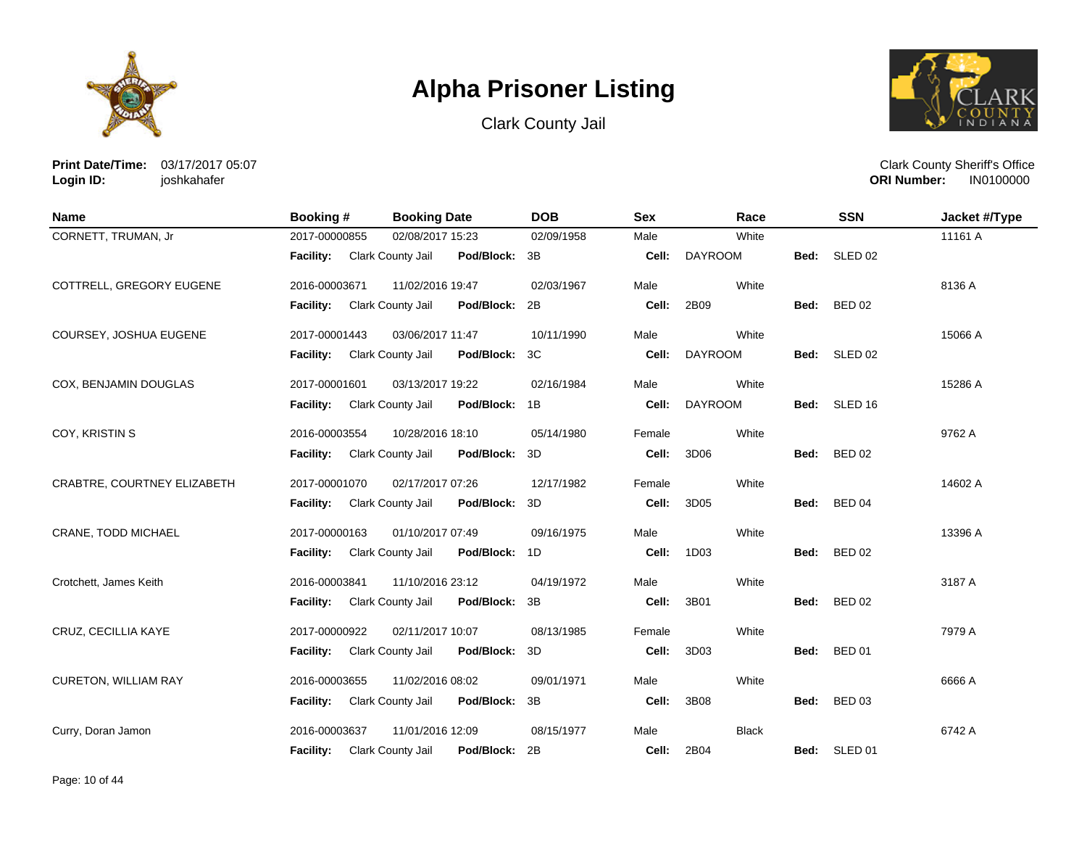





**Print Date/Time:** 03/17/2017 05:07 **Login ID:** joshkahafer

| <b>Name</b>                 | <b>Booking#</b>  | <b>Booking Date</b> |            | <b>DOB</b> | <b>Sex</b> | Race           |      | <b>SSN</b>         | Jacket #/Type |
|-----------------------------|------------------|---------------------|------------|------------|------------|----------------|------|--------------------|---------------|
| CORNETT, TRUMAN, Jr         | 2017-00000855    | 02/08/2017 15:23    |            | 02/09/1958 | Male       | White          |      |                    | 11161 A       |
|                             | <b>Facility:</b> | Clark County Jail   | Pod/Block: | 3B         | Cell:      | <b>DAYROOM</b> | Bed: | SLED <sub>02</sub> |               |
| COTTRELL, GREGORY EUGENE    | 2016-00003671    | 11/02/2016 19:47    |            | 02/03/1967 | Male       | White          |      |                    | 8136 A        |
|                             | <b>Facility:</b> | Clark County Jail   | Pod/Block: | 2B         | Cell:      | 2B09           | Bed: | <b>BED 02</b>      |               |
| COURSEY, JOSHUA EUGENE      | 2017-00001443    | 03/06/2017 11:47    |            | 10/11/1990 | Male       | White          |      |                    | 15066 A       |
|                             | Facility:        | Clark County Jail   | Pod/Block: | 3C         | Cell:      | <b>DAYROOM</b> | Bed: | SLED 02            |               |
| COX, BENJAMIN DOUGLAS       | 2017-00001601    | 03/13/2017 19:22    |            | 02/16/1984 | Male       | White          |      |                    | 15286 A       |
|                             | <b>Facility:</b> | Clark County Jail   | Pod/Block: | 1B         | Cell:      | <b>DAYROOM</b> |      | Bed: SLED 16       |               |
| COY, KRISTIN S              | 2016-00003554    | 10/28/2016 18:10    |            | 05/14/1980 | Female     | White          |      |                    | 9762 A        |
|                             | <b>Facility:</b> | Clark County Jail   | Pod/Block: | 3D         | Cell:      | 3D06           | Bed: | <b>BED 02</b>      |               |
| CRABTRE, COURTNEY ELIZABETH | 2017-00001070    | 02/17/2017 07:26    |            | 12/17/1982 | Female     | White          |      |                    | 14602 A       |
|                             | Facility:        | Clark County Jail   | Pod/Block: | 3D         | Cell:      | 3D05           | Bed: | <b>BED 04</b>      |               |
| CRANE, TODD MICHAEL         | 2017-00000163    | 01/10/2017 07:49    |            | 09/16/1975 | Male       | White          |      |                    | 13396 A       |
|                             | <b>Facility:</b> | Clark County Jail   | Pod/Block: | 1D         | Cell:      | 1D03           | Bed: | <b>BED 02</b>      |               |
| Crotchett, James Keith      | 2016-00003841    | 11/10/2016 23:12    |            | 04/19/1972 | Male       | White          |      |                    | 3187 A        |
|                             | <b>Facility:</b> | Clark County Jail   | Pod/Block: | 3B         | Cell:      | 3B01           | Bed: | <b>BED 02</b>      |               |
| CRUZ, CECILLIA KAYE         | 2017-00000922    | 02/11/2017 10:07    |            | 08/13/1985 | Female     | White          |      |                    | 7979 A        |
|                             | <b>Facility:</b> | Clark County Jail   | Pod/Block: | 3D         | Cell:      | 3D03           | Bed: | <b>BED 01</b>      |               |
| CURETON, WILLIAM RAY        | 2016-00003655    | 11/02/2016 08:02    |            | 09/01/1971 | Male       | White          |      |                    | 6666 A        |
|                             | Facility:        | Clark County Jail   | Pod/Block: | 3B         | Cell:      | 3B08           | Bed: | <b>BED 03</b>      |               |
| Curry, Doran Jamon          | 2016-00003637    | 11/01/2016 12:09    |            | 08/15/1977 | Male       | <b>Black</b>   |      |                    | 6742 A        |
|                             | <b>Facility:</b> | Clark County Jail   | Pod/Block: | 2B         | Cell:      | 2B04           | Bed: | SLED 01            |               |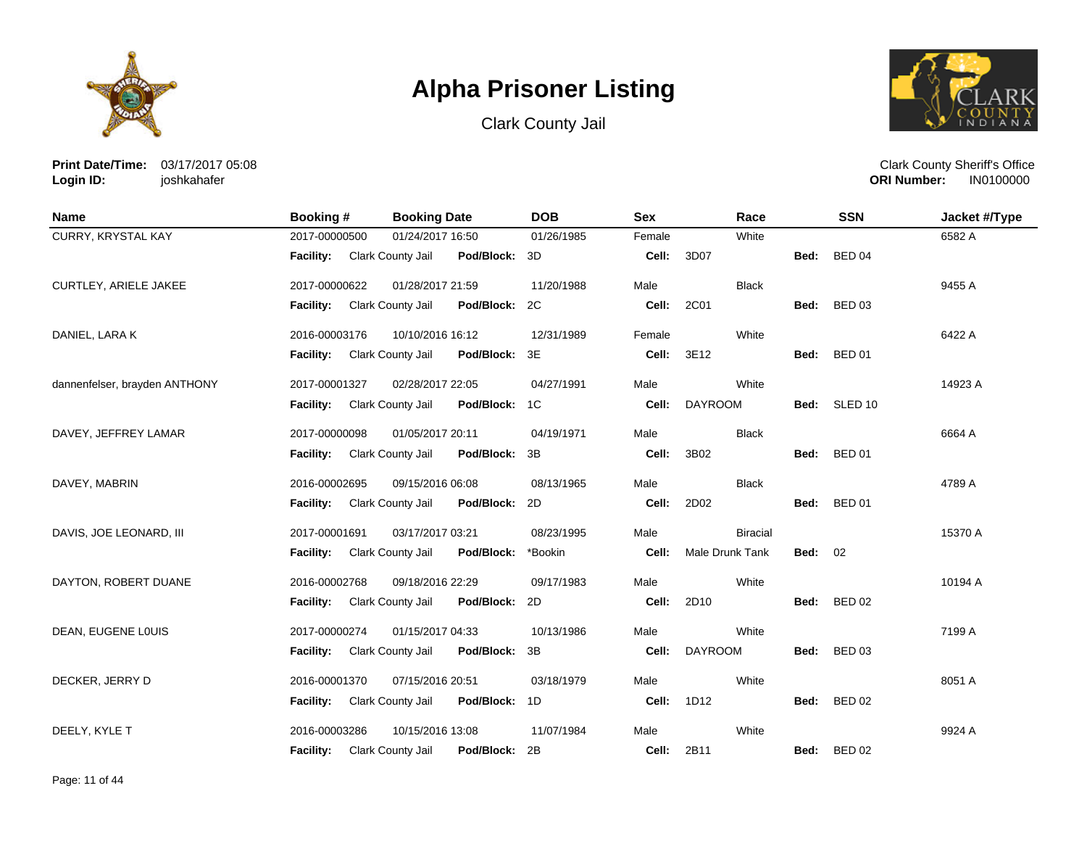





**Print Date/Time:** 03/17/2017 05:08 **Login ID:** joshkahafer

| <b>Name</b>                   | <b>Booking #</b> | <b>Booking Date</b>                | <b>DOB</b> | <b>Sex</b> | Race            |                | <b>SSN</b>    | Jacket #/Type |
|-------------------------------|------------------|------------------------------------|------------|------------|-----------------|----------------|---------------|---------------|
| CURRY, KRYSTAL KAY            | 2017-00000500    | 01/24/2017 16:50                   | 01/26/1985 | Female     | White           |                |               | 6582 A        |
|                               | <b>Facility:</b> | Clark County Jail<br>Pod/Block: 3D |            | Cell:      | 3D07            | Bed:           | <b>BED 04</b> |               |
| CURTLEY, ARIELE JAKEE         | 2017-00000622    | 01/28/2017 21:59                   | 11/20/1988 | Male       | <b>Black</b>    |                |               | 9455 A        |
|                               | <b>Facility:</b> | Clark County Jail<br>Pod/Block: 2C |            | Cell:      | 2C01            |                | Bed: BED 03   |               |
| DANIEL, LARA K                | 2016-00003176    | 10/10/2016 16:12                   | 12/31/1989 | Female     | White           |                |               | 6422 A        |
|                               | <b>Facility:</b> | Clark County Jail<br>Pod/Block: 3E |            | Cell:      | 3E12            |                | Bed: BED 01   |               |
| dannenfelser, brayden ANTHONY | 2017-00001327    | 02/28/2017 22:05                   | 04/27/1991 | Male       | White           |                |               | 14923 A       |
|                               | Facility:        | Clark County Jail<br>Pod/Block: 1C |            | Cell:      | <b>DAYROOM</b>  |                | Bed: SLED 10  |               |
| DAVEY, JEFFREY LAMAR          | 2017-00000098    | 01/05/2017 20:11                   | 04/19/1971 | Male       | <b>Black</b>    |                |               | 6664 A        |
|                               | <b>Facility:</b> | Clark County Jail<br>Pod/Block: 3B |            | Cell:      | 3B02            |                | Bed: BED 01   |               |
| DAVEY, MABRIN                 | 2016-00002695    | 09/15/2016 06:08                   | 08/13/1965 | Male       | <b>Black</b>    |                |               | 4789 A        |
|                               | Facility:        | Clark County Jail<br>Pod/Block: 2D |            | Cell:      | 2D02            |                | Bed: BED 01   |               |
| DAVIS, JOE LEONARD, III       | 2017-00001691    | 03/17/2017 03:21                   | 08/23/1995 | Male       | <b>Biracial</b> |                |               | 15370 A       |
|                               | Facility:        | Clark County Jail<br>Pod/Block:    | *Bookin    | Cell:      | Male Drunk Tank | <b>Bed: 02</b> |               |               |
| DAYTON, ROBERT DUANE          | 2016-00002768    | 09/18/2016 22:29                   | 09/17/1983 | Male       | White           |                |               | 10194 A       |
|                               | <b>Facility:</b> | Clark County Jail<br>Pod/Block: 2D |            | Cell:      | 2D10            |                | Bed: BED 02   |               |
| DEAN, EUGENE LOUIS            | 2017-00000274    | 01/15/2017 04:33                   | 10/13/1986 | Male       | White           |                |               | 7199 A        |
|                               | <b>Facility:</b> | Clark County Jail<br>Pod/Block: 3B |            | Cell:      | <b>DAYROOM</b>  | Bed:           | <b>BED 03</b> |               |
| DECKER, JERRY D               | 2016-00001370    | 07/15/2016 20:51                   | 03/18/1979 | Male       | White           |                |               | 8051 A        |
|                               | Facility:        | Clark County Jail<br>Pod/Block: 1D |            | Cell:      | 1D12            |                | Bed: BED 02   |               |
| DEELY, KYLE T                 | 2016-00003286    | 10/15/2016 13:08                   | 11/07/1984 | Male       | White           |                |               | 9924 A        |
|                               | <b>Facility:</b> | Clark County Jail<br>Pod/Block: 2B |            | Cell:      | 2B11            | Bed:           | <b>BED 02</b> |               |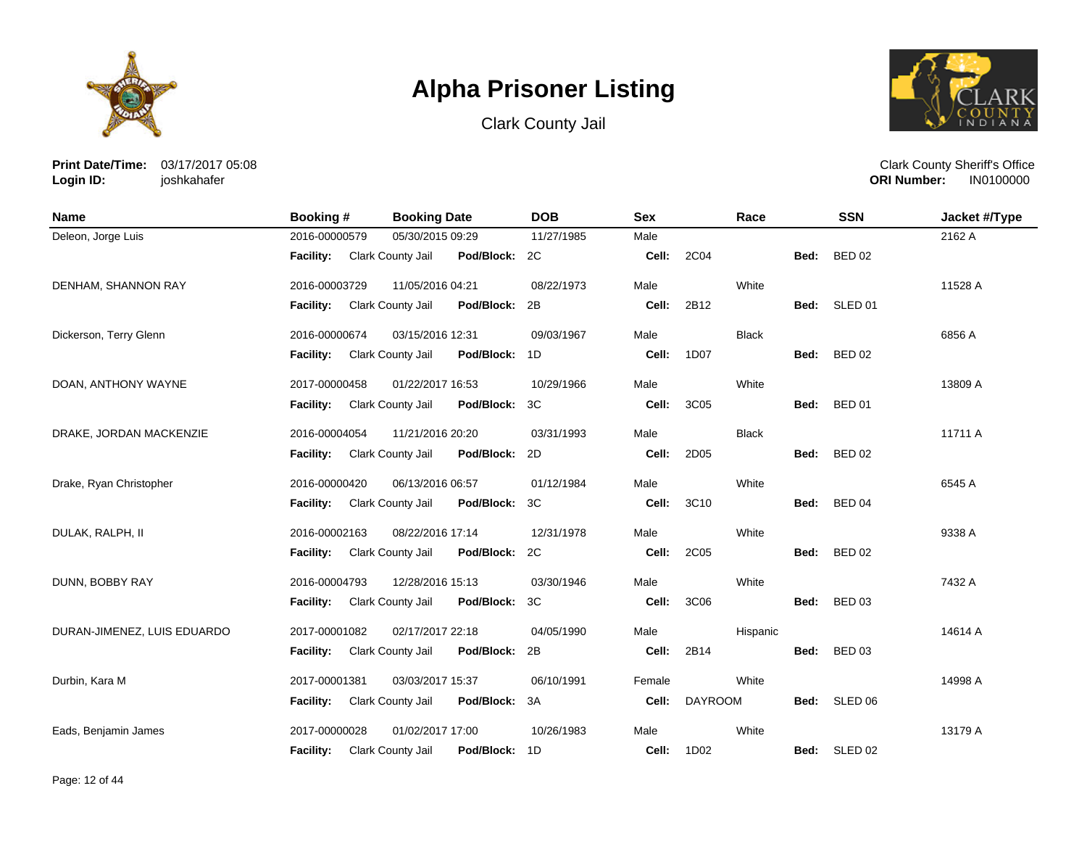





**Print Date/Time:** 03/17/2017 05:08 **Login ID:** joshkahafer

| Name                        | <b>Booking #</b> | <b>Booking Date</b>      |               | <b>DOB</b> | <b>Sex</b> |                   | Race         |      | <b>SSN</b>    | Jacket #/Type |
|-----------------------------|------------------|--------------------------|---------------|------------|------------|-------------------|--------------|------|---------------|---------------|
| Deleon, Jorge Luis          | 2016-00000579    | 05/30/2015 09:29         |               | 11/27/1985 | Male       |                   |              |      |               | 2162 A        |
|                             | <b>Facility:</b> | Clark County Jail        | Pod/Block: 2C |            | Cell:      | 2C04              |              | Bed: | <b>BED 02</b> |               |
| DENHAM, SHANNON RAY         | 2016-00003729    | 11/05/2016 04:21         |               | 08/22/1973 | Male       |                   | White        |      |               | 11528 A       |
|                             | <b>Facility:</b> | <b>Clark County Jail</b> | Pod/Block:    | 2B         | Cell:      | 2B12              |              |      | Bed: SLED 01  |               |
| Dickerson, Terry Glenn      | 2016-00000674    | 03/15/2016 12:31         |               | 09/03/1967 | Male       |                   | <b>Black</b> |      |               | 6856 A        |
|                             | Facility:        | Clark County Jail        | Pod/Block:    | 1D         | Cell:      | 1D07              |              | Bed: | <b>BED 02</b> |               |
| DOAN, ANTHONY WAYNE         | 2017-00000458    | 01/22/2017 16:53         |               | 10/29/1966 | Male       |                   | White        |      |               | 13809 A       |
|                             | Facility:        | Clark County Jail        | Pod/Block:    | ЗC         | Cell:      | 3C05              |              | Bed: | <b>BED 01</b> |               |
| DRAKE, JORDAN MACKENZIE     | 2016-00004054    | 11/21/2016 20:20         |               | 03/31/1993 | Male       |                   | <b>Black</b> |      |               | 11711 A       |
|                             | <b>Facility:</b> | Clark County Jail        | Pod/Block:    | 2D         | Cell:      | 2D05              |              | Bed: | <b>BED 02</b> |               |
| Drake, Ryan Christopher     | 2016-00000420    | 06/13/2016 06:57         |               | 01/12/1984 | Male       |                   | White        |      |               | 6545 A        |
|                             | Facility:        | Clark County Jail        | Pod/Block:    | 3C         | Cell:      | 3C10              |              | Bed: | <b>BED 04</b> |               |
| DULAK, RALPH, II            | 2016-00002163    | 08/22/2016 17:14         |               | 12/31/1978 | Male       |                   | White        |      |               | 9338 A        |
|                             | <b>Facility:</b> | Clark County Jail        | Pod/Block:    | 2C         | Cell:      | 2C05              |              | Bed: | <b>BED 02</b> |               |
| DUNN, BOBBY RAY             | 2016-00004793    | 12/28/2016 15:13         |               | 03/30/1946 | Male       |                   | White        |      |               | 7432 A        |
|                             | <b>Facility:</b> | Clark County Jail        | Pod/Block:    | 3C         | Cell:      | 3C06              |              | Bed: | <b>BED 03</b> |               |
| DURAN-JIMENEZ, LUIS EDUARDO | 2017-00001082    | 02/17/2017 22:18         |               | 04/05/1990 | Male       |                   | Hispanic     |      |               | 14614 A       |
|                             | <b>Facility:</b> | Clark County Jail        | Pod/Block:    | 2B         | Cell:      | 2B14              |              | Bed: | <b>BED 03</b> |               |
| Durbin, Kara M              | 2017-00001381    | 03/03/2017 15:37         |               | 06/10/1991 | Female     |                   | White        |      |               | 14998 A       |
|                             | Facility:        | Clark County Jail        | Pod/Block:    | 3A         | Cell:      | <b>DAYROOM</b>    |              |      | Bed: SLED 06  |               |
| Eads, Benjamin James        | 2017-00000028    | 01/02/2017 17:00         |               | 10/26/1983 | Male       |                   | White        |      |               | 13179 A       |
|                             | <b>Facility:</b> | Clark County Jail        | Pod/Block: 1D |            |            | <b>Cell: 1D02</b> |              |      | Bed: SLED 02  |               |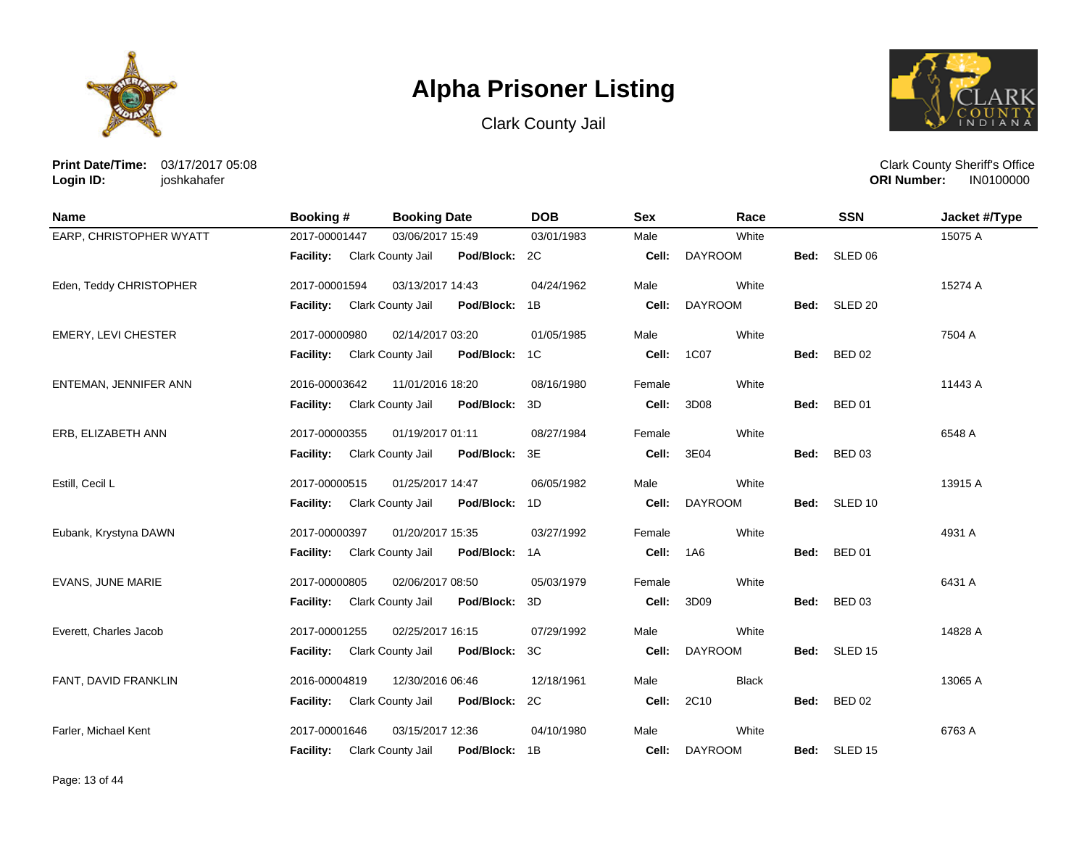





**Print Date/Time:** 03/17/2017 05:08 **Login ID:** joshkahafer

| <b>Name</b>                | Booking #                   | <b>Booking Date</b>                | <b>DOB</b> | <b>Sex</b> | Race           |      | <b>SSN</b>    | Jacket #/Type |
|----------------------------|-----------------------------|------------------------------------|------------|------------|----------------|------|---------------|---------------|
| EARP, CHRISTOPHER WYATT    | 2017-00001447               | 03/06/2017 15:49                   | 03/01/1983 | Male       | White          |      |               | 15075 A       |
|                            | Facility: Clark County Jail | Pod/Block: 2C                      |            | Cell:      | <b>DAYROOM</b> | Bed: | SLED 06       |               |
| Eden, Teddy CHRISTOPHER    | 2017-00001594               | 03/13/2017 14:43                   | 04/24/1962 | Male       | White          |      |               | 15274 A       |
|                            | <b>Facility:</b>            | Clark County Jail<br>Pod/Block:    | 1B         | Cell:      | <b>DAYROOM</b> |      | Bed: SLED 20  |               |
| <b>EMERY, LEVI CHESTER</b> | 2017-00000980               | 02/14/2017 03:20                   | 01/05/1985 | Male       | White          |      |               | 7504 A        |
|                            | <b>Facility:</b>            | Clark County Jail<br>Pod/Block: 1C |            | Cell:      | 1C07           | Bed: | <b>BED 02</b> |               |
| ENTEMAN, JENNIFER ANN      | 2016-00003642               | 11/01/2016 18:20                   | 08/16/1980 | Female     | White          |      |               | 11443 A       |
|                            | <b>Facility:</b>            | Clark County Jail<br>Pod/Block: 3D |            | Cell:      | 3D08           | Bed: | <b>BED 01</b> |               |
| ERB, ELIZABETH ANN         | 2017-00000355               | 01/19/2017 01:11                   | 08/27/1984 | Female     | White          |      |               | 6548 A        |
|                            | <b>Facility:</b>            | Clark County Jail<br>Pod/Block: 3E |            | Cell:      | 3E04           | Bed: | <b>BED 03</b> |               |
| Estill, Cecil L            | 2017-00000515               | 01/25/2017 14:47                   | 06/05/1982 | Male       | White          |      |               | 13915 A       |
|                            | <b>Facility:</b>            | Clark County Jail<br>Pod/Block: 1D |            | Cell:      | <b>DAYROOM</b> | Bed: | SLED 10       |               |
| Eubank, Krystyna DAWN      | 2017-00000397               | 01/20/2017 15:35                   | 03/27/1992 | Female     | White          |      |               | 4931 A        |
|                            | <b>Facility:</b>            | Clark County Jail<br>Pod/Block: 1A |            | Cell:      | 1A6            | Bed: | <b>BED 01</b> |               |
| EVANS, JUNE MARIE          | 2017-00000805               | 02/06/2017 08:50                   | 05/03/1979 | Female     | White          |      |               | 6431 A        |
|                            | <b>Facility:</b>            | Pod/Block: 3D<br>Clark County Jail |            | Cell:      | 3D09           | Bed: | <b>BED 03</b> |               |
| Everett. Charles Jacob     | 2017-00001255               | 02/25/2017 16:15                   | 07/29/1992 | Male       | White          |      |               | 14828 A       |
|                            | <b>Facility:</b>            | Pod/Block: 3C<br>Clark County Jail |            | Cell:      | <b>DAYROOM</b> | Bed: | SLED 15       |               |
| FANT, DAVID FRANKLIN       | 2016-00004819               | 12/30/2016 06:46                   | 12/18/1961 | Male       | <b>Black</b>   |      |               | 13065 A       |
|                            | Facility:                   | Clark County Jail<br>Pod/Block: 2C |            | Cell:      | 2C10           | Bed: | <b>BED 02</b> |               |
| Farler, Michael Kent       | 2017-00001646               | 03/15/2017 12:36                   | 04/10/1980 | Male       | White          |      |               | 6763 A        |
|                            | <b>Facility:</b>            | Clark County Jail<br>Pod/Block: 1B |            | Cell:      | <b>DAYROOM</b> |      | Bed: SLED 15  |               |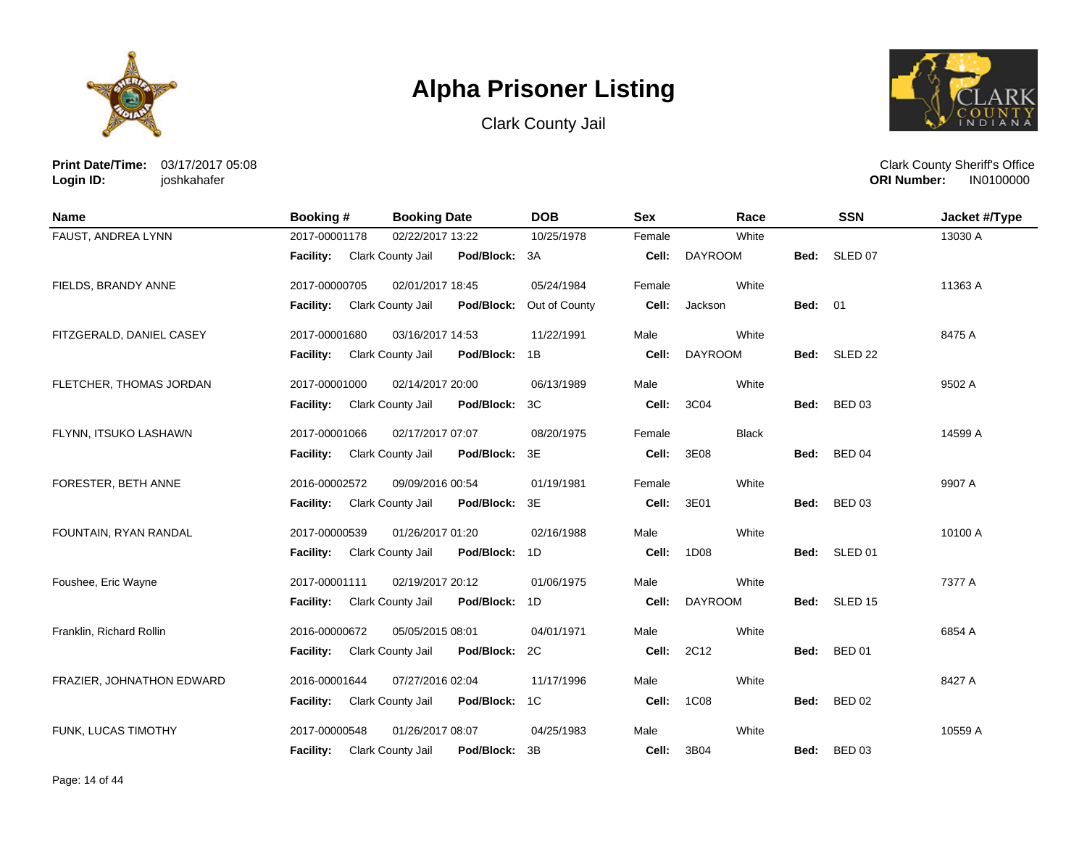





**Print Date/Time:** 03/17/2017 05:08 **Login ID:** joshkahafer

| <b>Name</b>               | <b>Booking #</b> | <b>Booking Date</b>                | <b>DOB</b>    | <b>Sex</b> | Race           |                | <b>SSN</b>         | Jacket #/Type |
|---------------------------|------------------|------------------------------------|---------------|------------|----------------|----------------|--------------------|---------------|
| FAUST, ANDREA LYNN        | 2017-00001178    | 02/22/2017 13:22                   | 10/25/1978    | Female     | White          |                |                    | 13030 A       |
|                           | <b>Facility:</b> | Clark County Jail<br>Pod/Block: 3A |               | Cell:      | <b>DAYROOM</b> | Bed:           | SLED 07            |               |
| FIELDS, BRANDY ANNE       | 2017-00000705    | 02/01/2017 18:45                   | 05/24/1984    | Female     | White          |                |                    | 11363 A       |
|                           | <b>Facility:</b> | Clark County Jail<br>Pod/Block:    | Out of County | Cell:      | Jackson        | <b>Bed: 01</b> |                    |               |
| FITZGERALD, DANIEL CASEY  | 2017-00001680    | 03/16/2017 14:53                   | 11/22/1991    | Male       | White          |                |                    | 8475 A        |
|                           | Facility:        | Clark County Jail<br>Pod/Block:    | 1B            | Cell:      | <b>DAYROOM</b> | Bed:           | SLED <sub>22</sub> |               |
| FLETCHER, THOMAS JORDAN   | 2017-00001000    | 02/14/2017 20:00                   | 06/13/1989    | Male       | White          |                |                    | 9502 A        |
|                           | Facility:        | Clark County Jail<br>Pod/Block:    | 3C            | Cell:      | 3C04           | Bed:           | <b>BED 03</b>      |               |
| FLYNN, ITSUKO LASHAWN     | 2017-00001066    | 02/17/2017 07:07                   | 08/20/1975    | Female     | <b>Black</b>   |                |                    | 14599 A       |
|                           | <b>Facility:</b> | Clark County Jail<br>Pod/Block:    | 3E            | Cell:      | 3E08           | Bed:           | <b>BED 04</b>      |               |
| FORESTER, BETH ANNE       | 2016-00002572    | 09/09/2016 00:54                   | 01/19/1981    | Female     | White          |                |                    | 9907 A        |
|                           | Facility:        | Clark County Jail<br>Pod/Block:    | 3E            | Cell:      | 3E01           | Bed:           | <b>BED 03</b>      |               |
| FOUNTAIN, RYAN RANDAL     | 2017-00000539    | 01/26/2017 01:20                   | 02/16/1988    | Male       | White          |                |                    | 10100 A       |
|                           | <b>Facility:</b> | Clark County Jail<br>Pod/Block:    | 1D            | Cell:      | 1D08           |                | Bed: SLED 01       |               |
| Foushee, Eric Wayne       | 2017-00001111    | 02/19/2017 20:12                   | 01/06/1975    | Male       | White          |                |                    | 7377 A        |
|                           | <b>Facility:</b> | Clark County Jail<br>Pod/Block:    | 1D            | Cell:      | <b>DAYROOM</b> |                | Bed: SLED 15       |               |
| Franklin, Richard Rollin  | 2016-00000672    | 05/05/2015 08:01                   | 04/01/1971    | Male       | White          |                |                    | 6854 A        |
|                           | Facility:        | Clark County Jail<br>Pod/Block:    | 2C            | Cell:      | 2C12           | Bed:           | <b>BED 01</b>      |               |
| FRAZIER, JOHNATHON EDWARD | 2016-00001644    | 07/27/2016 02:04                   | 11/17/1996    | Male       | White          |                |                    | 8427 A        |
|                           | Facility:        | Pod/Block:<br>Clark County Jail    | 1C            | Cell:      | <b>1C08</b>    | Bed:           | <b>BED 02</b>      |               |
| FUNK, LUCAS TIMOTHY       | 2017-00000548    | 01/26/2017 08:07                   | 04/25/1983    | Male       | White          |                |                    | 10559 A       |
|                           | <b>Facility:</b> | Pod/Block:<br>Clark County Jail    | 3B            | Cell:      | 3B04           | Bed:           | <b>BED 03</b>      |               |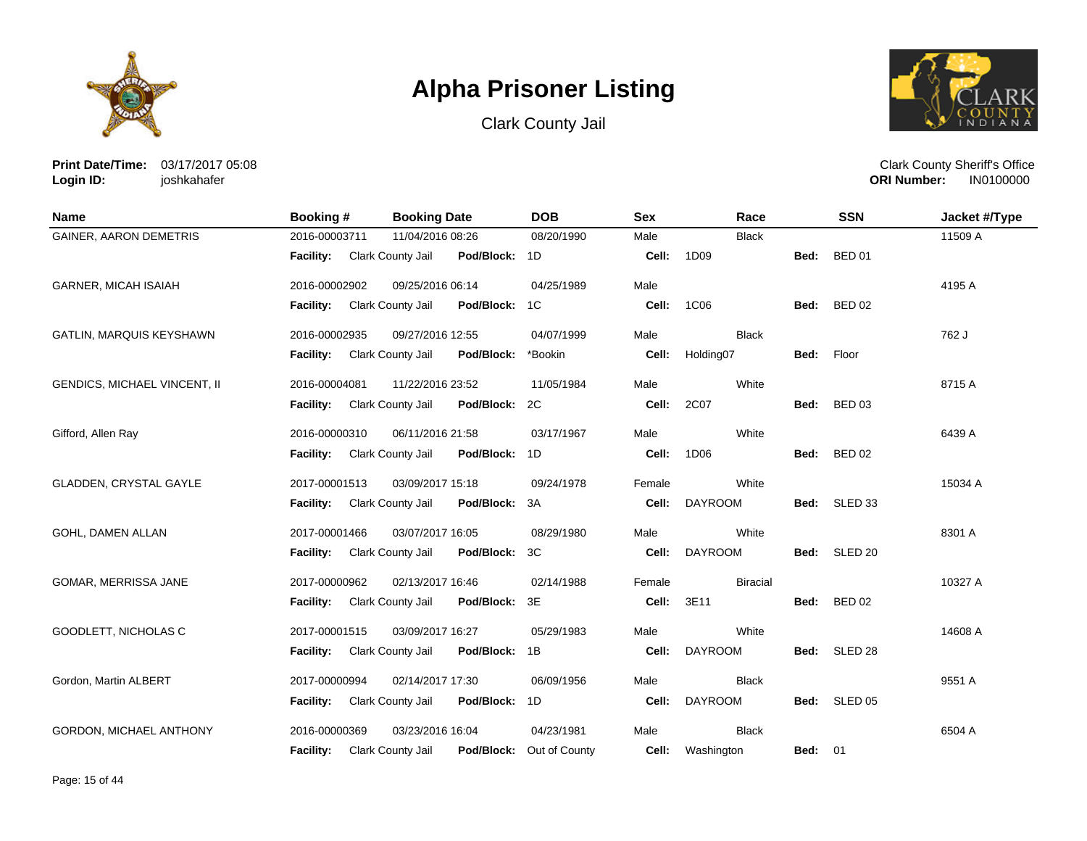





**Print Date/Time:** 03/17/2017 05:08 **Login ID:** joshkahafer

| <b>Name</b>                    | <b>Booking #</b>            | <b>Booking Date</b>                    | <b>DOB</b>    | <b>Sex</b> | Race            |                | <b>SSN</b>         | Jacket #/Type |
|--------------------------------|-----------------------------|----------------------------------------|---------------|------------|-----------------|----------------|--------------------|---------------|
| <b>GAINER, AARON DEMETRIS</b>  | 2016-00003711               | 11/04/2016 08:26                       | 08/20/1990    | Male       | <b>Black</b>    |                |                    | 11509 A       |
|                                | Facility: Clark County Jail | Pod/Block: 1D                          |               | Cell:      | 1D09            | Bed:           | <b>BED 01</b>      |               |
| <b>GARNER, MICAH ISAIAH</b>    | 2016-00002902               | 09/25/2016 06:14                       | 04/25/1989    | Male       |                 |                |                    | 4195 A        |
|                                | <b>Facility:</b>            | Clark County Jail<br>Pod/Block:        | 1C            | Cell:      | 1C06            | Bed:           | <b>BED 02</b>      |               |
| GATLIN, MARQUIS KEYSHAWN       | 2016-00002935               | 09/27/2016 12:55                       | 04/07/1999    | Male       | <b>Black</b>    |                |                    | 762 J         |
|                                | <b>Facility:</b>            | <b>Clark County Jail</b><br>Pod/Block: | *Bookin       | Cell:      | Holding07       | Bed:           | Floor              |               |
| GENDICS, MICHAEL VINCENT, II   | 2016-00004081               | 11/22/2016 23:52                       | 11/05/1984    | Male       | White           |                |                    | 8715 A        |
|                                | <b>Facility:</b>            | Clark County Jail<br>Pod/Block:        | 2C            | Cell:      | 2C07            | Bed:           | <b>BED 03</b>      |               |
| Gifford, Allen Ray             | 2016-00000310               | 06/11/2016 21:58                       | 03/17/1967    | Male       | White           |                |                    | 6439 A        |
|                                | Facility:                   | Clark County Jail<br>Pod/Block:        | 1D            | Cell:      | 1D06            | Bed:           | <b>BED 02</b>      |               |
| GLADDEN, CRYSTAL GAYLE         | 2017-00001513               | 03/09/2017 15:18                       | 09/24/1978    | Female     | White           |                |                    | 15034 A       |
|                                | <b>Facility:</b>            | Clark County Jail<br>Pod/Block:        | 3A            | Cell:      | <b>DAYROOM</b>  | Bed:           | SLED <sub>33</sub> |               |
| GOHL, DAMEN ALLAN              | 2017-00001466               | 03/07/2017 16:05                       | 08/29/1980    | Male       | White           |                |                    | 8301 A        |
|                                | <b>Facility:</b>            | Clark County Jail<br>Pod/Block:        | ЗC            | Cell:      | <b>DAYROOM</b>  |                | Bed: SLED 20       |               |
| GOMAR, MERRISSA JANE           | 2017-00000962               | 02/13/2017 16:46                       | 02/14/1988    | Female     | <b>Biracial</b> |                |                    | 10327 A       |
|                                | <b>Facility:</b>            | Pod/Block:<br>Clark County Jail        | 3E            | Cell:      | 3E11            | Bed:           | <b>BED 02</b>      |               |
| GOODLETT, NICHOLAS C           | 2017-00001515               | 03/09/2017 16:27                       | 05/29/1983    | Male       | White           |                |                    | 14608 A       |
|                                | <b>Facility:</b>            | Clark County Jail<br>Pod/Block:        | 1B            | Cell:      | <b>DAYROOM</b>  | Bed:           | SLED <sub>28</sub> |               |
| Gordon, Martin ALBERT          | 2017-00000994               | 02/14/2017 17:30                       | 06/09/1956    | Male       | <b>Black</b>    |                |                    | 9551 A        |
|                                | Facility:                   | Clark County Jail<br>Pod/Block:        | 1D            | Cell:      | <b>DAYROOM</b>  |                | Bed: SLED 05       |               |
| <b>GORDON, MICHAEL ANTHONY</b> | 2016-00000369               | 03/23/2016 16:04                       | 04/23/1981    | Male       | <b>Black</b>    |                |                    | 6504 A        |
|                                | <b>Facility:</b>            | Clark County Jail<br>Pod/Block:        | Out of County | Cell:      | Washington      | <b>Bed: 01</b> |                    |               |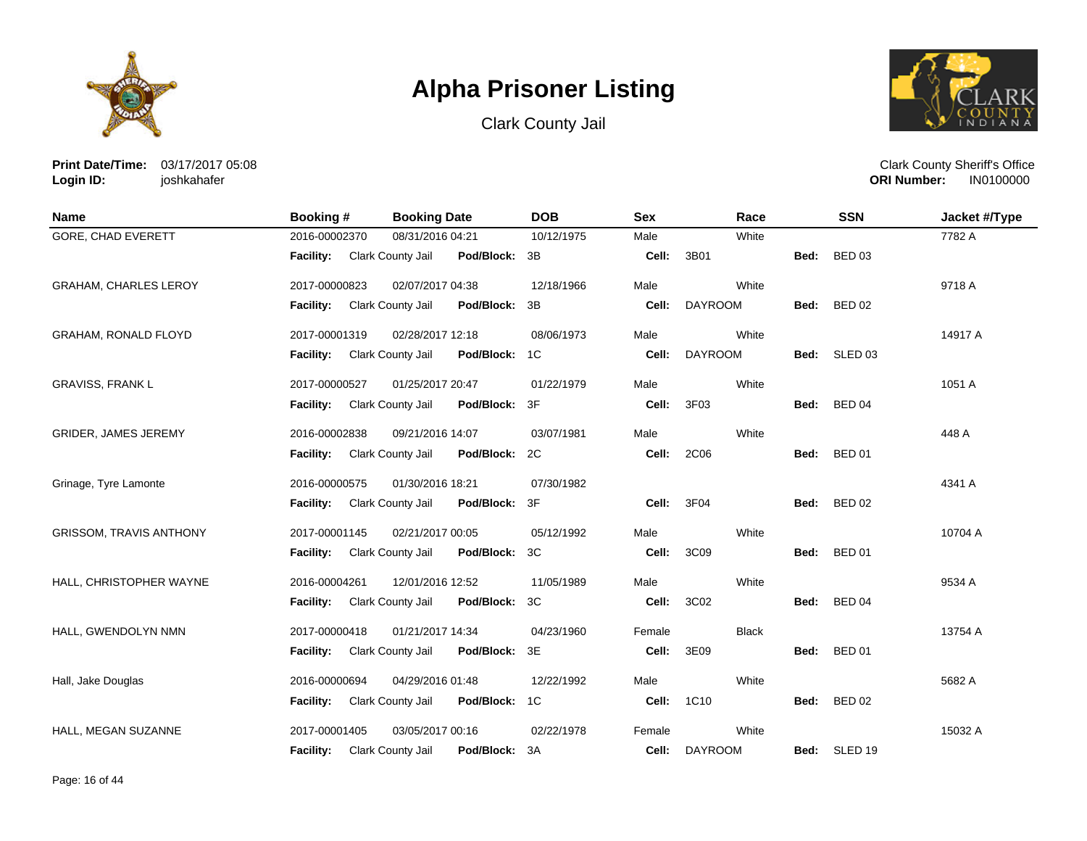





**Print Date/Time:** 03/17/2017 05:08 **Login ID:** joshkahafer

| <b>Name</b>                    | <b>Booking#</b>             | <b>Booking Date</b>                | <b>DOB</b> | <b>Sex</b> | Race           |      | <b>SSN</b>    | Jacket #/Type |
|--------------------------------|-----------------------------|------------------------------------|------------|------------|----------------|------|---------------|---------------|
| <b>GORE, CHAD EVERETT</b>      | 2016-00002370               | 08/31/2016 04:21                   | 10/12/1975 | Male       | White          |      |               | 7782 A        |
|                                | Facility: Clark County Jail | Pod/Block: 3B                      |            | Cell:      | 3B01           | Bed: | <b>BED 03</b> |               |
| GRAHAM, CHARLES LEROY          | 2017-00000823               | 02/07/2017 04:38                   | 12/18/1966 | Male       | White          |      |               | 9718 A        |
|                                | <b>Facility:</b>            | Clark County Jail<br>Pod/Block: 3B |            | Cell:      | <b>DAYROOM</b> | Bed: | <b>BED 02</b> |               |
| <b>GRAHAM, RONALD FLOYD</b>    | 2017-00001319               | 02/28/2017 12:18                   | 08/06/1973 | Male       | White          |      |               | 14917 A       |
|                                | <b>Facility:</b>            | Clark County Jail<br>Pod/Block: 1C |            | Cell:      | <b>DAYROOM</b> |      | Bed: SLED 03  |               |
| <b>GRAVISS, FRANK L</b>        | 2017-00000527               | 01/25/2017 20:47                   | 01/22/1979 | Male       | White          |      |               | 1051 A        |
|                                | <b>Facility:</b>            | Clark County Jail<br>Pod/Block: 3F |            | Cell:      | 3F03           | Bed: | <b>BED 04</b> |               |
| <b>GRIDER, JAMES JEREMY</b>    | 2016-00002838               | 09/21/2016 14:07                   | 03/07/1981 | Male       | White          |      |               | 448 A         |
|                                | Facility: Clark County Jail | Pod/Block: 2C                      |            | Cell:      | 2C06           |      | Bed: BED 01   |               |
| Grinage, Tyre Lamonte          | 2016-00000575               | 01/30/2016 18:21                   | 07/30/1982 |            |                |      |               | 4341 A        |
|                                | Facility: Clark County Jail | Pod/Block: 3F                      |            | Cell:      | 3F04           |      | Bed: BED 02   |               |
| <b>GRISSOM, TRAVIS ANTHONY</b> | 2017-00001145               | 02/21/2017 00:05                   | 05/12/1992 | Male       | White          |      |               | 10704 A       |
|                                | <b>Facility:</b>            | Clark County Jail<br>Pod/Block: 3C |            | Cell:      | 3C09           | Bed: | <b>BED 01</b> |               |
| HALL, CHRISTOPHER WAYNE        | 2016-00004261               | 12/01/2016 12:52                   | 11/05/1989 | Male       | White          |      |               | 9534 A        |
|                                | <b>Facility:</b>            | Pod/Block: 3C<br>Clark County Jail |            | Cell:      | 3C02           |      | Bed: BED 04   |               |
| HALL, GWENDOLYN NMN            | 2017-00000418               | 01/21/2017 14:34                   | 04/23/1960 | Female     | <b>Black</b>   |      |               | 13754 A       |
|                                | Facility: Clark County Jail | Pod/Block: 3E                      |            | Cell:      | 3E09           | Bed: | <b>BED 01</b> |               |
| Hall, Jake Douglas             | 2016-00000694               | 04/29/2016 01:48                   | 12/22/1992 | Male       | White          |      |               | 5682 A        |
|                                | <b>Facility:</b>            | Clark County Jail<br>Pod/Block: 1C |            | Cell:      | 1C10           | Bed: | <b>BED 02</b> |               |
| HALL, MEGAN SUZANNE            | 2017-00001405               | 03/05/2017 00:16                   | 02/22/1978 | Female     | White          |      |               | 15032 A       |
|                                | <b>Facility:</b>            | Clark County Jail<br>Pod/Block:    | 3A         | Cell:      | <b>DAYROOM</b> | Bed: | SLED 19       |               |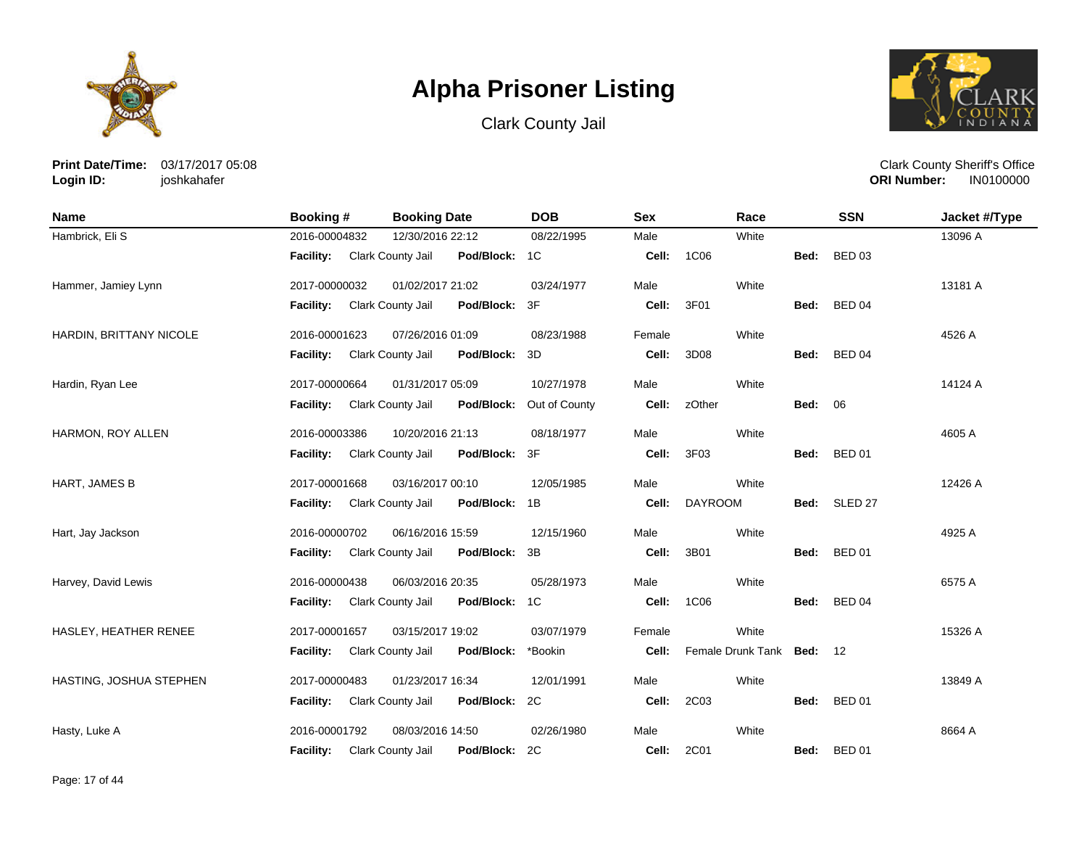





**Print Date/Time:** 03/17/2017 05:08 **Login ID:** joshkahafer

| <b>Name</b>             | <b>Booking#</b>             | <b>Booking Date</b>                | <b>DOB</b>               | <b>Sex</b> | Race                      |                | <b>SSN</b>    | Jacket #/Type |
|-------------------------|-----------------------------|------------------------------------|--------------------------|------------|---------------------------|----------------|---------------|---------------|
| Hambrick, Eli S         | 2016-00004832               | 12/30/2016 22:12                   | 08/22/1995               | Male       | White                     |                |               | 13096 A       |
|                         | Facility: Clark County Jail | Pod/Block: 1C                      |                          | Cell:      | 1C06                      | Bed:           | <b>BED 03</b> |               |
| Hammer, Jamiey Lynn     | 2017-00000032               | 01/02/2017 21:02                   | 03/24/1977               | Male       | White                     |                |               | 13181 A       |
|                         | <b>Facility:</b>            | Clark County Jail<br>Pod/Block: 3F |                          | Cell:      | 3F01                      | Bed:           | <b>BED 04</b> |               |
| HARDIN, BRITTANY NICOLE | 2016-00001623               | 07/26/2016 01:09                   | 08/23/1988               | Female     | White                     |                |               | 4526 A        |
|                         | <b>Facility:</b>            | Clark County Jail<br>Pod/Block: 3D |                          | Cell:      | 3D08                      |                | Bed: BED 04   |               |
| Hardin, Ryan Lee        | 2017-00000664               | 01/31/2017 05:09                   | 10/27/1978               | Male       | White                     |                |               | 14124 A       |
|                         | <b>Facility:</b>            | Clark County Jail                  | Pod/Block: Out of County | Cell:      | zOther                    | <b>Bed: 06</b> |               |               |
| HARMON, ROY ALLEN       | 2016-00003386               | 10/20/2016 21:13                   | 08/18/1977               | Male       | White                     |                |               | 4605 A        |
|                         | <b>Facility:</b>            | Pod/Block: 3F<br>Clark County Jail |                          | Cell:      | 3F03                      | Bed:           | <b>BED 01</b> |               |
| HART, JAMES B           | 2017-00001668               | 03/16/2017 00:10                   | 12/05/1985               | Male       | White                     |                |               | 12426 A       |
|                         | <b>Facility:</b>            | Clark County Jail<br>Pod/Block: 1B |                          | Cell:      | <b>DAYROOM</b>            |                | Bed: SLED 27  |               |
| Hart, Jay Jackson       | 2016-00000702               | 06/16/2016 15:59                   | 12/15/1960               | Male       | White                     |                |               | 4925 A        |
|                         | <b>Facility:</b>            | Clark County Jail<br>Pod/Block: 3B |                          | Cell:      | 3B01                      | Bed:           | <b>BED 01</b> |               |
| Harvey, David Lewis     | 2016-00000438               | 06/03/2016 20:35                   | 05/28/1973               | Male       | White                     |                |               | 6575 A        |
|                         | Facility: Clark County Jail | Pod/Block: 1C                      |                          | Cell:      | 1C06                      | Bed:           | <b>BED 04</b> |               |
| HASLEY, HEATHER RENEE   | 2017-00001657               | 03/15/2017 19:02                   | 03/07/1979               | Female     | White                     |                |               | 15326 A       |
|                         | <b>Facility:</b>            | Clark County Jail<br>Pod/Block:    | *Bookin                  | Cell:      | Female Drunk Tank Bed: 12 |                |               |               |
| HASTING, JOSHUA STEPHEN | 2017-00000483               | 01/23/2017 16:34                   | 12/01/1991               | Male       | White                     |                |               | 13849 A       |
|                         | Facility:                   | Clark County Jail<br>Pod/Block: 2C |                          | Cell:      | 2C03                      | Bed:           | <b>BED 01</b> |               |
| Hasty, Luke A           | 2016-00001792               | 08/03/2016 14:50                   | 02/26/1980               | Male       | White                     |                |               | 8664 A        |
|                         | <b>Facility:</b>            | Clark County Jail<br>Pod/Block: 2C |                          | Cell:      | 2C01                      | Bed:           | <b>BED 01</b> |               |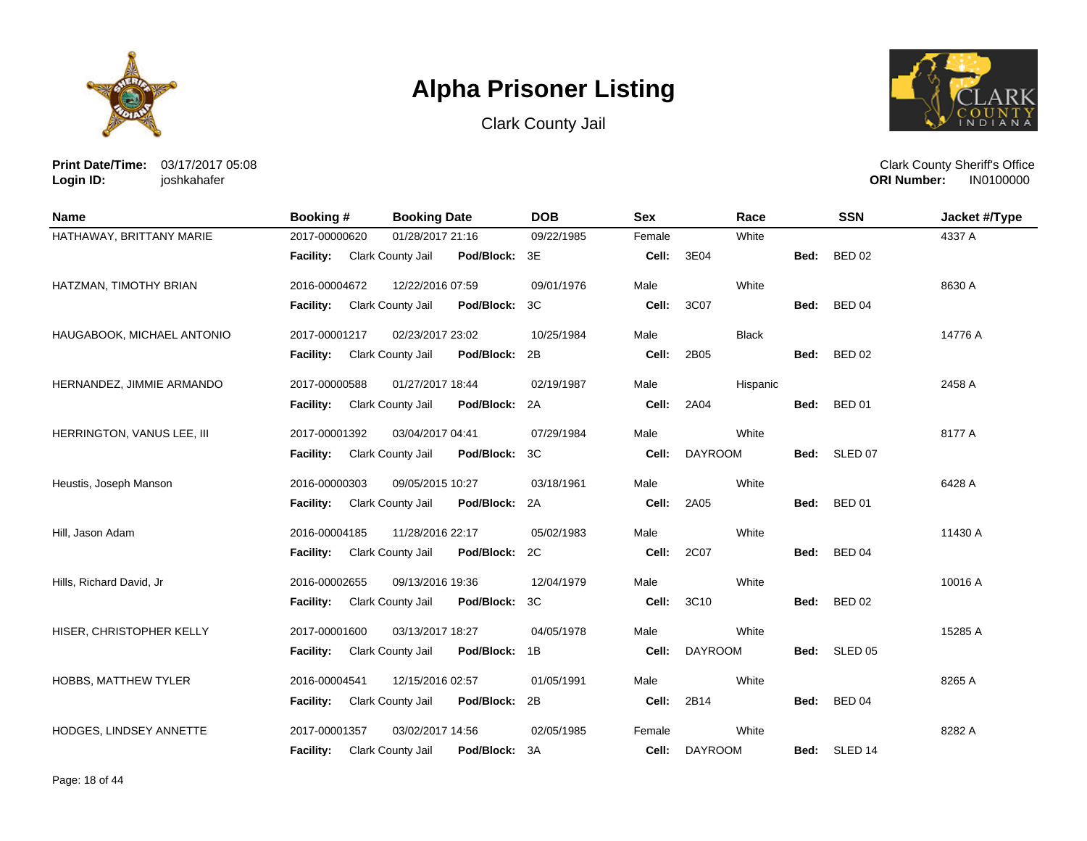





**Print Date/Time:** 03/17/2017 05:08 **Login ID:** joshkahafer

| <b>Name</b>                | <b>Booking#</b>  | <b>Booking Date</b>                | <b>DOB</b> | <b>Sex</b> | Race           |      | <b>SSN</b>         | Jacket #/Type |
|----------------------------|------------------|------------------------------------|------------|------------|----------------|------|--------------------|---------------|
| HATHAWAY, BRITTANY MARIE   | 2017-00000620    | 01/28/2017 21:16                   | 09/22/1985 | Female     | White          |      |                    | 4337 A        |
|                            | <b>Facility:</b> | Clark County Jail<br>Pod/Block: 3E |            | Cell:      | 3E04           | Bed: | <b>BED 02</b>      |               |
| HATZMAN, TIMOTHY BRIAN     | 2016-00004672    | 12/22/2016 07:59                   | 09/01/1976 | Male       | White          |      |                    | 8630 A        |
|                            | <b>Facility:</b> | Clark County Jail<br>Pod/Block:    | 3C         | Cell:      | 3C07           | Bed: | <b>BED 04</b>      |               |
| HAUGABOOK, MICHAEL ANTONIO | 2017-00001217    | 02/23/2017 23:02                   | 10/25/1984 | Male       | <b>Black</b>   |      |                    | 14776 A       |
|                            | Facility:        | Pod/Block: 2B<br>Clark County Jail |            | Cell:      | 2B05           | Bed: | <b>BED 02</b>      |               |
| HERNANDEZ, JIMMIE ARMANDO  | 2017-00000588    | 01/27/2017 18:44                   | 02/19/1987 | Male       | Hispanic       |      |                    | 2458 A        |
|                            | <b>Facility:</b> | Clark County Jail<br>Pod/Block: 2A |            | Cell:      | 2A04           | Bed: | <b>BED 01</b>      |               |
| HERRINGTON, VANUS LEE, III | 2017-00001392    | 03/04/2017 04:41                   | 07/29/1984 | Male       | White          |      |                    | 8177 A        |
|                            | <b>Facility:</b> | Pod/Block: 3C<br>Clark County Jail |            | Cell:      | <b>DAYROOM</b> | Bed: | SLED 07            |               |
| Heustis, Joseph Manson     | 2016-00000303    | 09/05/2015 10:27                   | 03/18/1961 | Male       | White          |      |                    | 6428 A        |
|                            | <b>Facility:</b> | Clark County Jail<br>Pod/Block: 2A |            | Cell:      | 2A05           | Bed: | <b>BED 01</b>      |               |
| Hill, Jason Adam           | 2016-00004185    | 11/28/2016 22:17                   | 05/02/1983 | Male       | White          |      |                    | 11430 A       |
|                            | <b>Facility:</b> | Clark County Jail<br>Pod/Block: 2C |            | Cell:      | 2C07           | Bed: | <b>BED 04</b>      |               |
| Hills, Richard David, Jr   | 2016-00002655    | 09/13/2016 19:36                   | 12/04/1979 | Male       | White          |      |                    | 10016 A       |
|                            | <b>Facility:</b> | Clark County Jail<br>Pod/Block: 3C |            | Cell:      | 3C10           | Bed: | <b>BED 02</b>      |               |
| HISER, CHRISTOPHER KELLY   | 2017-00001600    | 03/13/2017 18:27                   | 04/05/1978 | Male       | White          |      |                    | 15285 A       |
|                            | <b>Facility:</b> | Pod/Block: 1B<br>Clark County Jail |            | Cell:      | <b>DAYROOM</b> | Bed: | SLED <sub>05</sub> |               |
| HOBBS, MATTHEW TYLER       | 2016-00004541    | 12/15/2016 02:57                   | 01/05/1991 | Male       | White          |      |                    | 8265 A        |
|                            | <b>Facility:</b> | Clark County Jail<br>Pod/Block: 2B |            | Cell:      | 2B14           | Bed: | <b>BED 04</b>      |               |
| HODGES, LINDSEY ANNETTE    | 2017-00001357    | 03/02/2017 14:56                   | 02/05/1985 | Female     | White          |      |                    | 8282 A        |
|                            | <b>Facility:</b> | Pod/Block: 3A<br>Clark County Jail |            | Cell:      | <b>DAYROOM</b> | Bed: | SLED 14            |               |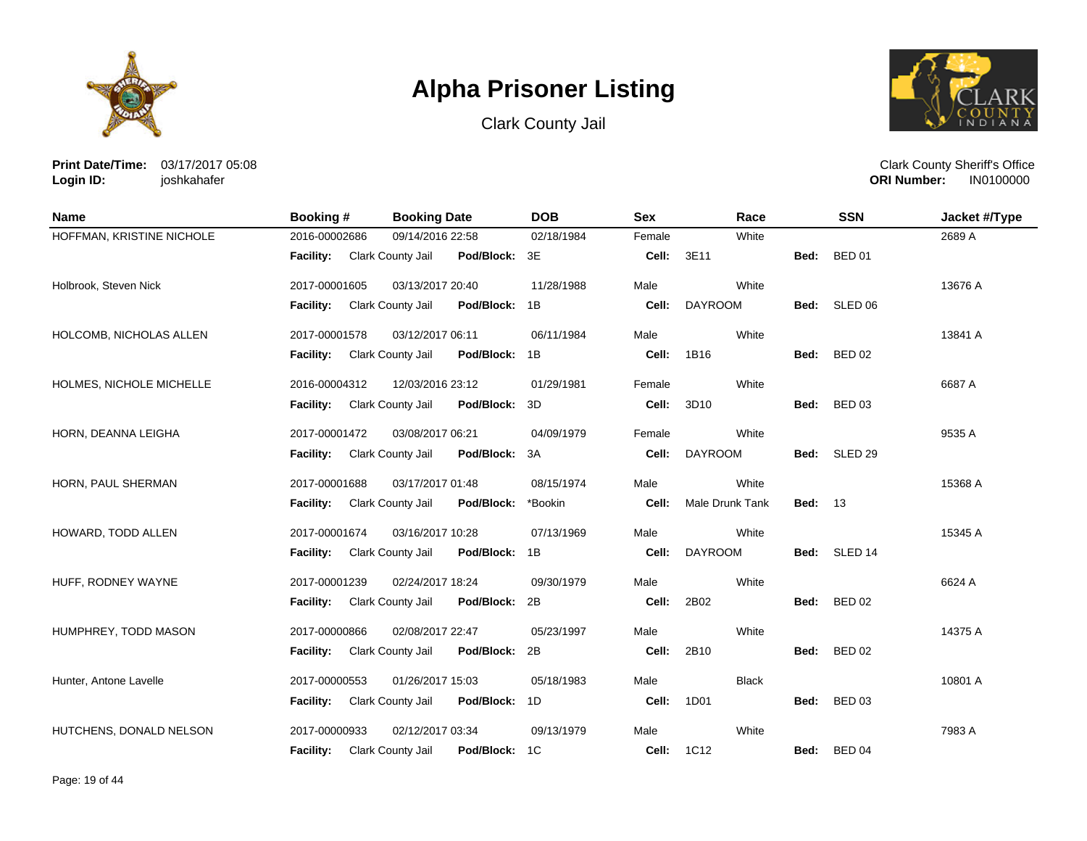





**Print Date/Time:** 03/17/2017 05:08 **Login ID:** joshkahafer

| <b>Name</b>               | <b>Booking#</b>  | <b>Booking Date</b>                       | <b>DOB</b> | <b>Sex</b> | Race            |                | <b>SSN</b>    | Jacket #/Type |
|---------------------------|------------------|-------------------------------------------|------------|------------|-----------------|----------------|---------------|---------------|
| HOFFMAN, KRISTINE NICHOLE | 2016-00002686    | 09/14/2016 22:58                          | 02/18/1984 | Female     | White           |                |               | 2689 A        |
|                           | <b>Facility:</b> | Clark County Jail<br>Pod/Block: 3E        |            | Cell:      | 3E11            | Bed:           | <b>BED 01</b> |               |
| Holbrook, Steven Nick     | 2017-00001605    | 03/13/2017 20:40                          | 11/28/1988 | Male       | White           |                |               | 13676 A       |
|                           | <b>Facility:</b> | Clark County Jail<br>Pod/Block: 1B        |            | Cell:      | <b>DAYROOM</b>  | Bed:           | SLED 06       |               |
| HOLCOMB, NICHOLAS ALLEN   | 2017-00001578    | 03/12/2017 06:11                          | 06/11/1984 | Male       | White           |                |               | 13841 A       |
|                           | <b>Facility:</b> | <b>Clark County Jail</b><br>Pod/Block: 1B |            | Cell:      | 1B16            | Bed:           | <b>BED 02</b> |               |
| HOLMES, NICHOLE MICHELLE  | 2016-00004312    | 12/03/2016 23:12                          | 01/29/1981 | Female     | White           |                |               | 6687 A        |
|                           | <b>Facility:</b> | Clark County Jail<br>Pod/Block: 3D        |            | Cell:      | 3D10            | Bed:           | <b>BED 03</b> |               |
| HORN, DEANNA LEIGHA       | 2017-00001472    | 03/08/2017 06:21                          | 04/09/1979 | Female     | White           |                |               | 9535 A        |
|                           | <b>Facility:</b> | Pod/Block: 3A<br>Clark County Jail        |            | Cell:      | <b>DAYROOM</b>  |                | Bed: SLED 29  |               |
| HORN, PAUL SHERMAN        | 2017-00001688    | 03/17/2017 01:48                          | 08/15/1974 | Male       | White           |                |               | 15368 A       |
|                           | <b>Facility:</b> | Clark County Jail<br>Pod/Block:           | *Bookin    | Cell:      | Male Drunk Tank | <b>Bed: 13</b> |               |               |
| HOWARD, TODD ALLEN        | 2017-00001674    | 03/16/2017 10:28                          | 07/13/1969 | Male       | White           |                |               | 15345 A       |
|                           | <b>Facility:</b> | Clark County Jail<br>Pod/Block: 1B        |            | Cell:      | <b>DAYROOM</b>  |                | Bed: SLED 14  |               |
| HUFF, RODNEY WAYNE        | 2017-00001239    | 02/24/2017 18:24                          | 09/30/1979 | Male       | White           |                |               | 6624 A        |
|                           | <b>Facility:</b> | Pod/Block: 2B<br>Clark County Jail        |            | Cell:      | 2B02            | Bed:           | <b>BED 02</b> |               |
| HUMPHREY, TODD MASON      | 2017-00000866    | 02/08/2017 22:47                          | 05/23/1997 | Male       | White           |                |               | 14375 A       |
|                           | <b>Facility:</b> | Pod/Block: 2B<br>Clark County Jail        |            | Cell:      | 2B10            | Bed:           | <b>BED 02</b> |               |
| Hunter, Antone Lavelle    | 2017-00000553    | 01/26/2017 15:03                          | 05/18/1983 | Male       | <b>Black</b>    |                |               | 10801 A       |
|                           | Facility:        | Clark County Jail<br>Pod/Block: 1D        |            | Cell:      | 1D01            | Bed:           | <b>BED 03</b> |               |
| HUTCHENS, DONALD NELSON   | 2017-00000933    | 02/12/2017 03:34                          | 09/13/1979 | Male       | White           |                |               | 7983 A        |
|                           | <b>Facility:</b> | Clark County Jail<br>Pod/Block:           | 1C         | Cell:      | 1C12            | Bed:           | <b>BED 04</b> |               |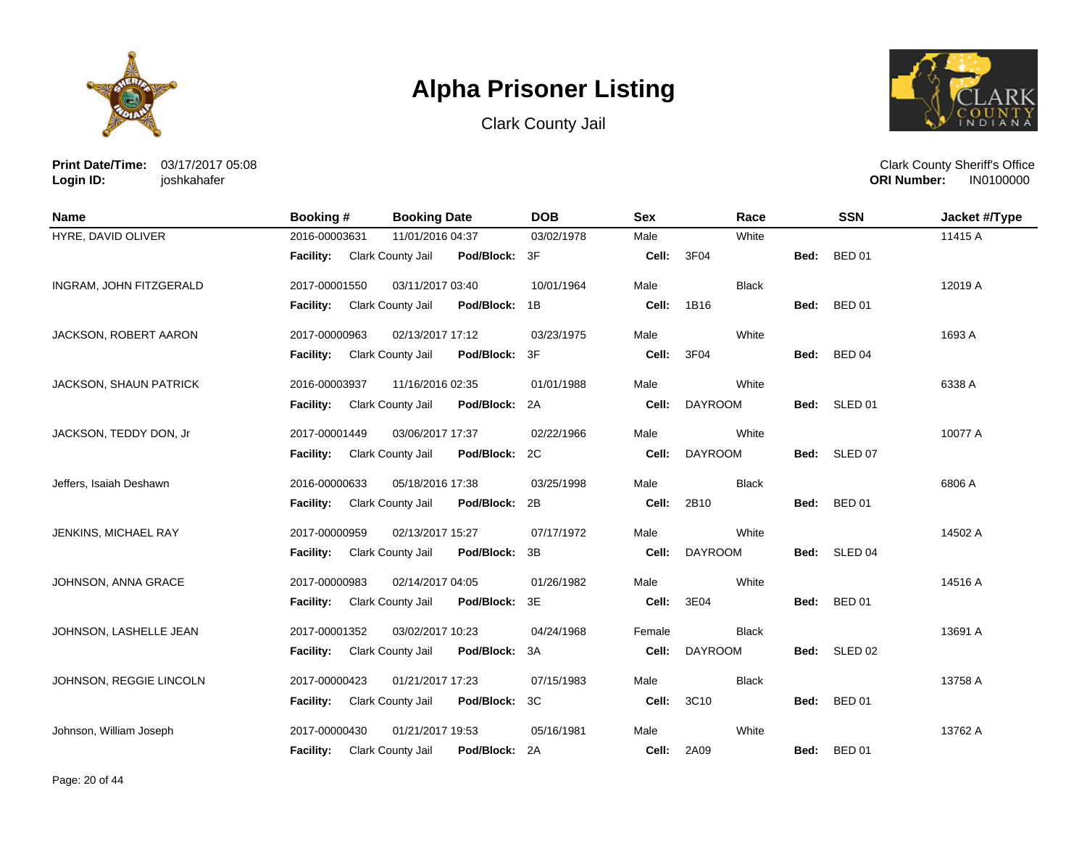





**Print Date/Time:** 03/17/2017 05:08 **Login ID:** joshkahafer

| <b>Name</b>             | Booking #                   | <b>Booking Date</b>                | <b>DOB</b> | <b>Sex</b> | Race           |             | <b>SSN</b>    | Jacket #/Type |
|-------------------------|-----------------------------|------------------------------------|------------|------------|----------------|-------------|---------------|---------------|
| HYRE, DAVID OLIVER      | 2016-00003631               | 11/01/2016 04:37                   | 03/02/1978 | Male       | White          |             |               | 11415 A       |
|                         | Facility: Clark County Jail | Pod/Block: 3F                      |            | Cell:      | 3F04           | Bed:        | <b>BED 01</b> |               |
| INGRAM, JOHN FITZGERALD | 2017-00001550               | 03/11/2017 03:40                   | 10/01/1964 | Male       | <b>Black</b>   |             |               | 12019 A       |
|                         | <b>Facility:</b>            | Clark County Jail<br>Pod/Block: 1B |            | Cell:      | 1B16           | Bed: BED 01 |               |               |
| JACKSON, ROBERT AARON   | 2017-00000963               | 02/13/2017 17:12                   | 03/23/1975 | Male       | White          |             |               | 1693 A        |
|                         | <b>Facility:</b>            | Clark County Jail<br>Pod/Block: 3F |            | Cell:      | 3F04           | Bed: BED 04 |               |               |
| JACKSON, SHAUN PATRICK  | 2016-00003937               | 11/16/2016 02:35                   | 01/01/1988 | Male       | White          |             |               | 6338 A        |
|                         | Facility:                   | Pod/Block: 2A<br>Clark County Jail |            | Cell:      | <b>DAYROOM</b> | Bed:        | SLED 01       |               |
| JACKSON, TEDDY DON, Jr  | 2017-00001449               | 03/06/2017 17:37                   | 02/22/1966 | Male       | White          |             |               | 10077 A       |
|                         | <b>Facility:</b>            | Pod/Block: 2C<br>Clark County Jail |            | Cell:      | <b>DAYROOM</b> |             | Bed: SLED 07  |               |
| Jeffers, Isaiah Deshawn | 2016-00000633               | 05/18/2016 17:38                   | 03/25/1998 | Male       | <b>Black</b>   |             |               | 6806 A        |
|                         | <b>Facility:</b>            | Clark County Jail<br>Pod/Block: 2B |            | Cell:      | 2B10           | Bed:        | <b>BED 01</b> |               |
| JENKINS, MICHAEL RAY    | 2017-00000959               | 02/13/2017 15:27                   | 07/17/1972 | Male       | White          |             |               | 14502 A       |
|                         | Facility:                   | Clark County Jail<br>Pod/Block: 3B |            | Cell:      | <b>DAYROOM</b> |             | Bed: SLED 04  |               |
| JOHNSON, ANNA GRACE     | 2017-00000983               | 02/14/2017 04:05                   | 01/26/1982 | Male       | White          |             |               | 14516 A       |
|                         | <b>Facility:</b>            | Clark County Jail<br>Pod/Block: 3E |            | Cell:      | 3E04           | Bed:        | <b>BED 01</b> |               |
| JOHNSON, LASHELLE JEAN  | 2017-00001352               | 03/02/2017 10:23                   | 04/24/1968 | Female     | <b>Black</b>   |             |               | 13691 A       |
|                         | <b>Facility:</b>            | Pod/Block: 3A<br>Clark County Jail |            | Cell:      | <b>DAYROOM</b> | Bed:        | SLED 02       |               |
| JOHNSON, REGGIE LINCOLN | 2017-00000423               | 01/21/2017 17:23                   | 07/15/1983 | Male       | <b>Black</b>   |             |               | 13758 A       |
|                         | <b>Facility:</b>            | Clark County Jail<br>Pod/Block: 3C |            | Cell:      | 3C10           | Bed:        | <b>BED 01</b> |               |
| Johnson, William Joseph | 2017-00000430               | 01/21/2017 19:53                   | 05/16/1981 | Male       | White          |             |               | 13762 A       |
|                         | <b>Facility:</b>            | Clark County Jail<br>Pod/Block:    | 2A         | Cell:      | 2A09           | Bed:        | <b>BED 01</b> |               |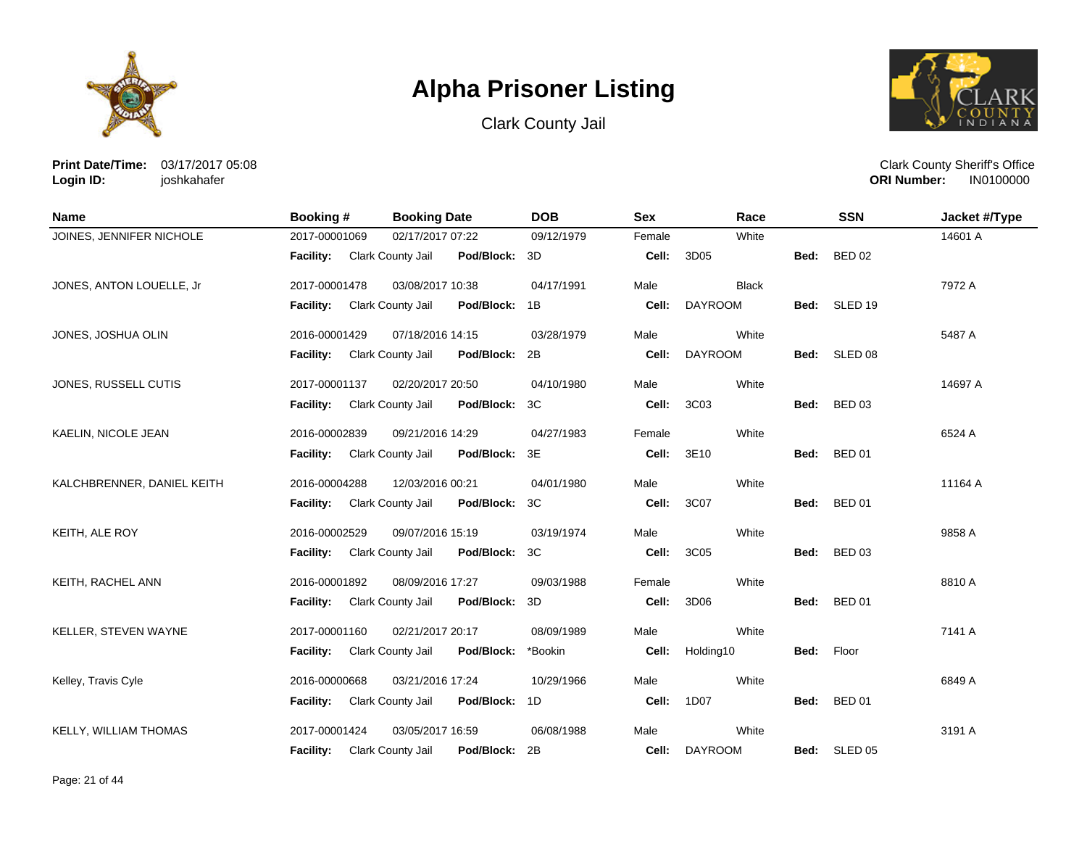





**Print Date/Time:** 03/17/2017 05:08 **Login ID:** joshkahafer

| Name                       | Booking#         | <b>Booking Date</b>             | <b>DOB</b> | <b>Sex</b> | Race           |      | <b>SSN</b>    | Jacket #/Type |
|----------------------------|------------------|---------------------------------|------------|------------|----------------|------|---------------|---------------|
| JOINES, JENNIFER NICHOLE   | 2017-00001069    | 02/17/2017 07:22                | 09/12/1979 | Female     | White          |      |               | 14601 A       |
|                            | <b>Facility:</b> | Pod/Block:<br>Clark County Jail | 3D         | Cell:      | 3D05           | Bed: | <b>BED 02</b> |               |
| JONES, ANTON LOUELLE, Jr   | 2017-00001478    | 03/08/2017 10:38                | 04/17/1991 | Male       | <b>Black</b>   |      |               | 7972 A        |
|                            | <b>Facility:</b> | Clark County Jail<br>Pod/Block: | 1B         | Cell:      | <b>DAYROOM</b> |      | Bed: SLED 19  |               |
| JONES, JOSHUA OLIN         | 2016-00001429    | 07/18/2016 14:15                | 03/28/1979 | Male       | White          |      |               | 5487 A        |
|                            | Facility:        | Clark County Jail<br>Pod/Block: | 2B         | Cell:      | <b>DAYROOM</b> | Bed: | SLED 08       |               |
| JONES, RUSSELL CUTIS       | 2017-00001137    | 02/20/2017 20:50                | 04/10/1980 | Male       | White          |      |               | 14697 A       |
|                            | <b>Facility:</b> | Clark County Jail<br>Pod/Block: | 3C         | Cell:      | 3C03           | Bed: | <b>BED 03</b> |               |
| KAELIN, NICOLE JEAN        | 2016-00002839    | 09/21/2016 14:29                | 04/27/1983 | Female     | White          |      |               | 6524 A        |
|                            | <b>Facility:</b> | Clark County Jail<br>Pod/Block: | 3E         | Cell:      | 3E10           | Bed: | <b>BED 01</b> |               |
| KALCHBRENNER, DANIEL KEITH | 2016-00004288    | 12/03/2016 00:21                | 04/01/1980 | Male       | White          |      |               | 11164 A       |
|                            | <b>Facility:</b> | Clark County Jail<br>Pod/Block: | 3C         | Cell:      | 3C07           | Bed: | <b>BED 01</b> |               |
| KEITH, ALE ROY             | 2016-00002529    | 09/07/2016 15:19                | 03/19/1974 | Male       | White          |      |               | 9858 A        |
|                            | <b>Facility:</b> | Clark County Jail<br>Pod/Block: | 3C         | Cell:      | 3C05           | Bed: | <b>BED 03</b> |               |
| KEITH, RACHEL ANN          | 2016-00001892    | 08/09/2016 17:27                | 09/03/1988 | Female     | White          |      |               | 8810 A        |
|                            | <b>Facility:</b> | Clark County Jail<br>Pod/Block: | 3D         | Cell:      | 3D06           | Bed: | <b>BED 01</b> |               |
| KELLER, STEVEN WAYNE       | 2017-00001160    | 02/21/2017 20:17                | 08/09/1989 | Male       | White          |      |               | 7141 A        |
|                            | <b>Facility:</b> | Clark County Jail<br>Pod/Block: | *Bookin    | Cell:      | Holding10      | Bed: | Floor         |               |
| Kelley, Travis Cyle        | 2016-00000668    | 03/21/2016 17:24                | 10/29/1966 | Male       | White          |      |               | 6849 A        |
|                            | Facility:        | Clark County Jail<br>Pod/Block: | 1D         | Cell:      | 1D07           | Bed: | <b>BED 01</b> |               |
| KELLY, WILLIAM THOMAS      | 2017-00001424    | 03/05/2017 16:59                | 06/08/1988 | Male       | White          |      |               | 3191 A        |
|                            | <b>Facility:</b> | Pod/Block:<br>Clark County Jail | 2Β         | Cell:      | <b>DAYROOM</b> | Bed: | SLED 05       |               |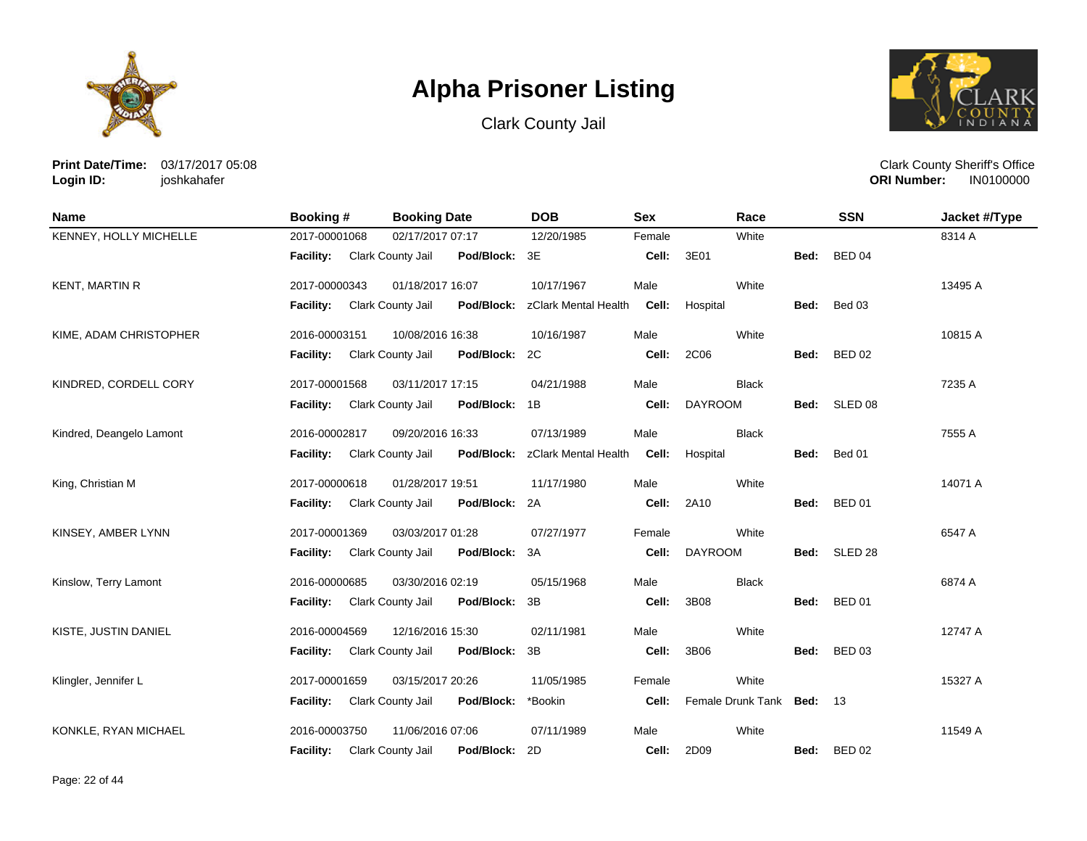





**Print Date/Time:** 03/17/2017 05:08 **Login ID:** joshkahafer

| <b>Name</b>              | Booking #        | <b>Booking Date</b>                | <b>DOB</b>           | <b>Sex</b>        | Race                      |      | <b>SSN</b>         | Jacket #/Type |
|--------------------------|------------------|------------------------------------|----------------------|-------------------|---------------------------|------|--------------------|---------------|
| KENNEY, HOLLY MICHELLE   | 2017-00001068    | 02/17/2017 07:17                   | 12/20/1985           | Female            | White                     |      |                    | 8314 A        |
|                          | <b>Facility:</b> | Clark County Jail<br>Pod/Block: 3E |                      | Cell:             | 3E01                      | Bed: | <b>BED 04</b>      |               |
| <b>KENT, MARTIN R</b>    | 2017-00000343    | 01/18/2017 16:07                   | 10/17/1967           | Male              | White                     |      |                    | 13495 A       |
|                          | Facility:        | Clark County Jail<br>Pod/Block:    | zClark Mental Health | Cell:             | Hospital                  | Bed: | Bed 03             |               |
| KIME, ADAM CHRISTOPHER   | 2016-00003151    | 10/08/2016 16:38                   | 10/16/1987           | Male              | White                     |      |                    | 10815 A       |
|                          | <b>Facility:</b> | Clark County Jail<br>Pod/Block:    | 2C                   | Cell:             | 2C06                      | Bed: | <b>BED 02</b>      |               |
| KINDRED, CORDELL CORY    | 2017-00001568    | 03/11/2017 17:15                   | 04/21/1988           | Male              | <b>Black</b>              |      |                    | 7235 A        |
|                          | <b>Facility:</b> | Clark County Jail<br>Pod/Block:    | 1B                   | Cell:             | <b>DAYROOM</b>            | Bed: | SLED 08            |               |
| Kindred, Deangelo Lamont | 2016-00002817    | 09/20/2016 16:33                   | 07/13/1989           | Male              | <b>Black</b>              |      |                    | 7555 A        |
|                          | <b>Facility:</b> | Clark County Jail<br>Pod/Block:    | zClark Mental Health |                   | <b>Cell:</b> Hospital     | Bed: | Bed 01             |               |
| King, Christian M        | 2017-00000618    | 01/28/2017 19:51                   | 11/17/1980           | Male              | White                     |      |                    | 14071 A       |
|                          | <b>Facility:</b> | Clark County Jail<br>Pod/Block:    | 2A                   | Cell:             | 2A10                      | Bed: | <b>BED 01</b>      |               |
| KINSEY, AMBER LYNN       | 2017-00001369    | 03/03/2017 01:28                   | 07/27/1977           | Female            | White                     |      |                    | 6547 A        |
|                          | <b>Facility:</b> | Pod/Block:<br>Clark County Jail    | 3A                   | Cell:             | <b>DAYROOM</b>            | Bed: | SLED <sub>28</sub> |               |
| Kinslow, Terry Lamont    | 2016-00000685    | 03/30/2016 02:19                   | 05/15/1968           | Male              | <b>Black</b>              |      |                    | 6874 A        |
|                          | <b>Facility:</b> | Clark County Jail<br>Pod/Block:    | 3B                   | Cell:             | 3B08                      | Bed: | <b>BED 01</b>      |               |
| KISTE, JUSTIN DANIEL     | 2016-00004569    | 12/16/2016 15:30                   | 02/11/1981           | Male              | White                     |      |                    | 12747 A       |
|                          | <b>Facility:</b> | Clark County Jail<br>Pod/Block:    | 3B                   | Cell:             | 3B06                      | Bed: | <b>BED 03</b>      |               |
| Klingler, Jennifer L     | 2017-00001659    | 03/15/2017 20:26                   | 11/05/1985           | Female            | White                     |      |                    | 15327 A       |
|                          | <b>Facility:</b> | Clark County Jail<br>Pod/Block:    | *Bookin              | Cell:             | Female Drunk Tank Bed: 13 |      |                    |               |
| KONKLE, RYAN MICHAEL     | 2016-00003750    | 11/06/2016 07:06                   | 07/11/1989           | Male              | White                     |      |                    | 11549 A       |
|                          | <b>Facility:</b> | Pod/Block:<br>Clark County Jail    | - 2D                 | <b>Cell: 2D09</b> |                           | Bed: | <b>BED 02</b>      |               |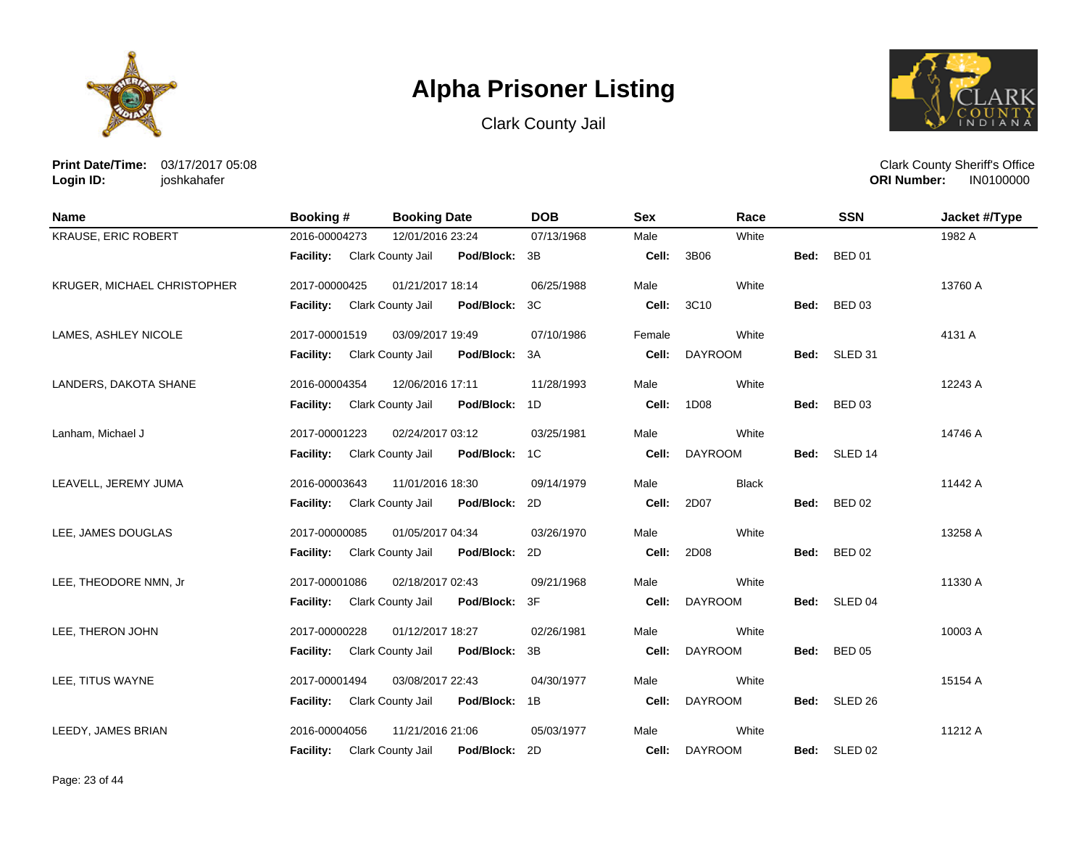





**Print Date/Time:** 03/17/2017 05:08 **Login ID:** joshkahafer

| <b>Name</b>                 | Booking #                   | <b>Booking Date</b>                | <b>DOB</b> | <b>Sex</b> | Race           |      | <b>SSN</b>    | Jacket #/Type |
|-----------------------------|-----------------------------|------------------------------------|------------|------------|----------------|------|---------------|---------------|
| <b>KRAUSE, ERIC ROBERT</b>  | 2016-00004273               | 12/01/2016 23:24                   | 07/13/1968 | Male       | White          |      |               | 1982 A        |
|                             | Facility: Clark County Jail | Pod/Block: 3B                      |            | Cell:      | 3B06           | Bed: | <b>BED 01</b> |               |
| KRUGER, MICHAEL CHRISTOPHER | 2017-00000425               | 01/21/2017 18:14                   | 06/25/1988 | Male       | White          |      |               | 13760 A       |
|                             | Facility: Clark County Jail | Pod/Block: 3C                      |            | Cell:      | 3C10           | Bed: | <b>BED 03</b> |               |
| LAMES, ASHLEY NICOLE        | 2017-00001519               | 03/09/2017 19:49                   | 07/10/1986 | Female     | White          |      |               | 4131 A        |
|                             | Facility: Clark County Jail | Pod/Block: 3A                      |            | Cell:      | <b>DAYROOM</b> |      | Bed: SLED 31  |               |
| LANDERS, DAKOTA SHANE       | 2016-00004354               | 12/06/2016 17:11                   | 11/28/1993 | Male       | White          |      |               | 12243 A       |
|                             | <b>Facility:</b>            | Clark County Jail<br>Pod/Block: 1D |            | Cell:      | 1D08           |      | Bed: BED 03   |               |
| Lanham, Michael J           | 2017-00001223               | 02/24/2017 03:12                   | 03/25/1981 | Male       | White          |      |               | 14746 A       |
|                             | Facility: Clark County Jail | Pod/Block: 1C                      |            | Cell:      | <b>DAYROOM</b> |      | Bed: SLED 14  |               |
| LEAVELL, JEREMY JUMA        | 2016-00003643               | 11/01/2016 18:30                   | 09/14/1979 | Male       | <b>Black</b>   |      |               | 11442 A       |
|                             | Facility: Clark County Jail | Pod/Block: 2D                      |            | Cell:      | 2D07           |      | Bed: BED 02   |               |
| LEE, JAMES DOUGLAS          | 2017-00000085               | 01/05/2017 04:34                   | 03/26/1970 | Male       | White          |      |               | 13258 A       |
|                             | <b>Facility:</b>            | Clark County Jail<br>Pod/Block: 2D |            | Cell:      | 2D08           | Bed: | <b>BED 02</b> |               |
| LEE, THEODORE NMN, Jr       | 2017-00001086               | 02/18/2017 02:43                   | 09/21/1968 | Male       | White          |      |               | 11330 A       |
|                             | Facility: Clark County Jail | Pod/Block: 3F                      |            | Cell:      | <b>DAYROOM</b> |      | Bed: SLED 04  |               |
| LEE, THERON JOHN            | 2017-00000228               | 01/12/2017 18:27                   | 02/26/1981 | Male       | White          |      |               | 10003 A       |
|                             | <b>Facility:</b>            | Clark County Jail<br>Pod/Block: 3B |            | Cell:      | <b>DAYROOM</b> | Bed: | <b>BED 05</b> |               |
| LEE, TITUS WAYNE            | 2017-00001494               | 03/08/2017 22:43                   | 04/30/1977 | Male       | White          |      |               | 15154 A       |
|                             | Facility:                   | Clark County Jail<br>Pod/Block: 1B |            | Cell:      | <b>DAYROOM</b> |      | Bed: SLED 26  |               |
| LEEDY, JAMES BRIAN          | 2016-00004056               | 11/21/2016 21:06                   | 05/03/1977 | Male       | White          |      |               | 11212 A       |
|                             | Facility: Clark County Jail | Pod/Block: 2D                      |            |            | Cell: DAYROOM  |      | Bed: SLED 02  |               |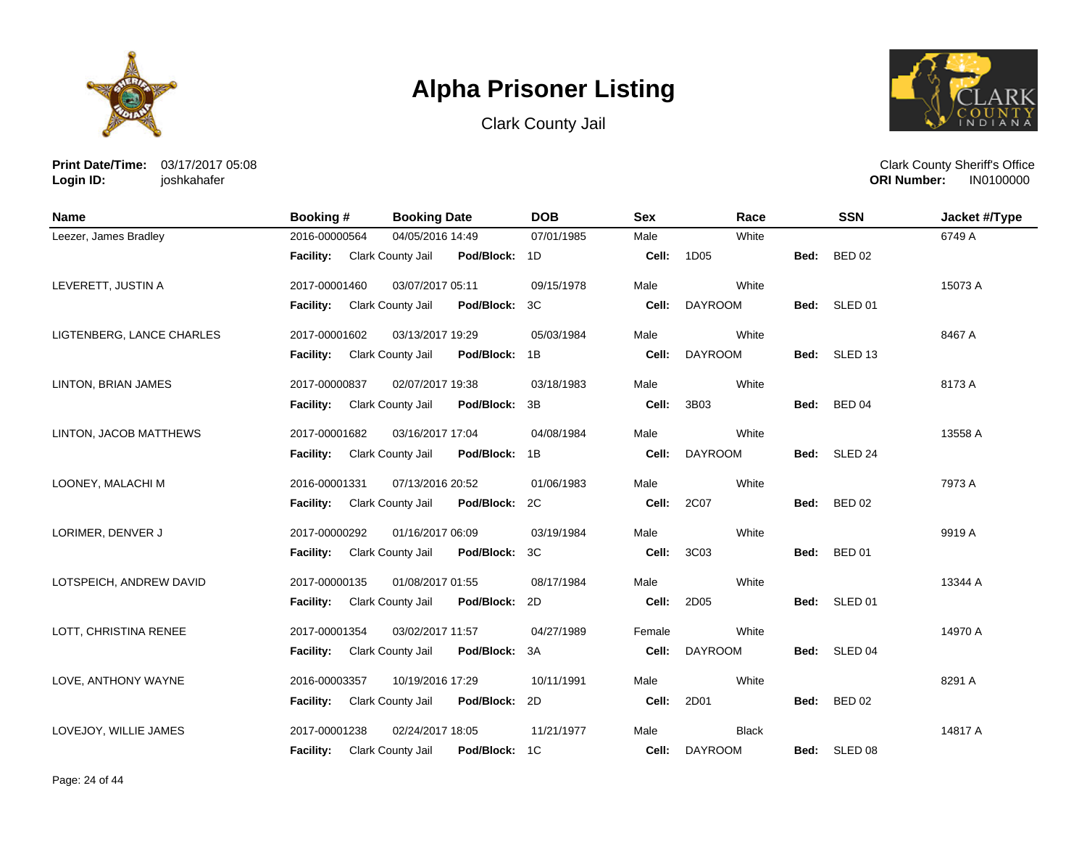





**Print Date/Time:** 03/17/2017 05:08 **Login ID:** joshkahafer

| <b>Name</b>               | <b>Booking#</b>  | <b>Booking Date</b>                       | <b>DOB</b> | <b>Sex</b> | Race           |      | <b>SSN</b>    | Jacket #/Type |
|---------------------------|------------------|-------------------------------------------|------------|------------|----------------|------|---------------|---------------|
| Leezer, James Bradley     | 2016-00000564    | 04/05/2016 14:49                          | 07/01/1985 | Male       | White          |      |               | 6749 A        |
|                           | Facility:        | Clark County Jail<br>Pod/Block: 1D        |            | Cell:      | 1D05           | Bed: | <b>BED 02</b> |               |
| LEVERETT, JUSTIN A        | 2017-00001460    | 03/07/2017 05:11                          | 09/15/1978 | Male       | White          |      |               | 15073 A       |
|                           | <b>Facility:</b> | <b>Clark County Jail</b><br>Pod/Block: 3C |            | Cell:      | <b>DAYROOM</b> |      | Bed: SLED 01  |               |
| LIGTENBERG, LANCE CHARLES | 2017-00001602    | 03/13/2017 19:29                          | 05/03/1984 | Male       | White          |      |               | 8467 A        |
|                           | <b>Facility:</b> | Clark County Jail<br>Pod/Block: 1B        |            | Cell:      | <b>DAYROOM</b> |      | Bed: SLED 13  |               |
| LINTON, BRIAN JAMES       | 2017-00000837    | 02/07/2017 19:38                          | 03/18/1983 | Male       | White          |      |               | 8173 A        |
|                           | <b>Facility:</b> | Clark County Jail<br>Pod/Block: 3B        |            | Cell:      | 3B03           |      | Bed: BED 04   |               |
| LINTON, JACOB MATTHEWS    | 2017-00001682    | 03/16/2017 17:04                          | 04/08/1984 | Male       | White          |      |               | 13558 A       |
|                           | <b>Facility:</b> | Pod/Block: 1B<br>Clark County Jail        |            | Cell:      | <b>DAYROOM</b> |      | Bed: SLED 24  |               |
| LOONEY, MALACHI M         | 2016-00001331    | 07/13/2016 20:52                          | 01/06/1983 | Male       | White          |      |               | 7973 A        |
|                           | <b>Facility:</b> | <b>Clark County Jail</b><br>Pod/Block: 2C |            | Cell:      | 2C07           | Bed: | <b>BED 02</b> |               |
| LORIMER, DENVER J         | 2017-00000292    | 01/16/2017 06:09                          | 03/19/1984 | Male       | White          |      |               | 9919 A        |
|                           | <b>Facility:</b> | Pod/Block: 3C<br>Clark County Jail        |            | Cell:      | 3C03           | Bed: | <b>BED 01</b> |               |
| LOTSPEICH, ANDREW DAVID   | 2017-00000135    | 01/08/2017 01:55                          | 08/17/1984 | Male       | White          |      |               | 13344 A       |
|                           | <b>Facility:</b> | Clark County Jail<br>Pod/Block: 2D        |            | Cell:      | 2D05           |      | Bed: SLED 01  |               |
| LOTT, CHRISTINA RENEE     | 2017-00001354    | 03/02/2017 11:57                          | 04/27/1989 | Female     | White          |      |               | 14970 A       |
|                           | <b>Facility:</b> | <b>Clark County Jail</b><br>Pod/Block: 3A |            | Cell:      | <b>DAYROOM</b> | Bed: | SLED 04       |               |
| LOVE, ANTHONY WAYNE       | 2016-00003357    | 10/19/2016 17:29                          | 10/11/1991 | Male       | White          |      |               | 8291 A        |
|                           | Facility:        | Clark County Jail<br>Pod/Block: 2D        |            | Cell:      | 2D01           | Bed: | <b>BED 02</b> |               |
| LOVEJOY, WILLIE JAMES     | 2017-00001238    | 02/24/2017 18:05                          | 11/21/1977 | Male       | <b>Black</b>   |      |               | 14817 A       |
|                           | <b>Facility:</b> | Pod/Block: 1C<br>Clark County Jail        |            |            | Cell: DAYROOM  |      | Bed: SLED 08  |               |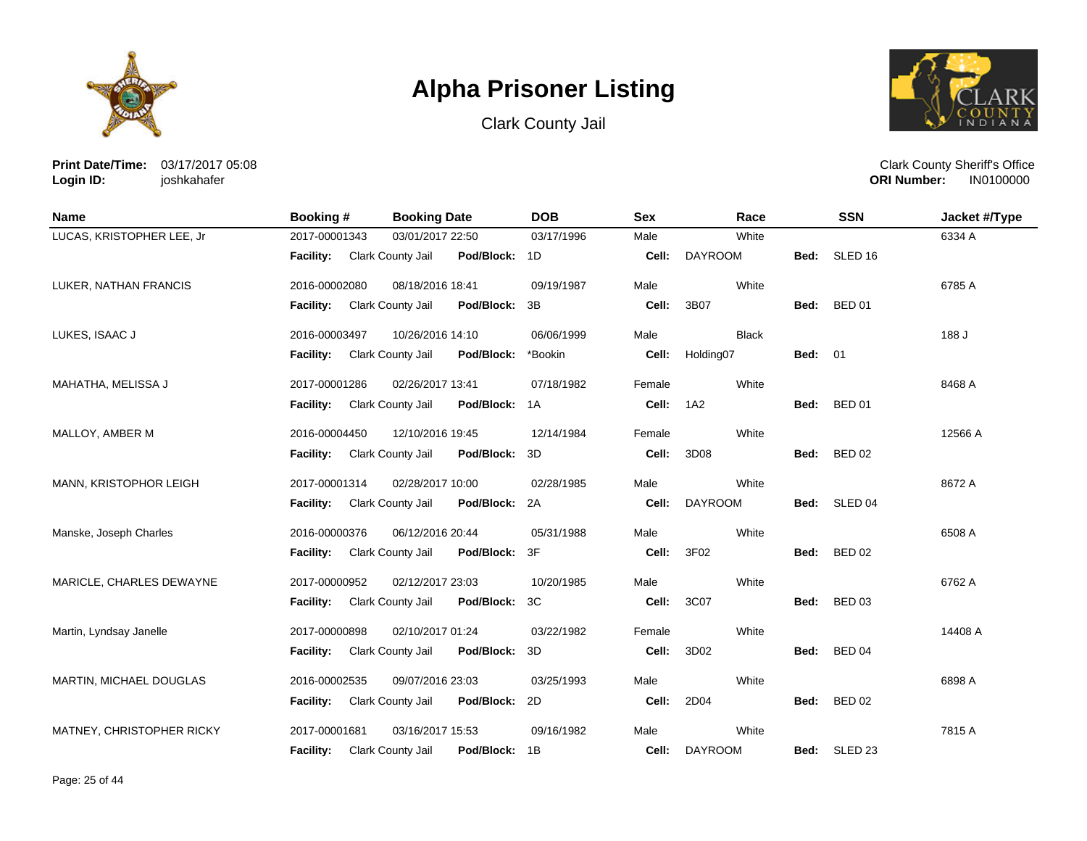





**Print Date/Time:** 03/17/2017 05:08 **Login ID:** joshkahafer

| <b>Name</b>               | <b>Booking#</b>  | <b>Booking Date</b>                    | <b>DOB</b> | <b>Sex</b> | Race           |                | <b>SSN</b>         | Jacket #/Type |
|---------------------------|------------------|----------------------------------------|------------|------------|----------------|----------------|--------------------|---------------|
| LUCAS, KRISTOPHER LEE, Jr | 2017-00001343    | 03/01/2017 22:50                       | 03/17/1996 | Male       | White          |                |                    | 6334 A        |
|                           | <b>Facility:</b> | Clark County Jail<br>Pod/Block: 1D     |            | Cell:      | <b>DAYROOM</b> | Bed:           | SLED <sub>16</sub> |               |
| LUKER, NATHAN FRANCIS     | 2016-00002080    | 08/18/2016 18:41                       | 09/19/1987 | Male       | White          |                |                    | 6785 A        |
|                           | <b>Facility:</b> | Clark County Jail<br>Pod/Block:        | 3B         | Cell:      | 3B07           | Bed:           | <b>BED 01</b>      |               |
| LUKES, ISAAC J            | 2016-00003497    | 10/26/2016 14:10                       | 06/06/1999 | Male       | <b>Black</b>   |                |                    | 188 J         |
|                           | Facility:        | Clark County Jail<br>Pod/Block:        | *Bookin    | Cell:      | Holding07      | <b>Bed: 01</b> |                    |               |
| MAHATHA, MELISSA J        | 2017-00001286    | 02/26/2017 13:41                       | 07/18/1982 | Female     | White          |                |                    | 8468 A        |
|                           | Facility:        | Clark County Jail<br>Pod/Block: 1A     |            | Cell:      | 1A2            | Bed:           | <b>BED 01</b>      |               |
| MALLOY, AMBER M           | 2016-00004450    | 12/10/2016 19:45                       | 12/14/1984 | Female     | White          |                |                    | 12566 A       |
|                           | Facility:        | Clark County Jail<br>Pod/Block:        | 3D         | Cell:      | 3D08           | Bed:           | <b>BED 02</b>      |               |
| MANN, KRISTOPHOR LEIGH    | 2017-00001314    | 02/28/2017 10:00                       | 02/28/1985 | Male       | White          |                |                    | 8672 A        |
|                           | <b>Facility:</b> | Clark County Jail<br>Pod/Block:        | 2A         | Cell:      | <b>DAYROOM</b> | Bed:           | SLED 04            |               |
| Manske, Joseph Charles    | 2016-00000376    | 06/12/2016 20:44                       | 05/31/1988 | Male       | White          |                |                    | 6508 A        |
|                           | Facility:        | Clark County Jail<br>Pod/Block:        | 3F         | Cell:      | 3F02           | Bed:           | <b>BED 02</b>      |               |
| MARICLE, CHARLES DEWAYNE  | 2017-00000952    | 02/12/2017 23:03                       | 10/20/1985 | Male       | White          |                |                    | 6762 A        |
|                           | <b>Facility:</b> | Clark County Jail<br>Pod/Block:        | 3C         | Cell:      | 3C07           | Bed:           | <b>BED 03</b>      |               |
| Martin, Lyndsay Janelle   | 2017-00000898    | 02/10/2017 01:24                       | 03/22/1982 | Female     | White          |                |                    | 14408 A       |
|                           | <b>Facility:</b> | <b>Clark County Jail</b><br>Pod/Block: | 3D         | Cell:      | 3D02           | Bed:           | <b>BED 04</b>      |               |
| MARTIN, MICHAEL DOUGLAS   | 2016-00002535    | 09/07/2016 23:03                       | 03/25/1993 | Male       | White          |                |                    | 6898 A        |
|                           | Facility:        | Clark County Jail<br>Pod/Block:        | 2D         | Cell:      | 2D04           | Bed:           | <b>BED 02</b>      |               |
| MATNEY, CHRISTOPHER RICKY | 2017-00001681    | 03/16/2017 15:53                       | 09/16/1982 | Male       | White          |                |                    | 7815 A        |
|                           | <b>Facility:</b> | Pod/Block: 1B<br>Clark County Jail     |            | Cell:      | <b>DAYROOM</b> | Bed:           | SLED <sub>23</sub> |               |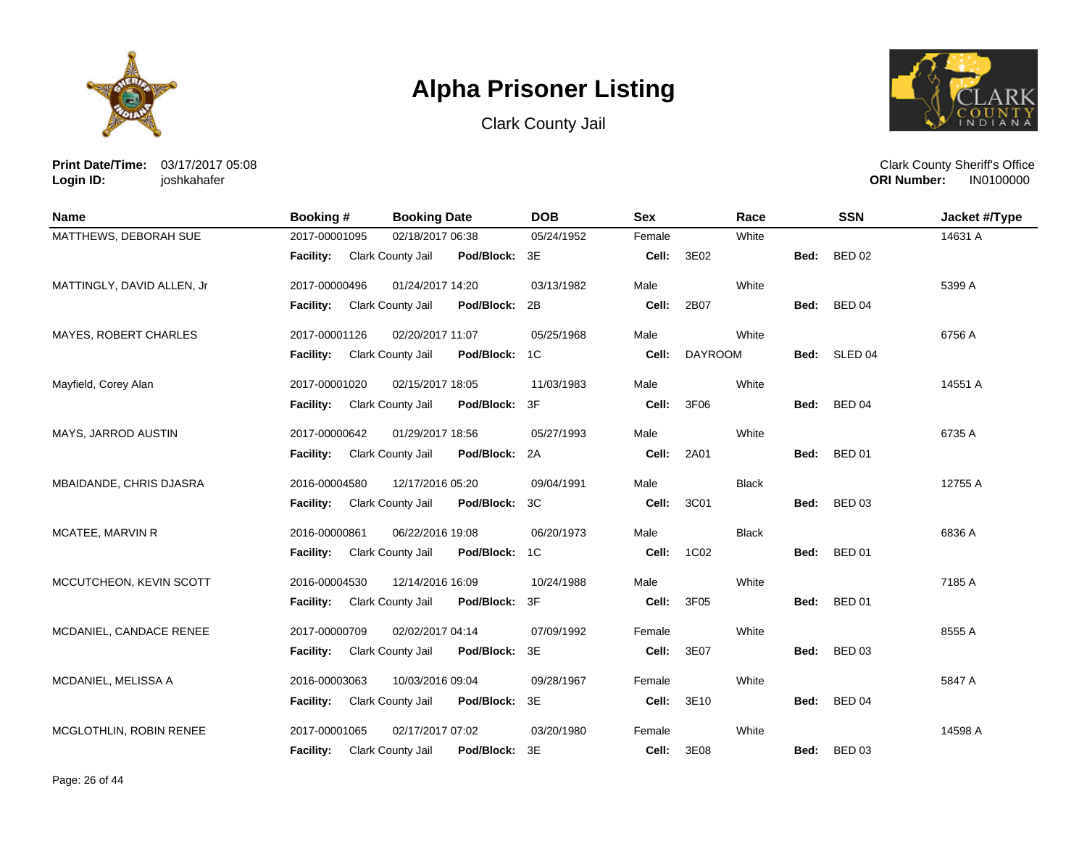





**Print Date/Time:** 03/17/2017 05:08 **Login ID:** joshkahafer

| Name                         | Booking #                          | <b>Booking Date</b>      |            | <b>DOB</b>     | <b>Sex</b> | Race           |      | <b>SSN</b>    | Jacket #/Type |
|------------------------------|------------------------------------|--------------------------|------------|----------------|------------|----------------|------|---------------|---------------|
| MATTHEWS, DEBORAH SUE        | 2017-00001095                      | 02/18/2017 06:38         |            | 05/24/1952     | Female     | White          |      |               | 14631 A       |
|                              | <b>Facility:</b> Clark County Jail |                          | Pod/Block: | 3E             | Cell:      | 3E02           | Bed: | <b>BED 02</b> |               |
| MATTINGLY, DAVID ALLEN, Jr   | 2017-00000496                      | 01/24/2017 14:20         |            | 03/13/1982     | Male       | White          |      |               | 5399 A        |
|                              | <b>Facility:</b>                   | Clark County Jail        | Pod/Block: | 2B             | Cell:      | 2B07           | Bed: | <b>BED 04</b> |               |
| <b>MAYES, ROBERT CHARLES</b> | 2017-00001126                      | 02/20/2017 11:07         |            | 05/25/1968     | Male       | White          |      |               | 6756 A        |
|                              | Facility:                          | Clark County Jail        | Pod/Block: | 1 <sup>C</sup> | Cell:      | <b>DAYROOM</b> |      | Bed: SLED 04  |               |
| Mayfield, Corey Alan         | 2017-00001020                      | 02/15/2017 18:05         |            | 11/03/1983     | Male       | White          |      |               | 14551 A       |
|                              | <b>Facility:</b>                   | Clark County Jail        | Pod/Block: | 3F             | Cell:      | 3F06           |      | Bed: BED 04   |               |
| MAYS, JARROD AUSTIN          | 2017-00000642                      | 01/29/2017 18:56         |            | 05/27/1993     | Male       | White          |      |               | 6735 A        |
|                              | Facility:                          | Clark County Jail        | Pod/Block: | 2A             | Cell:      | 2A01           | Bed: | <b>BED 01</b> |               |
| MBAIDANDE, CHRIS DJASRA      | 2016-00004580                      | 12/17/2016 05:20         |            | 09/04/1991     | Male       | <b>Black</b>   |      |               | 12755 A       |
|                              | <b>Facility:</b>                   | Clark County Jail        | Pod/Block: | 3C             | Cell:      | 3C01           |      | Bed: BED 03   |               |
| MCATEE, MARVIN R             | 2016-00000861                      | 06/22/2016 19:08         |            | 06/20/1973     | Male       | <b>Black</b>   |      |               | 6836 A        |
|                              | <b>Facility:</b>                   | Clark County Jail        | Pod/Block: | 1C             | Cell:      | 1C02           |      | Bed: BED 01   |               |
| MCCUTCHEON, KEVIN SCOTT      | 2016-00004530                      | 12/14/2016 16:09         |            | 10/24/1988     | Male       | White          |      |               | 7185 A        |
|                              | <b>Facility:</b>                   | Clark County Jail        | Pod/Block: | 3F             | Cell:      | 3F05           | Bed: | <b>BED 01</b> |               |
| MCDANIEL, CANDACE RENEE      | 2017-00000709                      | 02/02/2017 04:14         |            | 07/09/1992     | Female     | White          |      |               | 8555 A        |
|                              | <b>Facility:</b>                   | <b>Clark County Jail</b> | Pod/Block: | 3E             | Cell:      | 3E07           | Bed: | <b>BED 03</b> |               |
| MCDANIEL, MELISSA A          | 2016-00003063                      | 10/03/2016 09:04         |            | 09/28/1967     | Female     | White          |      |               | 5847 A        |
|                              | Facility:                          | Clark County Jail        | Pod/Block: | 3E             | Cell:      | 3E10           | Bed: | <b>BED 04</b> |               |
| MCGLOTHLIN, ROBIN RENEE      | 2017-00001065                      | 02/17/2017 07:02         |            | 03/20/1980     | Female     | White          |      |               | 14598 A       |
|                              | <b>Facility:</b>                   | Clark County Jail        | Pod/Block: | 3E             | Cell:      | 3E08           | Bed: | <b>BED 03</b> |               |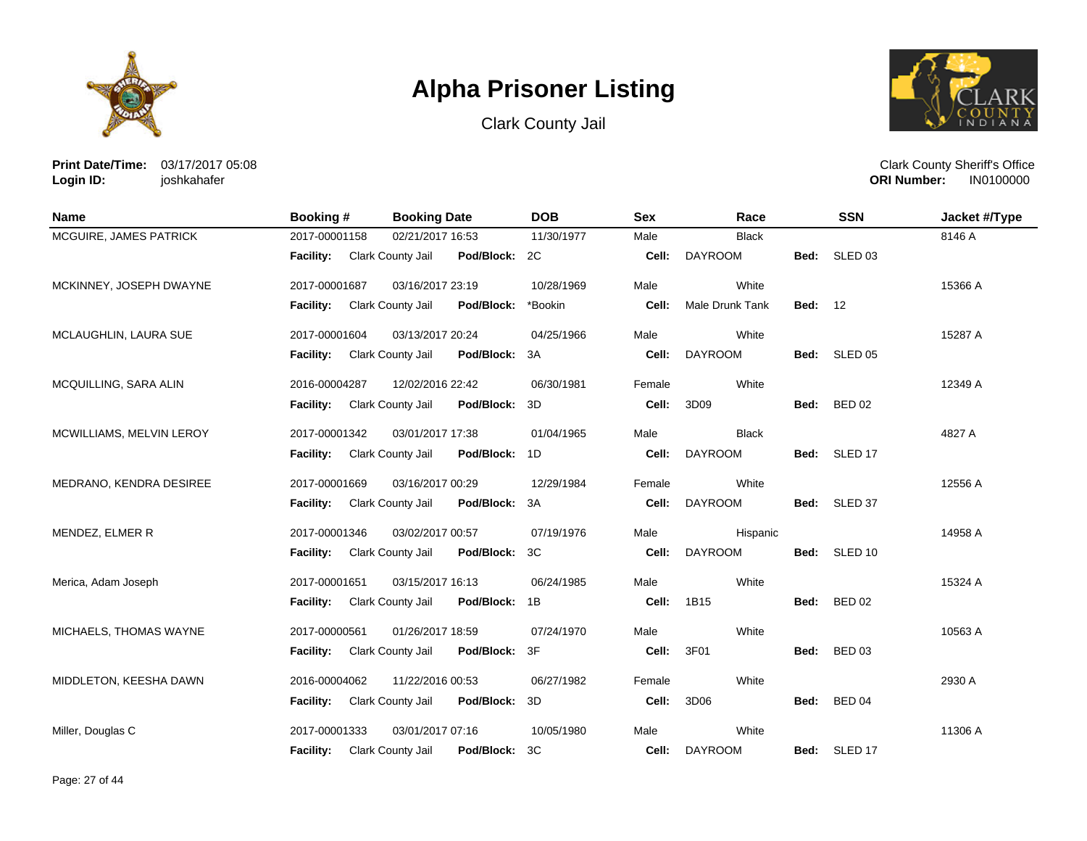





**Print Date/Time:** 03/17/2017 05:08 **Login ID:** joshkahafer

| Name                     | <b>Booking#</b>  | <b>Booking Date</b>                | <b>DOB</b> | <b>Sex</b> | Race            |                | <b>SSN</b>         | Jacket #/Type |
|--------------------------|------------------|------------------------------------|------------|------------|-----------------|----------------|--------------------|---------------|
| MCGUIRE, JAMES PATRICK   | 2017-00001158    | 02/21/2017 16:53                   | 11/30/1977 | Male       | <b>Black</b>    |                |                    | 8146 A        |
|                          | <b>Facility:</b> | Clark County Jail<br>Pod/Block: 2C |            | Cell:      | <b>DAYROOM</b>  | Bed:           | SLED <sub>03</sub> |               |
| MCKINNEY, JOSEPH DWAYNE  | 2017-00001687    | 03/16/2017 23:19                   | 10/28/1969 | Male       | White           |                |                    | 15366 A       |
|                          | Facility:        | Clark County Jail<br>Pod/Block:    | *Bookin    | Cell:      | Male Drunk Tank | <b>Bed: 12</b> |                    |               |
| MCLAUGHLIN, LAURA SUE    | 2017-00001604    | 03/13/2017 20:24                   | 04/25/1966 | Male       | White           |                |                    | 15287 A       |
|                          | Facility:        | Clark County Jail<br>Pod/Block:    | 3A         | Cell:      | <b>DAYROOM</b>  | Bed:           | SLED <sub>05</sub> |               |
| MCQUILLING, SARA ALIN    | 2016-00004287    | 12/02/2016 22:42                   | 06/30/1981 | Female     | White           |                |                    | 12349 A       |
|                          | <b>Facility:</b> | Clark County Jail<br>Pod/Block: 3D |            | Cell:      | 3D09            | Bed:           | <b>BED 02</b>      |               |
| MCWILLIAMS, MELVIN LEROY | 2017-00001342    | 03/01/2017 17:38                   | 01/04/1965 | Male       | <b>Black</b>    |                |                    | 4827 A        |
|                          | Facility:        | Clark County Jail<br>Pod/Block: 1D |            | Cell:      | <b>DAYROOM</b>  |                | Bed: SLED 17       |               |
| MEDRANO, KENDRA DESIREE  | 2017-00001669    | 03/16/2017 00:29                   | 12/29/1984 | Female     | White           |                |                    | 12556 A       |
|                          | Facility:        | Clark County Jail<br>Pod/Block: 3A |            | Cell:      | <b>DAYROOM</b>  | Bed:           | SLED 37            |               |
| MENDEZ, ELMER R          | 2017-00001346    | 03/02/2017 00:57                   | 07/19/1976 | Male       | Hispanic        |                |                    | 14958 A       |
|                          | Facility:        | Clark County Jail<br>Pod/Block: 3C |            | Cell:      | <b>DAYROOM</b>  |                | Bed: SLED 10       |               |
| Merica, Adam Joseph      | 2017-00001651    | 03/15/2017 16:13                   | 06/24/1985 | Male       | White           |                |                    | 15324 A       |
|                          | Facility:        | Pod/Block: 1B<br>Clark County Jail |            | Cell:      | 1B15            | Bed:           | <b>BED 02</b>      |               |
| MICHAELS, THOMAS WAYNE   | 2017-00000561    | 01/26/2017 18:59                   | 07/24/1970 | Male       | White           |                |                    | 10563 A       |
|                          | <b>Facility:</b> | Clark County Jail<br>Pod/Block: 3F |            | Cell:      | 3F01            | Bed:           | <b>BED 03</b>      |               |
| MIDDLETON, KEESHA DAWN   | 2016-00004062    | 11/22/2016 00:53                   | 06/27/1982 | Female     | White           |                |                    | 2930 A        |
|                          | Facility:        | Clark County Jail<br>Pod/Block: 3D |            | Cell:      | 3D06            | Bed:           | BED 04             |               |
| Miller, Douglas C        | 2017-00001333    | 03/01/2017 07:16                   | 10/05/1980 | Male       | White           |                |                    | 11306 A       |
|                          | <b>Facility:</b> | Clark County Jail<br>Pod/Block: 3C |            | Cell:      | <b>DAYROOM</b>  |                | Bed: SLED 17       |               |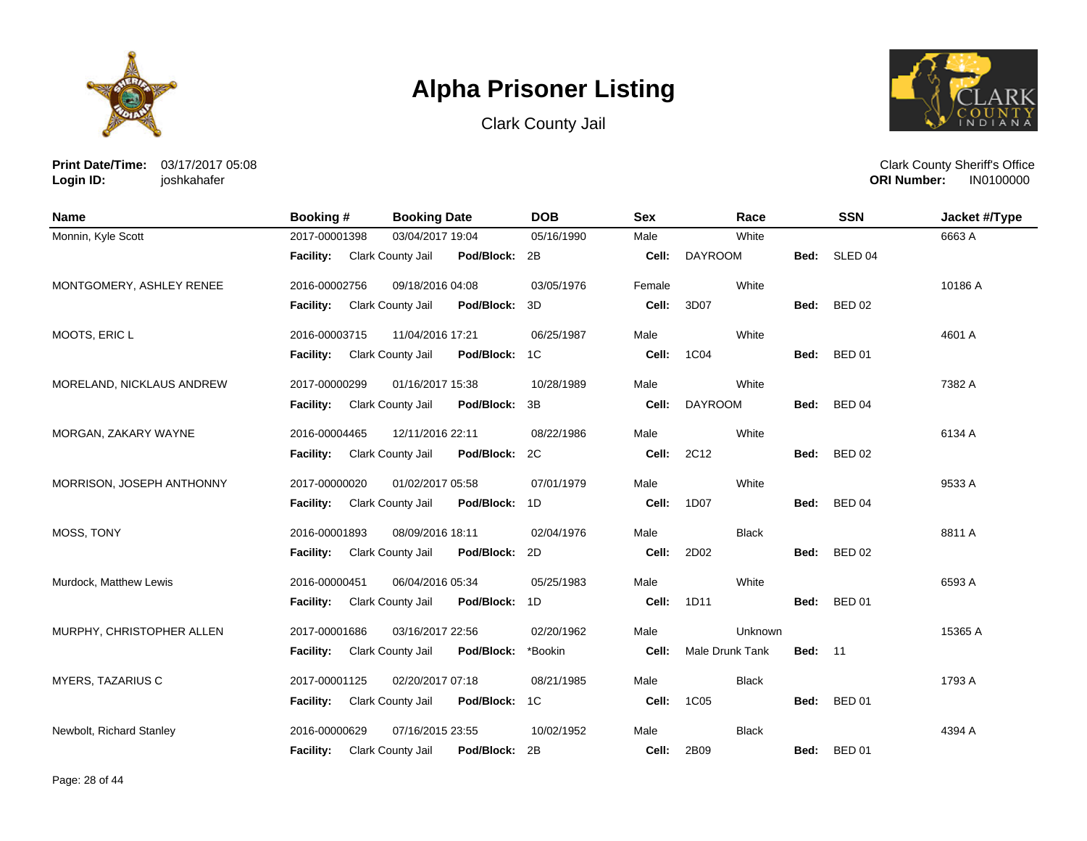





**Print Date/Time:** 03/17/2017 05:08 **Login ID:** joshkahafer

| <b>Name</b>               | Booking #        | <b>Booking Date</b>                | <b>DOB</b> | <b>Sex</b> | Race                   |                | <b>SSN</b>         | Jacket #/Type |
|---------------------------|------------------|------------------------------------|------------|------------|------------------------|----------------|--------------------|---------------|
| Monnin, Kyle Scott        | 2017-00001398    | 03/04/2017 19:04                   | 05/16/1990 | Male       | White                  |                |                    | 6663 A        |
|                           | <b>Facility:</b> | Clark County Jail<br>Pod/Block: 2B |            | Cell:      | <b>DAYROOM</b>         | Bed:           | SLED <sub>04</sub> |               |
| MONTGOMERY, ASHLEY RENEE  | 2016-00002756    | 09/18/2016 04:08                   | 03/05/1976 | Female     | White                  |                |                    | 10186 A       |
|                           | <b>Facility:</b> | Clark County Jail<br>Pod/Block: 3D |            | Cell:      | 3D07                   | Bed:           | <b>BED 02</b>      |               |
| MOOTS, ERIC L             | 2016-00003715    | 11/04/2016 17:21                   | 06/25/1987 | Male       | White                  |                |                    | 4601 A        |
|                           | Facility:        | Pod/Block: 1C<br>Clark County Jail |            | Cell:      | 1C04                   | Bed:           | <b>BED 01</b>      |               |
| MORELAND, NICKLAUS ANDREW | 2017-00000299    | 01/16/2017 15:38                   | 10/28/1989 | Male       | White                  |                |                    | 7382 A        |
|                           | <b>Facility:</b> | Clark County Jail<br>Pod/Block: 3B |            | Cell:      | <b>DAYROOM</b>         | Bed:           | <b>BED 04</b>      |               |
| MORGAN, ZAKARY WAYNE      | 2016-00004465    | 12/11/2016 22:11                   | 08/22/1986 | Male       | White                  |                |                    | 6134 A        |
|                           | <b>Facility:</b> | Pod/Block: 2C<br>Clark County Jail |            | Cell:      | 2C12                   | Bed:           | <b>BED 02</b>      |               |
| MORRISON, JOSEPH ANTHONNY | 2017-00000020    | 01/02/2017 05:58                   | 07/01/1979 | Male       | White                  |                |                    | 9533 A        |
|                           | <b>Facility:</b> | Clark County Jail<br>Pod/Block: 1D |            | Cell:      | 1D07                   | Bed:           | <b>BED 04</b>      |               |
| MOSS, TONY                | 2016-00001893    | 08/09/2016 18:11                   | 02/04/1976 | Male       | <b>Black</b>           |                |                    | 8811 A        |
|                           | <b>Facility:</b> | Clark County Jail<br>Pod/Block: 2D |            | Cell:      | 2D02                   | Bed:           | <b>BED 02</b>      |               |
| Murdock, Matthew Lewis    | 2016-00000451    | 06/04/2016 05:34                   | 05/25/1983 | Male       | White                  |                |                    | 6593 A        |
|                           | <b>Facility:</b> | Clark County Jail<br>Pod/Block: 1D |            | Cell:      | 1D11                   | Bed:           | <b>BED 01</b>      |               |
| MURPHY, CHRISTOPHER ALLEN | 2017-00001686    | 03/16/2017 22:56                   | 02/20/1962 | Male       | Unknown                |                |                    | 15365 A       |
|                           | <b>Facility:</b> | Clark County Jail<br>Pod/Block:    | *Bookin    | Cell:      | <b>Male Drunk Tank</b> | <b>Bed: 11</b> |                    |               |
| <b>MYERS, TAZARIUS C</b>  | 2017-00001125    | 02/20/2017 07:18                   | 08/21/1985 | Male       | <b>Black</b>           |                |                    | 1793 A        |
|                           | <b>Facility:</b> | Clark County Jail<br>Pod/Block: 1C |            | Cell:      | <b>1C05</b>            | Bed:           | <b>BED 01</b>      |               |
| Newbolt, Richard Stanley  | 2016-00000629    | 07/16/2015 23:55                   | 10/02/1952 | Male       | <b>Black</b>           |                |                    | 4394 A        |
|                           | <b>Facility:</b> | Pod/Block: 2B<br>Clark County Jail |            | Cell:      | 2B09                   | Bed:           | <b>BED 01</b>      |               |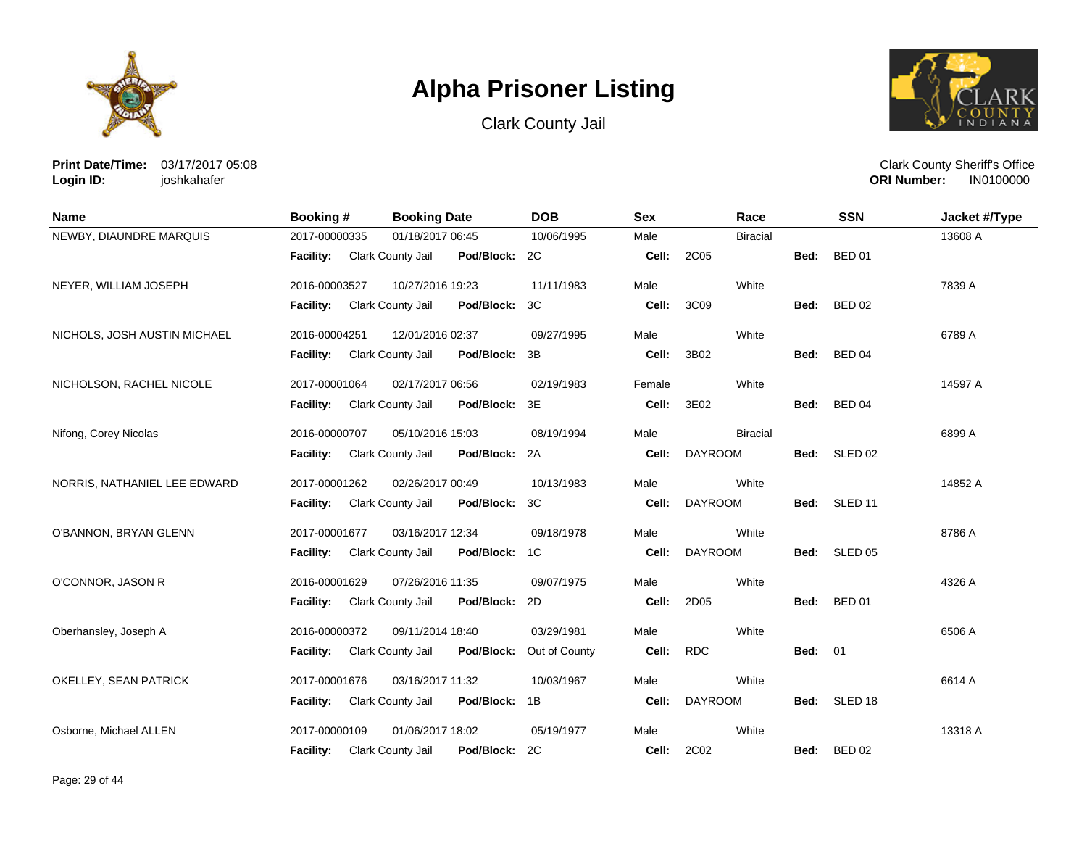





**Print Date/Time:** 03/17/2017 05:08 **Login ID:** joshkahafer

| <b>Name</b>                  | Booking #        | <b>Booking Date</b>                       | <b>DOB</b>    | <b>Sex</b> | Race            |                | <b>SSN</b>         | Jacket #/Type |
|------------------------------|------------------|-------------------------------------------|---------------|------------|-----------------|----------------|--------------------|---------------|
| NEWBY, DIAUNDRE MARQUIS      | 2017-00000335    | 01/18/2017 06:45                          | 10/06/1995    | Male       | <b>Biracial</b> |                |                    | 13608 A       |
|                              | <b>Facility:</b> | <b>Clark County Jail</b><br>Pod/Block: 2C |               | Cell:      | 2C05            | Bed:           | <b>BED 01</b>      |               |
| NEYER, WILLIAM JOSEPH        | 2016-00003527    | 10/27/2016 19:23                          | 11/11/1983    | Male       | White           |                |                    | 7839 A        |
|                              | <b>Facility:</b> | Clark County Jail<br>Pod/Block:           | 3C            | Cell:      | 3C09            | Bed:           | <b>BED 02</b>      |               |
| NICHOLS, JOSH AUSTIN MICHAEL | 2016-00004251    | 12/01/2016 02:37                          | 09/27/1995    | Male       | White           |                |                    | 6789 A        |
|                              | Facility:        | Clark County Jail<br>Pod/Block:           | 3B            | Cell:      | 3B02            | Bed:           | <b>BED 04</b>      |               |
| NICHOLSON, RACHEL NICOLE     | 2017-00001064    | 02/17/2017 06:56                          | 02/19/1983    | Female     | White           |                |                    | 14597 A       |
|                              | <b>Facility:</b> | Clark County Jail<br>Pod/Block: 3E        |               | Cell:      | 3E02            | Bed:           | <b>BED 04</b>      |               |
| Nifong, Corey Nicolas        | 2016-00000707    | 05/10/2016 15:03                          | 08/19/1994    | Male       | <b>Biracial</b> |                |                    | 6899 A        |
|                              | <b>Facility:</b> | Clark County Jail<br>Pod/Block: 2A        |               | Cell:      | <b>DAYROOM</b>  | Bed:           | SLED 02            |               |
| NORRIS, NATHANIEL LEE EDWARD | 2017-00001262    | 02/26/2017 00:49                          | 10/13/1983    | Male       | White           |                |                    | 14852 A       |
|                              | <b>Facility:</b> | Pod/Block: 3C<br>Clark County Jail        |               | Cell:      | <b>DAYROOM</b>  | Bed:           | SLED <sub>11</sub> |               |
| O'BANNON, BRYAN GLENN        | 2017-00001677    | 03/16/2017 12:34                          | 09/18/1978    | Male       | White           |                |                    | 8786 A        |
|                              | <b>Facility:</b> | Clark County Jail<br>Pod/Block: 1C        |               | Cell:      | <b>DAYROOM</b>  | Bed:           | SLED 05            |               |
| O'CONNOR, JASON R            | 2016-00001629    | 07/26/2016 11:35                          | 09/07/1975    | Male       | White           |                |                    | 4326 A        |
|                              | <b>Facility:</b> | Clark County Jail<br>Pod/Block: 2D        |               | Cell:      | 2D05            | Bed:           | <b>BED 01</b>      |               |
| Oberhansley, Joseph A        | 2016-00000372    | 09/11/2014 18:40                          | 03/29/1981    | Male       | White           |                |                    | 6506 A        |
|                              | Facility:        | Clark County Jail<br>Pod/Block:           | Out of County | Cell:      | <b>RDC</b>      | <b>Bed: 01</b> |                    |               |
| OKELLEY, SEAN PATRICK        | 2017-00001676    | 03/16/2017 11:32                          | 10/03/1967    | Male       | White           |                |                    | 6614 A        |
|                              | Facility:        | Clark County Jail<br>Pod/Block: 1B        |               | Cell:      | <b>DAYROOM</b>  | Bed:           | SLED 18            |               |
| Osborne, Michael ALLEN       | 2017-00000109    | 01/06/2017 18:02                          | 05/19/1977    | Male       | White           |                |                    | 13318 A       |
|                              | Facility:        | Pod/Block: 2C<br>Clark County Jail        |               | Cell:      | 2C02            |                | Bed: BED 02        |               |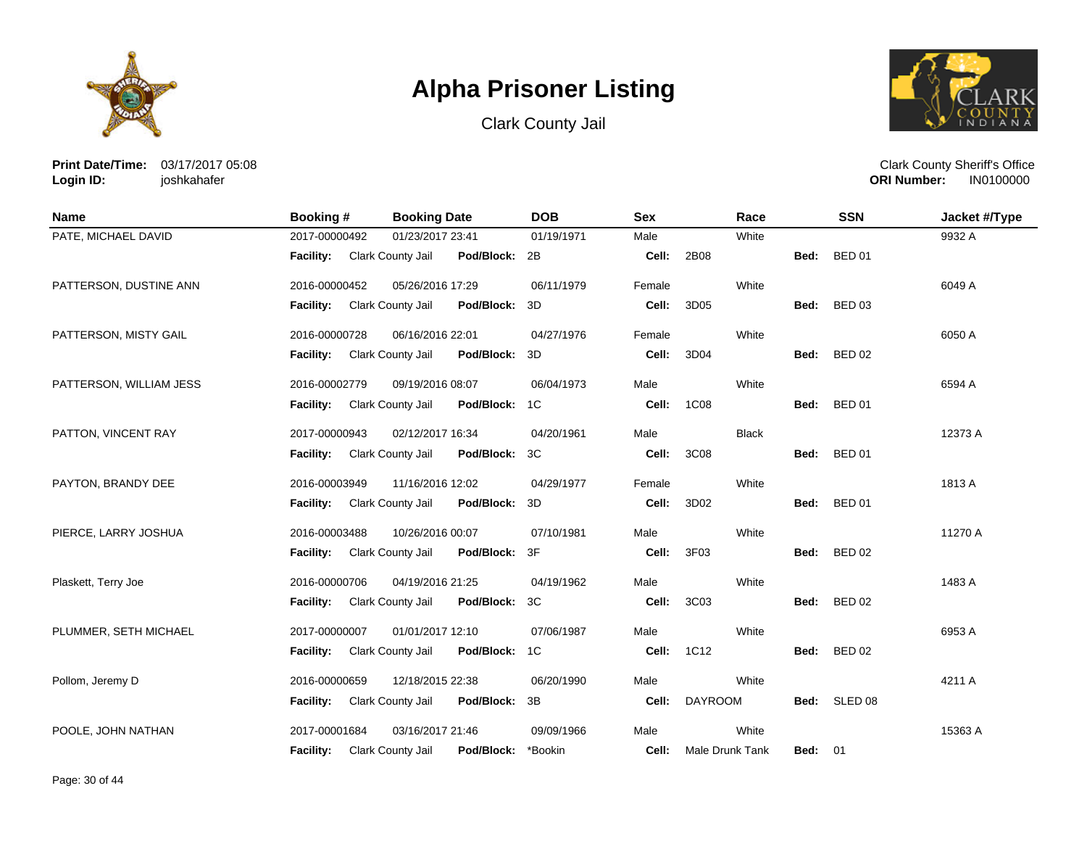





**Print Date/Time:** 03/17/2017 05:08 **Login ID:** joshkahafer

| Name                    | <b>Booking #</b>            | <b>Booking Date</b>             | <b>DOB</b> | <b>Sex</b> | Race            |                | <b>SSN</b>    | Jacket #/Type |
|-------------------------|-----------------------------|---------------------------------|------------|------------|-----------------|----------------|---------------|---------------|
| PATE, MICHAEL DAVID     | 2017-00000492               | 01/23/2017 23:41                | 01/19/1971 | Male       | White           |                |               | 9932 A        |
|                         | Facility: Clark County Jail | Pod/Block: 2B                   |            | Cell:      | 2B08            | Bed:           | <b>BED 01</b> |               |
| PATTERSON, DUSTINE ANN  | 2016-00000452               | 05/26/2016 17:29                | 06/11/1979 | Female     | White           |                |               | 6049 A        |
|                         | <b>Facility:</b>            | Clark County Jail<br>Pod/Block: | 3D         | Cell:      | 3D05            | Bed:           | <b>BED 03</b> |               |
| PATTERSON, MISTY GAIL   | 2016-00000728               | 06/16/2016 22:01                | 04/27/1976 | Female     | White           |                |               | 6050 A        |
|                         | Facility:                   | Clark County Jail<br>Pod/Block: | 3D         | Cell:      | 3D04            | Bed:           | <b>BED 02</b> |               |
| PATTERSON, WILLIAM JESS | 2016-00002779               | 09/19/2016 08:07                | 06/04/1973 | Male       | White           |                |               | 6594 A        |
|                         | <b>Facility:</b>            | Clark County Jail<br>Pod/Block: | 1C         | Cell:      | <b>1C08</b>     | Bed:           | <b>BED 01</b> |               |
| PATTON, VINCENT RAY     | 2017-00000943               | 02/12/2017 16:34                | 04/20/1961 | Male       | <b>Black</b>    |                |               | 12373 A       |
|                         | <b>Facility:</b>            | Pod/Block:<br>Clark County Jail | 3C         | Cell:      | 3C08            | Bed:           | <b>BED 01</b> |               |
| PAYTON, BRANDY DEE      | 2016-00003949               | 11/16/2016 12:02                | 04/29/1977 | Female     | White           |                |               | 1813 A        |
|                         | Facility:                   | Clark County Jail<br>Pod/Block: | 3D         | Cell:      | 3D02            | Bed:           | <b>BED 01</b> |               |
| PIERCE, LARRY JOSHUA    | 2016-00003488               | 10/26/2016 00:07                | 07/10/1981 | Male       | White           |                |               | 11270 A       |
|                         | <b>Facility:</b>            | Pod/Block:<br>Clark County Jail | 3F         | Cell:      | 3F03            |                | Bed: BED 02   |               |
| Plaskett, Terry Joe     | 2016-00000706               | 04/19/2016 21:25                | 04/19/1962 | Male       | White           |                |               | 1483 A        |
|                         | <b>Facility:</b>            | Clark County Jail<br>Pod/Block: | 3C         | Cell:      | 3C03            | Bed:           | <b>BED 02</b> |               |
| PLUMMER, SETH MICHAEL   | 2017-00000007               | 01/01/2017 12:10                | 07/06/1987 | Male       | White           |                |               | 6953 A        |
|                         | <b>Facility:</b>            | Clark County Jail<br>Pod/Block: | 1C         | Cell:      | 1C12            | Bed:           | <b>BED 02</b> |               |
| Pollom, Jeremy D        | 2016-00000659               | 12/18/2015 22:38                | 06/20/1990 | Male       | White           |                |               | 4211 A        |
|                         | Facility:                   | Clark County Jail<br>Pod/Block: | 3B         | Cell:      | <b>DAYROOM</b>  |                | Bed: SLED 08  |               |
| POOLE, JOHN NATHAN      | 2017-00001684               | 03/16/2017 21:46                | 09/09/1966 | Male       | White           |                |               | 15363 A       |
|                         | <b>Facility:</b>            | Clark County Jail<br>Pod/Block: | *Bookin    | Cell:      | Male Drunk Tank | <b>Bed: 01</b> |               |               |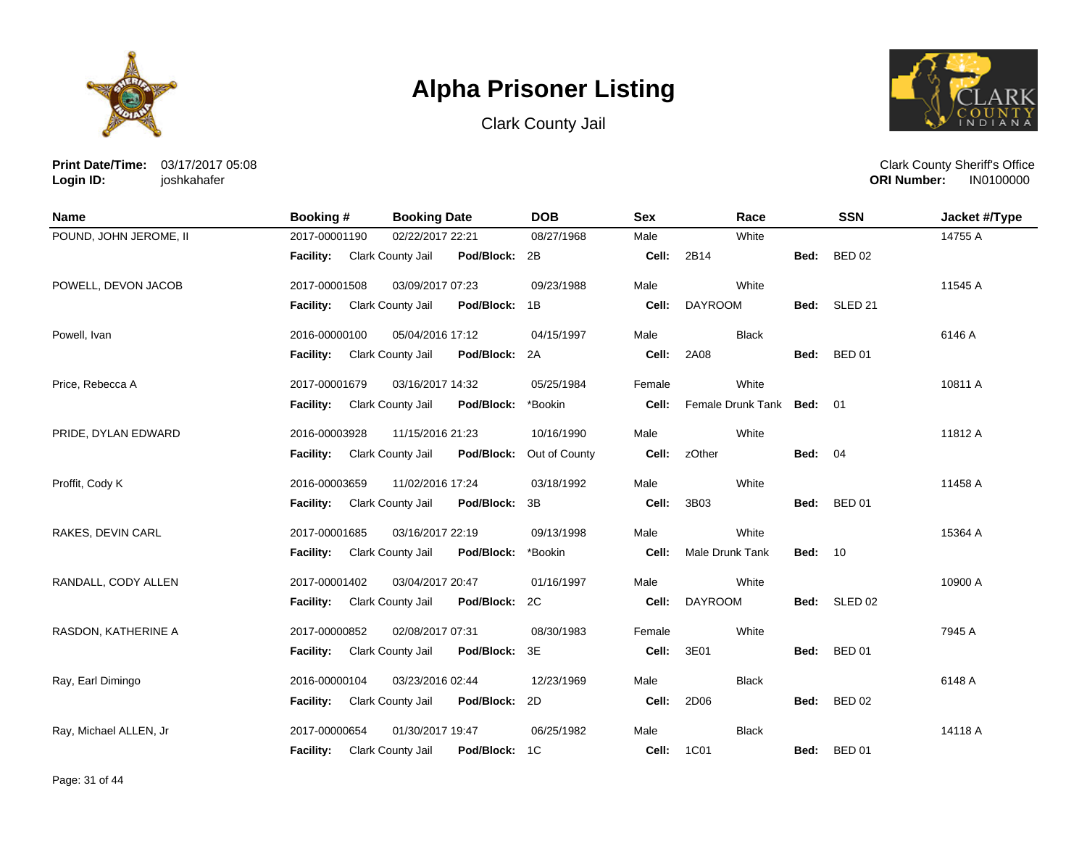





**Print Date/Time:** 03/17/2017 05:08 **Login ID:** joshkahafer

| <b>Name</b>            | Booking #                   | <b>Booking Date</b>                | <b>DOB</b>               | <b>Sex</b> | Race                      |                | <b>SSN</b>    | Jacket #/Type |
|------------------------|-----------------------------|------------------------------------|--------------------------|------------|---------------------------|----------------|---------------|---------------|
| POUND, JOHN JEROME, II | 2017-00001190               | 02/22/2017 22:21                   | 08/27/1968               | Male       | White                     |                |               | 14755 A       |
|                        | Facility: Clark County Jail | Pod/Block: 2B                      |                          | Cell:      | 2B14                      | Bed:           | <b>BED 02</b> |               |
| POWELL, DEVON JACOB    | 2017-00001508               | 03/09/2017 07:23                   | 09/23/1988               | Male       | White                     |                |               | 11545 A       |
|                        | <b>Facility:</b>            | Pod/Block: 1B<br>Clark County Jail |                          | Cell:      | <b>DAYROOM</b>            |                | Bed: SLED 21  |               |
| Powell, Ivan           | 2016-00000100               | 05/04/2016 17:12                   | 04/15/1997               | Male       | <b>Black</b>              |                |               | 6146 A        |
|                        | Facility: Clark County Jail | Pod/Block: 2A                      |                          | Cell:      | 2A08                      | Bed:           | <b>BED 01</b> |               |
| Price, Rebecca A       | 2017-00001679               | 03/16/2017 14:32                   | 05/25/1984               | Female     | White                     |                |               | 10811 A       |
|                        | <b>Facility:</b>            | Clark County Jail<br>Pod/Block:    | *Bookin                  | Cell:      | Female Drunk Tank Bed: 01 |                |               |               |
| PRIDE, DYLAN EDWARD    | 2016-00003928               | 11/15/2016 21:23                   | 10/16/1990               | Male       | White                     |                |               | 11812 A       |
|                        | Facility: Clark County Jail |                                    | Pod/Block: Out of County | Cell:      | zOther                    | <b>Bed: 04</b> |               |               |
| Proffit, Cody K        | 2016-00003659               | 11/02/2016 17:24                   | 03/18/1992               | Male       | White                     |                |               | 11458 A       |
|                        | <b>Facility:</b>            | Clark County Jail<br>Pod/Block:    | 3B                       | Cell:      | 3B03                      | Bed:           | <b>BED 01</b> |               |
| RAKES, DEVIN CARL      | 2017-00001685               | 03/16/2017 22:19                   | 09/13/1998               | Male       | White                     |                |               | 15364 A       |
|                        | <b>Facility:</b>            | Clark County Jail<br>Pod/Block:    | *Bookin                  | Cell:      | Male Drunk Tank           | <b>Bed: 10</b> |               |               |
| RANDALL, CODY ALLEN    | 2017-00001402               | 03/04/2017 20:47                   | 01/16/1997               | Male       | White                     |                |               | 10900 A       |
|                        | Facility: Clark County Jail | Pod/Block: 2C                      |                          | Cell:      | <b>DAYROOM</b>            |                | Bed: SLED 02  |               |
| RASDON, KATHERINE A    | 2017-00000852               | 02/08/2017 07:31                   | 08/30/1983               | Female     | White                     |                |               | 7945 A        |
|                        | <b>Facility:</b>            | Clark County Jail<br>Pod/Block: 3E |                          | Cell:      | 3E01                      | Bed:           | <b>BED 01</b> |               |
| Ray, Earl Dimingo      | 2016-00000104               | 03/23/2016 02:44                   | 12/23/1969               | Male       | <b>Black</b>              |                |               | 6148 A        |
|                        | <b>Facility:</b>            | Clark County Jail<br>Pod/Block: 2D |                          | Cell:      | 2D06                      | Bed:           | <b>BED 02</b> |               |
| Ray, Michael ALLEN, Jr | 2017-00000654               | 01/30/2017 19:47                   | 06/25/1982               | Male       | <b>Black</b>              |                |               | 14118 A       |
|                        | <b>Facility:</b>            | Clark County Jail<br>Pod/Block: 1C |                          | Cell:      | 1C01                      | Bed:           | <b>BED 01</b> |               |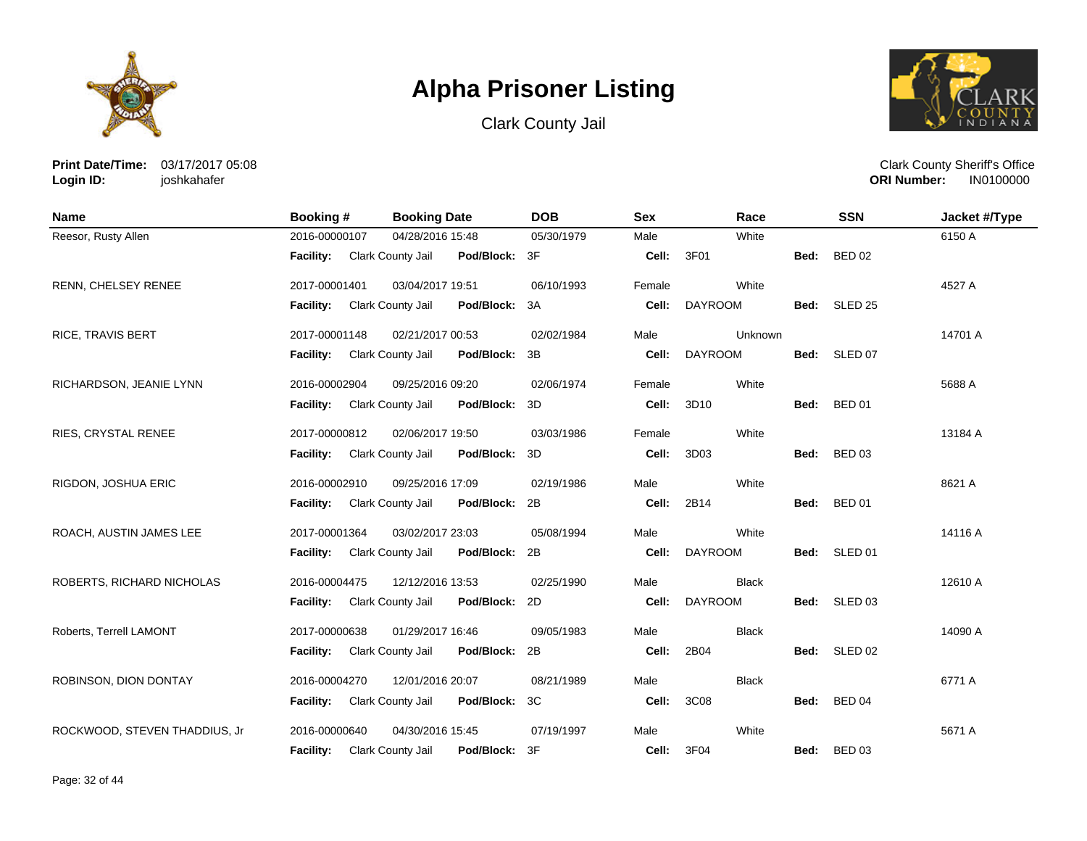





**Print Date/Time:** 03/17/2017 05:08 **Login ID:** joshkahafer

| <b>Name</b>                   | Booking #        | <b>Booking Date</b>                       | <b>DOB</b> | <b>Sex</b> | Race           |      | <b>SSN</b>    | Jacket #/Type |
|-------------------------------|------------------|-------------------------------------------|------------|------------|----------------|------|---------------|---------------|
| Reesor, Rusty Allen           | 2016-00000107    | 04/28/2016 15:48                          | 05/30/1979 | Male       | White          |      |               | 6150 A        |
|                               | <b>Facility:</b> | Clark County Jail<br>Pod/Block: 3F        |            | Cell:      | 3F01           | Bed: | <b>BED 02</b> |               |
| RENN, CHELSEY RENEE           | 2017-00001401    | 03/04/2017 19:51                          | 06/10/1993 | Female     | White          |      |               | 4527 A        |
|                               | Facility:        | Clark County Jail<br>Pod/Block: 3A        |            | Cell:      | <b>DAYROOM</b> |      | Bed: SLED 25  |               |
| <b>RICE, TRAVIS BERT</b>      | 2017-00001148    | 02/21/2017 00:53                          | 02/02/1984 | Male       | Unknown        |      |               | 14701 A       |
|                               | <b>Facility:</b> | Clark County Jail<br>Pod/Block: 3B        |            | Cell:      | <b>DAYROOM</b> | Bed: | SLED 07       |               |
| RICHARDSON, JEANIE LYNN       | 2016-00002904    | 09/25/2016 09:20                          | 02/06/1974 | Female     | White          |      |               | 5688 A        |
|                               | <b>Facility:</b> | Clark County Jail<br>Pod/Block: 3D        |            | Cell:      | 3D10           | Bed: | <b>BED 01</b> |               |
| RIES, CRYSTAL RENEE           | 2017-00000812    | 02/06/2017 19:50                          | 03/03/1986 | Female     | White          |      |               | 13184 A       |
|                               | <b>Facility:</b> | Pod/Block: 3D<br>Clark County Jail        |            | Cell:      | 3D03           | Bed: | <b>BED 03</b> |               |
| RIGDON, JOSHUA ERIC           | 2016-00002910    | 09/25/2016 17:09                          | 02/19/1986 | Male       | White          |      |               | 8621 A        |
|                               | Facility:        | Clark County Jail<br>Pod/Block: 2B        |            | Cell:      | 2B14           | Bed: | <b>BED 01</b> |               |
| ROACH, AUSTIN JAMES LEE       | 2017-00001364    | 03/02/2017 23:03                          | 05/08/1994 | Male       | White          |      |               | 14116 A       |
|                               | Facility:        | Clark County Jail<br>Pod/Block: 2B        |            | Cell:      | <b>DAYROOM</b> |      | Bed: SLED 01  |               |
| ROBERTS, RICHARD NICHOLAS     | 2016-00004475    | 12/12/2016 13:53                          | 02/25/1990 | Male       | <b>Black</b>   |      |               | 12610 A       |
|                               | <b>Facility:</b> | Pod/Block: 2D<br>Clark County Jail        |            | Cell:      | <b>DAYROOM</b> | Bed: | SLED 03       |               |
| Roberts, Terrell LAMONT       | 2017-00000638    | 01/29/2017 16:46                          | 09/05/1983 | Male       | <b>Black</b>   |      |               | 14090 A       |
|                               | <b>Facility:</b> | <b>Clark County Jail</b><br>Pod/Block: 2B |            | Cell:      | 2B04           | Bed: | SLED 02       |               |
| ROBINSON, DION DONTAY         | 2016-00004270    | 12/01/2016 20:07                          | 08/21/1989 | Male       | <b>Black</b>   |      |               | 6771 A        |
|                               | Facility:        | Clark County Jail<br>Pod/Block: 3C        |            | Cell:      | 3C08           | Bed: | <b>BED 04</b> |               |
| ROCKWOOD, STEVEN THADDIUS, Jr | 2016-00000640    | 04/30/2016 15:45                          | 07/19/1997 | Male       | White          |      |               | 5671 A        |
|                               | <b>Facility:</b> | Clark County Jail<br>Pod/Block:           | -3F        | Cell:      | 3F04           | Bed: | <b>BED 03</b> |               |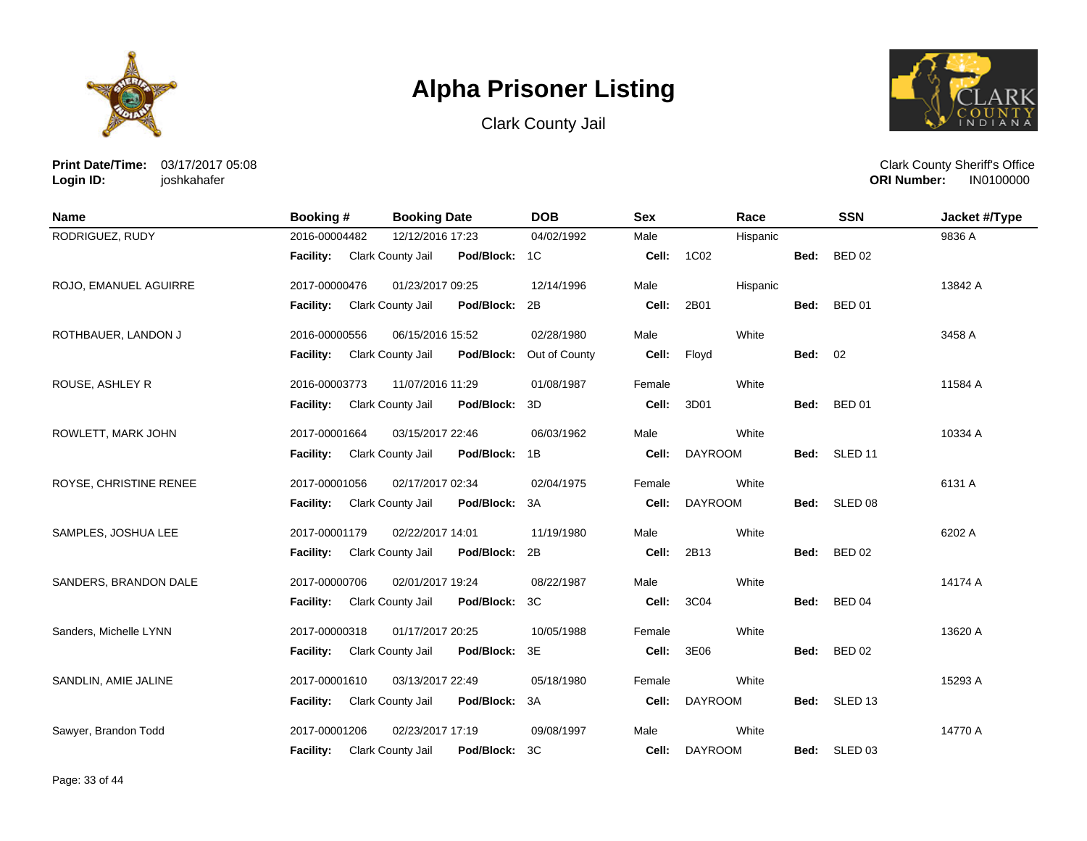





**Print Date/Time:** 03/17/2017 05:08 **Login ID:** joshkahafer

| <b>Name</b>            | Booking #                          | <b>Booking Date</b>                | <b>DOB</b>    | <b>Sex</b> | Race           |                | <b>SSN</b>    | Jacket #/Type |
|------------------------|------------------------------------|------------------------------------|---------------|------------|----------------|----------------|---------------|---------------|
| RODRIGUEZ, RUDY        | 2016-00004482                      | 12/12/2016 17:23                   | 04/02/1992    | Male       | Hispanic       |                |               | 9836 A        |
|                        | <b>Facility:</b> Clark County Jail | Pod/Block: 1C                      |               | Cell:      | 1C02           | Bed:           | <b>BED 02</b> |               |
| ROJO, EMANUEL AGUIRRE  | 2017-00000476                      | 01/23/2017 09:25                   | 12/14/1996    | Male       | Hispanic       |                |               | 13842 A       |
|                        | Facility: Clark County Jail        | Pod/Block: 2B                      |               | Cell:      | 2B01           |                | Bed: BED 01   |               |
| ROTHBAUER, LANDON J    | 2016-00000556                      | 06/15/2016 15:52                   | 02/28/1980    | Male       | White          |                |               | 3458 A        |
|                        | Facility:                          | Clark County Jail<br>Pod/Block:    | Out of County | Cell:      | Floyd          | <b>Bed: 02</b> |               |               |
| ROUSE, ASHLEY R        | 2016-00003773                      | 11/07/2016 11:29                   | 01/08/1987    | Female     | White          |                |               | 11584 A       |
|                        | Facility:                          | Clark County Jail<br>Pod/Block: 3D |               | Cell:      | 3D01           | Bed:           | <b>BED 01</b> |               |
| ROWLETT, MARK JOHN     | 2017-00001664                      | 03/15/2017 22:46                   | 06/03/1962    | Male       | White          |                |               | 10334 A       |
|                        | <b>Facility:</b>                   | Clark County Jail<br>Pod/Block: 1B |               | Cell:      | <b>DAYROOM</b> |                | Bed: SLED 11  |               |
| ROYSE, CHRISTINE RENEE | 2017-00001056                      | 02/17/2017 02:34                   | 02/04/1975    | Female     | White          |                |               | 6131 A        |
|                        | Facility:                          | Clark County Jail<br>Pod/Block: 3A |               | Cell:      | <b>DAYROOM</b> | Bed:           | SLED 08       |               |
| SAMPLES, JOSHUA LEE    | 2017-00001179                      | 02/22/2017 14:01                   | 11/19/1980    | Male       | White          |                |               | 6202 A        |
|                        | Facility:                          | Clark County Jail<br>Pod/Block: 2B |               | Cell:      | 2B13           |                | Bed: BED 02   |               |
| SANDERS, BRANDON DALE  | 2017-00000706                      | 02/01/2017 19:24                   | 08/22/1987    | Male       | White          |                |               | 14174 A       |
|                        | <b>Facility:</b>                   | Clark County Jail<br>Pod/Block: 3C |               | Cell:      | 3C04           |                | Bed: BED 04   |               |
| Sanders, Michelle LYNN | 2017-00000318                      | 01/17/2017 20:25                   | 10/05/1988    | Female     | White          |                |               | 13620 A       |
|                        | Facility:                          | Clark County Jail<br>Pod/Block: 3E |               | Cell:      | 3E06           | Bed:           | <b>BED 02</b> |               |
| SANDLIN, AMIE JALINE   | 2017-00001610                      | 03/13/2017 22:49                   | 05/18/1980    | Female     | White          |                |               | 15293 A       |
|                        | Facility:                          | Clark County Jail<br>Pod/Block: 3A |               | Cell:      | <b>DAYROOM</b> |                | Bed: SLED 13  |               |
| Sawyer, Brandon Todd   | 2017-00001206                      | 02/23/2017 17:19                   | 09/08/1997    | Male       | White          |                |               | 14770 A       |
|                        | <b>Facility:</b>                   | Pod/Block: 3C<br>Clark County Jail |               | Cell:      | <b>DAYROOM</b> |                | Bed: SLED 03  |               |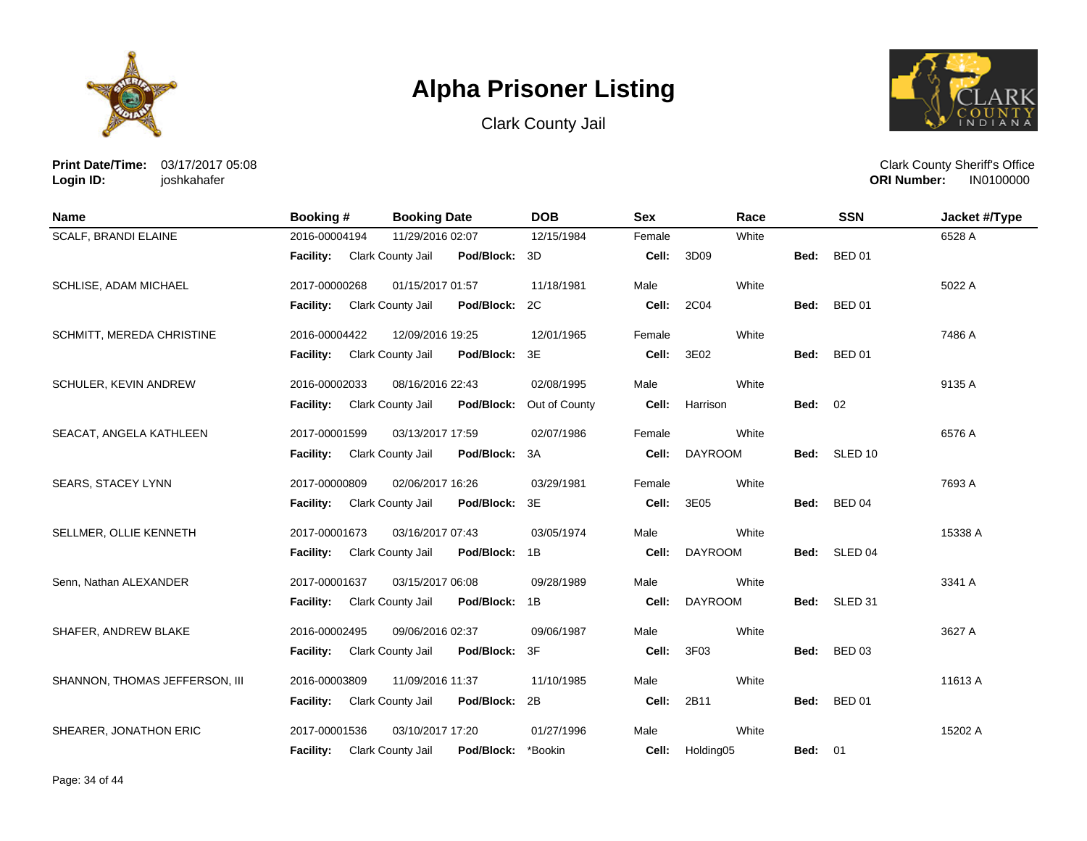





**Print Date/Time:** 03/17/2017 05:08 **Login ID:** joshkahafer

| <b>Name</b>                    | Booking#         | <b>Booking Date</b>                    | <b>DOB</b>    | <b>Sex</b> | Race           |                | <b>SSN</b>         | Jacket #/Type |
|--------------------------------|------------------|----------------------------------------|---------------|------------|----------------|----------------|--------------------|---------------|
| <b>SCALF, BRANDI ELAINE</b>    | 2016-00004194    | 11/29/2016 02:07                       | 12/15/1984    | Female     | White          |                |                    | 6528 A        |
|                                | <b>Facility:</b> | Clark County Jail<br>Pod/Block:        | 3D            | Cell:      | 3D09           | Bed:           | <b>BED 01</b>      |               |
| SCHLISE, ADAM MICHAEL          | 2017-00000268    | 01/15/2017 01:57                       | 11/18/1981    | Male       | White          |                |                    | 5022 A        |
|                                | Facility:        | Clark County Jail<br>Pod/Block:        | 2C            | Cell:      | 2C04           | Bed:           | <b>BED 01</b>      |               |
| SCHMITT, MEREDA CHRISTINE      | 2016-00004422    | 12/09/2016 19:25                       | 12/01/1965    | Female     | White          |                |                    | 7486 A        |
|                                | Facility:        | Clark County Jail<br>Pod/Block:        | 3E            | Cell:      | 3E02           | Bed:           | <b>BED 01</b>      |               |
| SCHULER, KEVIN ANDREW          | 2016-00002033    | 08/16/2016 22:43                       | 02/08/1995    | Male       | White          |                |                    | 9135 A        |
|                                | <b>Facility:</b> | Clark County Jail<br>Pod/Block:        | Out of County | Cell:      | Harrison       | <b>Bed: 02</b> |                    |               |
| SEACAT, ANGELA KATHLEEN        | 2017-00001599    | 03/13/2017 17:59                       | 02/07/1986    | Female     | White          |                |                    | 6576 A        |
|                                | <b>Facility:</b> | Clark County Jail<br>Pod/Block:        | 3A            | Cell:      | <b>DAYROOM</b> | Bed:           | SLED <sub>10</sub> |               |
| SEARS, STACEY LYNN             | 2017-00000809    | 02/06/2017 16:26                       | 03/29/1981    | Female     | White          |                |                    | 7693 A        |
|                                | <b>Facility:</b> | Clark County Jail<br>Pod/Block:        | 3E            | Cell:      | 3E05           | Bed:           | <b>BED 04</b>      |               |
| SELLMER, OLLIE KENNETH         | 2017-00001673    | 03/16/2017 07:43                       | 03/05/1974    | Male       | White          |                |                    | 15338 A       |
|                                | <b>Facility:</b> | Pod/Block:<br>Clark County Jail        | 1B            | Cell:      | <b>DAYROOM</b> | Bed:           | SLED <sub>04</sub> |               |
| Senn, Nathan ALEXANDER         | 2017-00001637    | 03/15/2017 06:08                       | 09/28/1989    | Male       | White          |                |                    | 3341 A        |
|                                | <b>Facility:</b> | Clark County Jail<br>Pod/Block:        | 1B            | Cell:      | <b>DAYROOM</b> | Bed:           | SLED 31            |               |
| SHAFER, ANDREW BLAKE           | 2016-00002495    | 09/06/2016 02:37                       | 09/06/1987    | Male       | White          |                |                    | 3627 A        |
|                                | Facility:        | <b>Clark County Jail</b><br>Pod/Block: | 3F            | Cell:      | 3F03           | Bed:           | <b>BED 03</b>      |               |
| SHANNON, THOMAS JEFFERSON, III | 2016-00003809    | 11/09/2016 11:37                       | 11/10/1985    | Male       | White          |                |                    | 11613 A       |
|                                | Facility:        | Clark County Jail<br>Pod/Block:        | 2B            | Cell:      | 2B11           | Bed:           | <b>BED 01</b>      |               |
| SHEARER, JONATHON ERIC         | 2017-00001536    | 03/10/2017 17:20                       | 01/27/1996    | Male       | White          |                |                    | 15202 A       |
|                                | <b>Facility:</b> | Clark County Jail<br>Pod/Block:        | *Bookin       | Cell:      | Holding05      | <b>Bed: 01</b> |                    |               |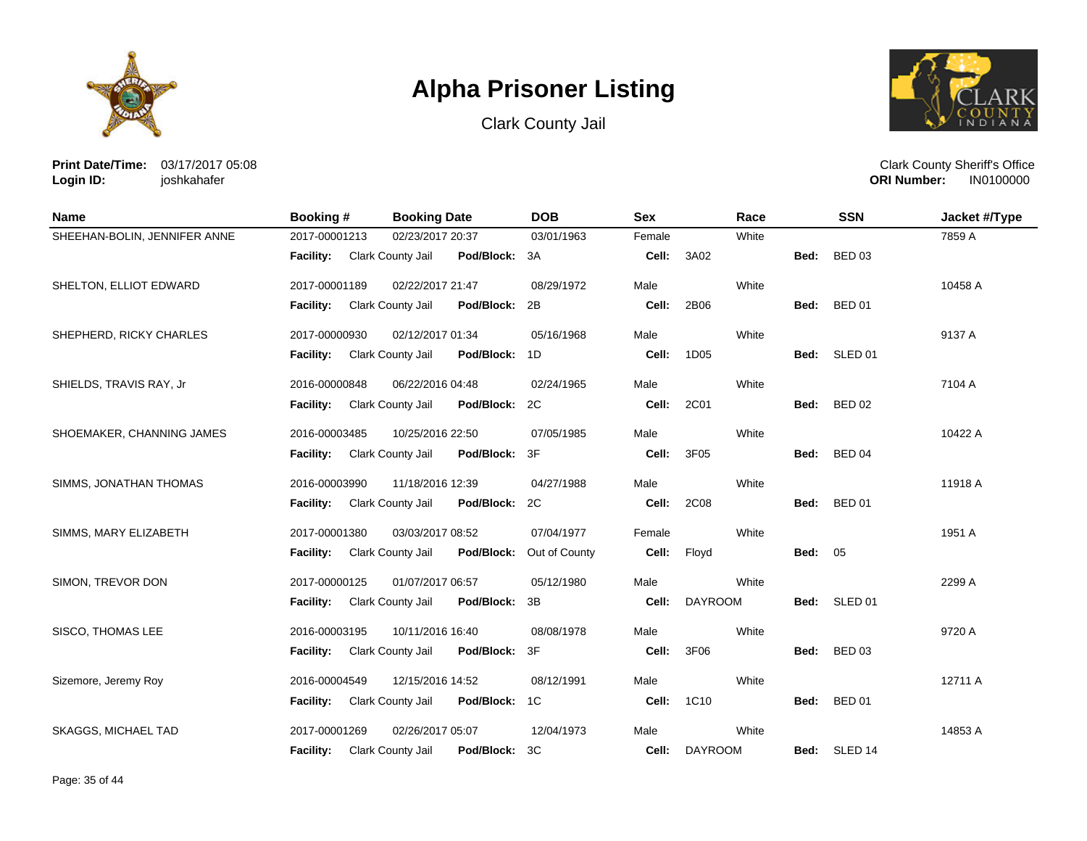





**Print Date/Time:** 03/17/2017 05:08 **Login ID:** joshkahafer

| <b>Name</b>                  | Booking #        | <b>Booking Date</b>                | <b>DOB</b>    | <b>Sex</b> | Race           |                | <b>SSN</b>    | Jacket #/Type |
|------------------------------|------------------|------------------------------------|---------------|------------|----------------|----------------|---------------|---------------|
| SHEEHAN-BOLIN, JENNIFER ANNE | 2017-00001213    | 02/23/2017 20:37                   | 03/01/1963    | Female     | White          |                |               | 7859 A        |
|                              | <b>Facility:</b> | Clark County Jail<br>Pod/Block: 3A |               | Cell:      | 3A02           | Bed:           | <b>BED 03</b> |               |
| SHELTON, ELLIOT EDWARD       | 2017-00001189    | 02/22/2017 21:47                   | 08/29/1972    | Male       | White          |                |               | 10458 A       |
|                              | Facility:        | Pod/Block:<br>Clark County Jail    | 2B            | Cell:      | 2B06           | Bed:           | <b>BED 01</b> |               |
| SHEPHERD, RICKY CHARLES      | 2017-00000930    | 02/12/2017 01:34                   | 05/16/1968    | Male       | White          |                |               | 9137 A        |
|                              | <b>Facility:</b> | Clark County Jail<br>Pod/Block: 1D |               | Cell:      | 1D05           |                | Bed: SLED 01  |               |
| SHIELDS, TRAVIS RAY, Jr      | 2016-00000848    | 06/22/2016 04:48                   | 02/24/1965    | Male       | White          |                |               | 7104 A        |
|                              | <b>Facility:</b> | Clark County Jail<br>Pod/Block: 2C |               | Cell:      | 2C01           | Bed:           | <b>BED 02</b> |               |
| SHOEMAKER, CHANNING JAMES    | 2016-00003485    | 10/25/2016 22:50                   | 07/05/1985    | Male       | White          |                |               | 10422 A       |
|                              | Facility:        | Clark County Jail<br>Pod/Block: 3F |               | Cell:      | 3F05           | Bed:           | <b>BED 04</b> |               |
| SIMMS, JONATHAN THOMAS       | 2016-00003990    | 11/18/2016 12:39                   | 04/27/1988    | Male       | White          |                |               | 11918 A       |
|                              | Facility:        | Pod/Block: 2C<br>Clark County Jail |               | Cell:      | 2C08           | Bed:           | <b>BED 01</b> |               |
| SIMMS, MARY ELIZABETH        | 2017-00001380    | 03/03/2017 08:52                   | 07/04/1977    | Female     | White          |                |               | 1951 A        |
|                              | <b>Facility:</b> | Pod/Block:<br>Clark County Jail    | Out of County | Cell:      | Floyd          | <b>Bed: 05</b> |               |               |
| SIMON, TREVOR DON            | 2017-00000125    | 01/07/2017 06:57                   | 05/12/1980    | Male       | White          |                |               | 2299 A        |
|                              | <b>Facility:</b> | Clark County Jail<br>Pod/Block: 3B |               | Cell:      | <b>DAYROOM</b> | Bed:           | SLED 01       |               |
| SISCO, THOMAS LEE            | 2016-00003195    | 10/11/2016 16:40                   | 08/08/1978    | Male       | White          |                |               | 9720 A        |
|                              | <b>Facility:</b> | Pod/Block: 3F<br>Clark County Jail |               | Cell:      | 3F06           | Bed:           | <b>BED 03</b> |               |
| Sizemore, Jeremy Roy         | 2016-00004549    | 12/15/2016 14:52                   | 08/12/1991    | Male       | White          |                |               | 12711 A       |
|                              | <b>Facility:</b> | Clark County Jail<br>Pod/Block: 1C |               | Cell:      | 1C10           | Bed:           | <b>BED 01</b> |               |
| <b>SKAGGS, MICHAEL TAD</b>   | 2017-00001269    | 02/26/2017 05:07                   | 12/04/1973    | Male       | White          |                |               | 14853 A       |
|                              | <b>Facility:</b> | Clark County Jail<br>Pod/Block:    | 3C            | Cell:      | <b>DAYROOM</b> | Bed:           | SLED 14       |               |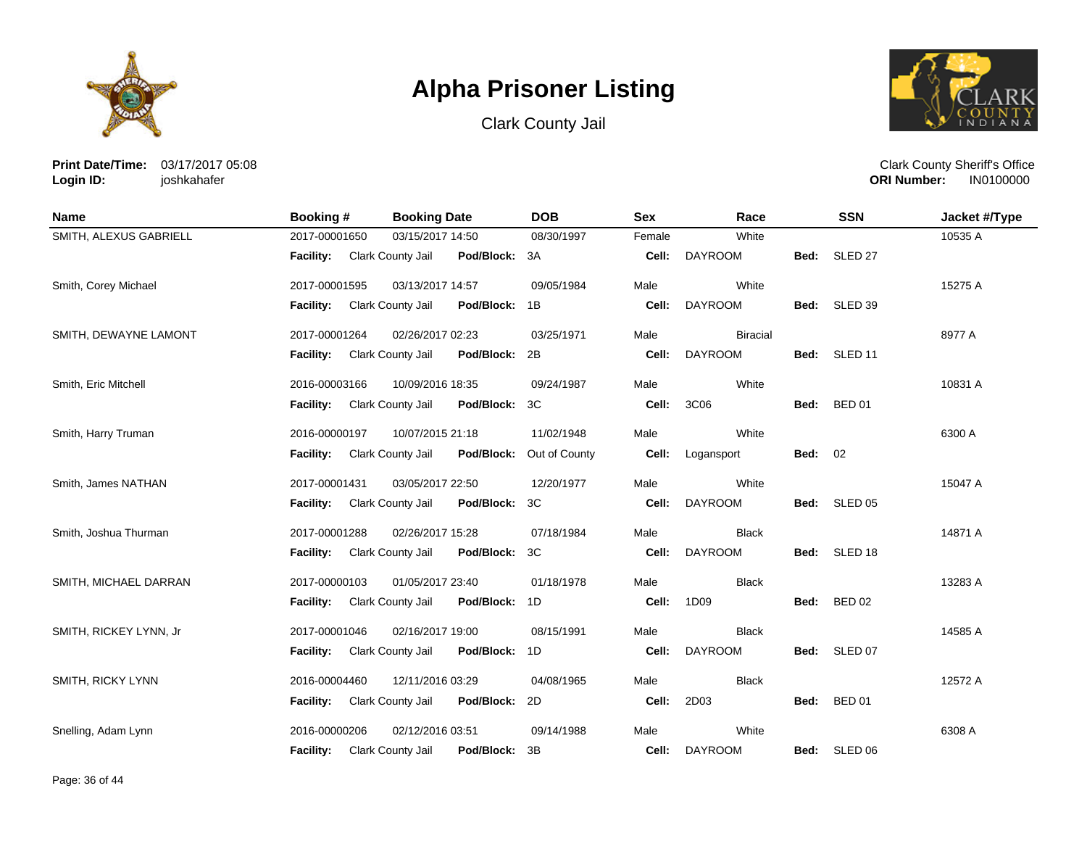





**Print Date/Time:** 03/17/2017 05:08 **Login ID:** joshkahafer

| <b>Name</b>            | Booking #        | <b>Booking Date</b>                | <b>DOB</b>               | <b>Sex</b> | Race            |                | <b>SSN</b>         | Jacket #/Type |
|------------------------|------------------|------------------------------------|--------------------------|------------|-----------------|----------------|--------------------|---------------|
| SMITH, ALEXUS GABRIELL | 2017-00001650    | 03/15/2017 14:50                   | 08/30/1997               | Female     | White           |                |                    | 10535 A       |
|                        | <b>Facility:</b> | Pod/Block: 3A<br>Clark County Jail |                          | Cell:      | <b>DAYROOM</b>  | Bed:           | SLED <sub>27</sub> |               |
| Smith, Corey Michael   | 2017-00001595    | 03/13/2017 14:57                   | 09/05/1984               | Male       | White           |                |                    | 15275 A       |
|                        | <b>Facility:</b> | Clark County Jail<br>Pod/Block: 1B |                          | Cell:      | <b>DAYROOM</b>  |                | Bed: SLED 39       |               |
| SMITH, DEWAYNE LAMONT  | 2017-00001264    | 02/26/2017 02:23                   | 03/25/1971               | Male       | <b>Biracial</b> |                |                    | 8977 A        |
|                        | <b>Facility:</b> | Clark County Jail<br>Pod/Block: 2B |                          | Cell:      | <b>DAYROOM</b>  | Bed:           | SLED 11            |               |
| Smith, Eric Mitchell   | 2016-00003166    | 10/09/2016 18:35                   | 09/24/1987               | Male       | White           |                |                    | 10831 A       |
|                        | <b>Facility:</b> | Clark County Jail<br>Pod/Block: 3C |                          | Cell:      | 3C06            |                | Bed: BED 01        |               |
| Smith, Harry Truman    | 2016-00000197    | 10/07/2015 21:18                   | 11/02/1948               | Male       | White           |                |                    | 6300 A        |
|                        | <b>Facility:</b> | Clark County Jail                  | Pod/Block: Out of County | Cell:      | Logansport      | <b>Bed: 02</b> |                    |               |
| Smith, James NATHAN    | 2017-00001431    | 03/05/2017 22:50                   | 12/20/1977               | Male       | White           |                |                    | 15047 A       |
|                        | <b>Facility:</b> | Clark County Jail<br>Pod/Block: 3C |                          | Cell:      | <b>DAYROOM</b>  | Bed:           | SLED 05            |               |
| Smith, Joshua Thurman  | 2017-00001288    | 02/26/2017 15:28                   | 07/18/1984               | Male       | <b>Black</b>    |                |                    | 14871 A       |
|                        | <b>Facility:</b> | Clark County Jail<br>Pod/Block: 3C |                          | Cell:      | <b>DAYROOM</b>  | Bed:           | SLED 18            |               |
| SMITH, MICHAEL DARRAN  | 2017-00000103    | 01/05/2017 23:40                   | 01/18/1978               | Male       | <b>Black</b>    |                |                    | 13283 A       |
|                        | <b>Facility:</b> | Pod/Block: 1D<br>Clark County Jail |                          | Cell:      | 1D09            | Bed:           | <b>BED 02</b>      |               |
| SMITH, RICKEY LYNN, Jr | 2017-00001046    | 02/16/2017 19:00                   | 08/15/1991               | Male       | <b>Black</b>    |                |                    | 14585 A       |
|                        | <b>Facility:</b> | Clark County Jail<br>Pod/Block: 1D |                          | Cell:      | <b>DAYROOM</b>  | Bed:           | SLED 07            |               |
| SMITH, RICKY LYNN      | 2016-00004460    | 12/11/2016 03:29                   | 04/08/1965               | Male       | <b>Black</b>    |                |                    | 12572 A       |
|                        | <b>Facility:</b> | Clark County Jail<br>Pod/Block: 2D |                          | Cell:      | 2D03            | Bed:           | <b>BED 01</b>      |               |
| Snelling, Adam Lynn    | 2016-00000206    | 02/12/2016 03:51                   | 09/14/1988               | Male       | White           |                |                    | 6308 A        |
|                        | <b>Facility:</b> | Clark County Jail<br>Pod/Block: 3B |                          | Cell:      | <b>DAYROOM</b>  |                | Bed: SLED 06       |               |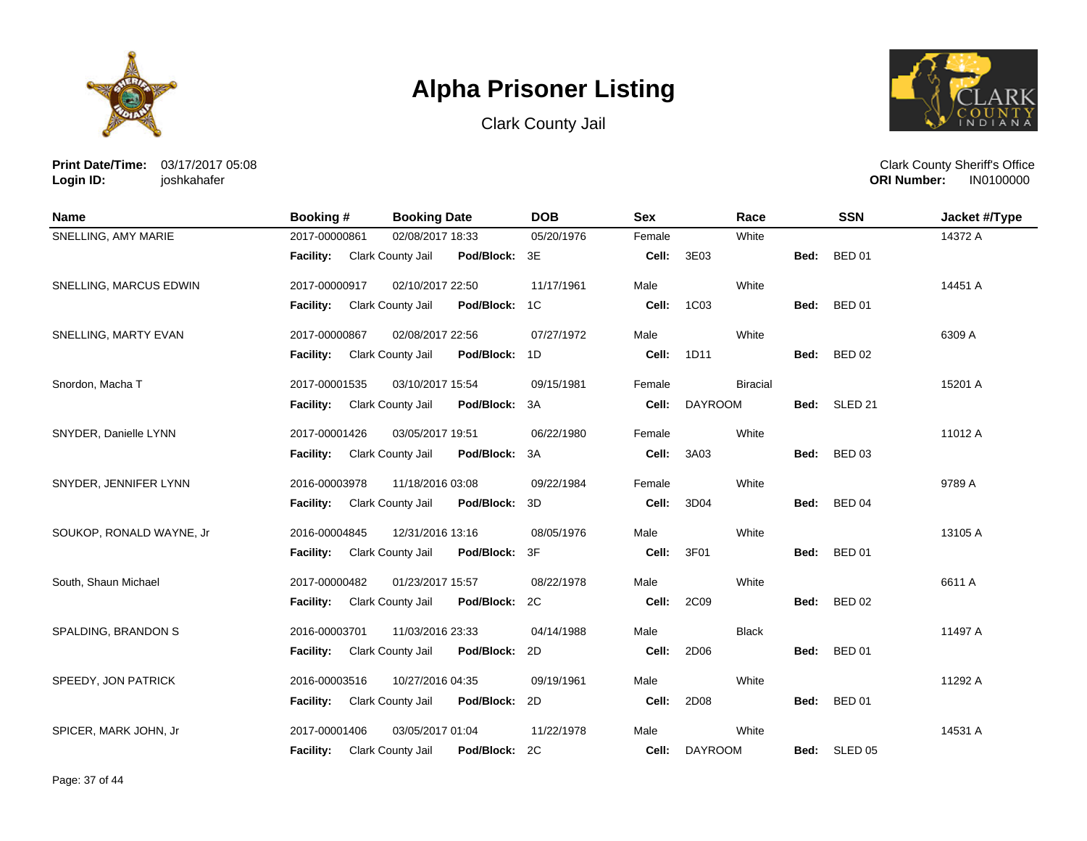





**Print Date/Time:** 03/17/2017 05:08 **Login ID:** joshkahafer

| <b>Name</b>              | Booking #        | <b>Booking Date</b>                    | <b>DOB</b>     | <b>Sex</b> | Race            |      | <b>SSN</b>         | Jacket #/Type |
|--------------------------|------------------|----------------------------------------|----------------|------------|-----------------|------|--------------------|---------------|
| SNELLING, AMY MARIE      | 2017-00000861    | 02/08/2017 18:33                       | 05/20/1976     | Female     | White           |      |                    | 14372 A       |
|                          | <b>Facility:</b> | Clark County Jail<br>Pod/Block: 3E     |                | Cell:      | 3E03            | Bed: | <b>BED 01</b>      |               |
| SNELLING, MARCUS EDWIN   | 2017-00000917    | 02/10/2017 22:50                       | 11/17/1961     | Male       | White           |      |                    | 14451 A       |
|                          | <b>Facility:</b> | Clark County Jail<br>Pod/Block:        | 1 <sup>C</sup> | Cell:      | 1C03            | Bed: | <b>BED 01</b>      |               |
| SNELLING, MARTY EVAN     | 2017-00000867    | 02/08/2017 22:56                       | 07/27/1972     | Male       | White           |      |                    | 6309 A        |
|                          | Facility:        | Clark County Jail<br>Pod/Block:        | 1D             | Cell:      | 1D11            | Bed: | <b>BED 02</b>      |               |
| Snordon, Macha T         | 2017-00001535    | 03/10/2017 15:54                       | 09/15/1981     | Female     | <b>Biracial</b> |      |                    | 15201 A       |
|                          | <b>Facility:</b> | Clark County Jail<br>Pod/Block:        | 3A             | Cell:      | <b>DAYROOM</b>  | Bed: | SLED <sub>21</sub> |               |
| SNYDER, Danielle LYNN    | 2017-00001426    | 03/05/2017 19:51                       | 06/22/1980     | Female     | White           |      |                    | 11012 A       |
|                          | <b>Facility:</b> | Clark County Jail<br>Pod/Block:        | 3A             | Cell:      | 3A03            | Bed: | <b>BED 03</b>      |               |
| SNYDER, JENNIFER LYNN    | 2016-00003978    | 11/18/2016 03:08                       | 09/22/1984     | Female     | White           |      |                    | 9789 A        |
|                          | <b>Facility:</b> | Clark County Jail<br>Pod/Block:        | 3D             | Cell:      | 3D04            | Bed: | <b>BED 04</b>      |               |
| SOUKOP, RONALD WAYNE, Jr | 2016-00004845    | 12/31/2016 13:16                       | 08/05/1976     | Male       | White           |      |                    | 13105 A       |
|                          | <b>Facility:</b> | Clark County Jail<br>Pod/Block:        | 3F             | Cell:      | 3F01            | Bed: | <b>BED 01</b>      |               |
| South, Shaun Michael     | 2017-00000482    | 01/23/2017 15:57                       | 08/22/1978     | Male       | White           |      |                    | 6611 A        |
|                          | <b>Facility:</b> | Clark County Jail<br>Pod/Block:        | 2C             | Cell:      | 2C09            | Bed: | <b>BED 02</b>      |               |
| SPALDING, BRANDON S      | 2016-00003701    | 11/03/2016 23:33                       | 04/14/1988     | Male       | <b>Black</b>    |      |                    | 11497 A       |
|                          | <b>Facility:</b> | <b>Clark County Jail</b><br>Pod/Block: | 2D             | Cell:      | 2D06            | Bed: | <b>BED 01</b>      |               |
| SPEEDY, JON PATRICK      | 2016-00003516    | 10/27/2016 04:35                       | 09/19/1961     | Male       | White           |      |                    | 11292 A       |
|                          | Facility:        | Clark County Jail<br>Pod/Block:        | 2D             | Cell:      | 2D08            | Bed: | <b>BED 01</b>      |               |
| SPICER, MARK JOHN, Jr    | 2017-00001406    | 03/05/2017 01:04                       | 11/22/1978     | Male       | White           |      |                    | 14531 A       |
|                          | <b>Facility:</b> | Clark County Jail<br>Pod/Block:        | 2C             | Cell:      | <b>DAYROOM</b>  | Bed: | SLED <sub>05</sub> |               |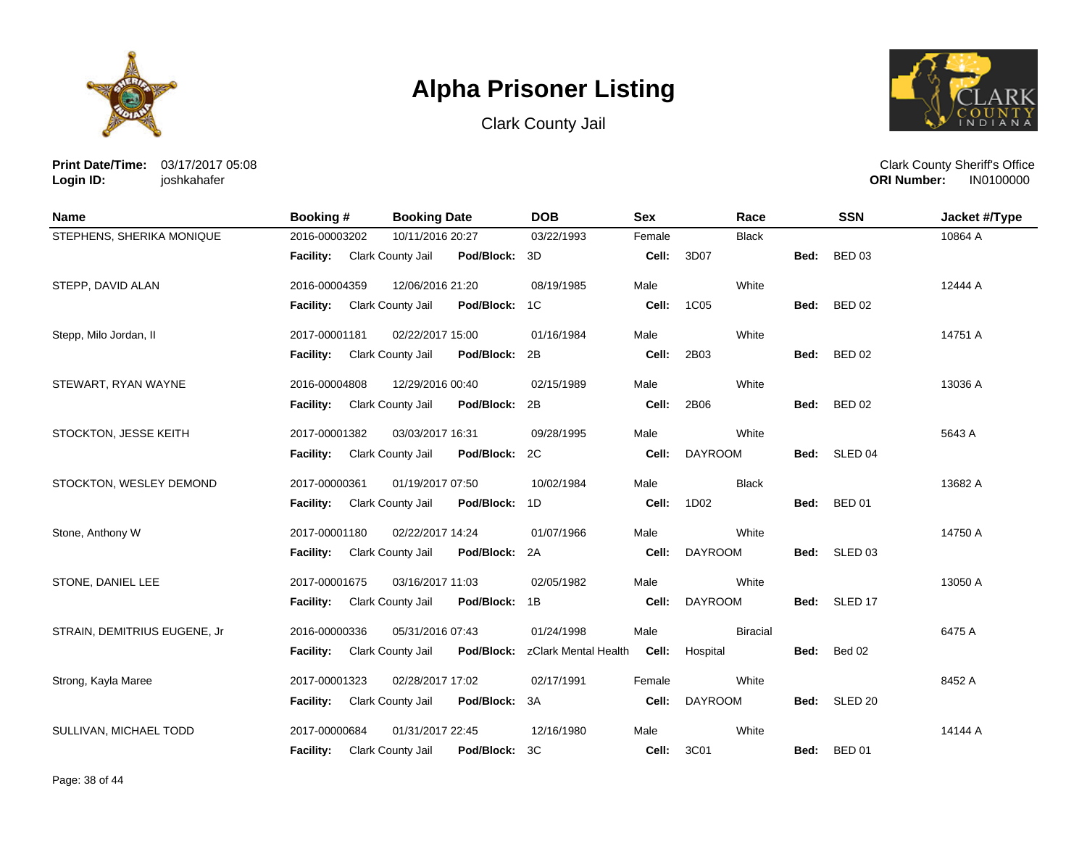





**Print Date/Time:** 03/17/2017 05:08 **Login ID:** joshkahafer

| <b>Name</b>                  | <b>Booking #</b> | <b>Booking Date</b>             | <b>DOB</b>           | <b>Sex</b> | Race            |      | <b>SSN</b>         | Jacket #/Type |
|------------------------------|------------------|---------------------------------|----------------------|------------|-----------------|------|--------------------|---------------|
| STEPHENS, SHERIKA MONIQUE    | 2016-00003202    | 10/11/2016 20:27                | 03/22/1993           | Female     | <b>Black</b>    |      |                    | 10864 A       |
|                              | <b>Facility:</b> | Clark County Jail<br>Pod/Block: | 3D                   | Cell:      | 3D07            | Bed: | <b>BED 03</b>      |               |
| STEPP, DAVID ALAN            | 2016-00004359    | 12/06/2016 21:20                | 08/19/1985           | Male       | White           |      |                    | 12444 A       |
|                              | <b>Facility:</b> | Clark County Jail<br>Pod/Block: | 1C                   | Cell:      | 1C05            | Bed: | <b>BED 02</b>      |               |
| Stepp, Milo Jordan, II       | 2017-00001181    | 02/22/2017 15:00                | 01/16/1984           | Male       | White           |      |                    | 14751 A       |
|                              | <b>Facility:</b> | Clark County Jail<br>Pod/Block: | 2B                   | Cell:      | 2B03            | Bed: | <b>BED 02</b>      |               |
| STEWART, RYAN WAYNE          | 2016-00004808    | 12/29/2016 00:40                | 02/15/1989           | Male       | White           |      |                    | 13036 A       |
|                              | <b>Facility:</b> | Clark County Jail<br>Pod/Block: | 2B                   | Cell:      | 2B06            | Bed: | <b>BED 02</b>      |               |
| STOCKTON, JESSE KEITH        | 2017-00001382    | 03/03/2017 16:31                | 09/28/1995           | Male       | White           |      |                    | 5643 A        |
|                              | <b>Facility:</b> | Clark County Jail<br>Pod/Block: | 2C                   | Cell:      | <b>DAYROOM</b>  | Bed: | SLED <sub>04</sub> |               |
| STOCKTON, WESLEY DEMOND      | 2017-00000361    | 01/19/2017 07:50                | 10/02/1984           | Male       | <b>Black</b>    |      |                    | 13682 A       |
|                              | Facility:        | Clark County Jail<br>Pod/Block: | 1D                   | Cell:      | 1D02            | Bed: | <b>BED 01</b>      |               |
| Stone, Anthony W             | 2017-00001180    | 02/22/2017 14:24                | 01/07/1966           | Male       | White           |      |                    | 14750 A       |
|                              | <b>Facility:</b> | Clark County Jail<br>Pod/Block: | 2A                   | Cell:      | <b>DAYROOM</b>  | Bed: | SLED 03            |               |
| STONE, DANIEL LEE            | 2017-00001675    | 03/16/2017 11:03                | 02/05/1982           | Male       | White           |      |                    | 13050 A       |
|                              | <b>Facility:</b> | Clark County Jail<br>Pod/Block: | 1B                   | Cell:      | <b>DAYROOM</b>  | Bed: | SLED <sub>17</sub> |               |
| STRAIN, DEMITRIUS EUGENE, Jr | 2016-00000336    | 05/31/2016 07:43                | 01/24/1998           | Male       | <b>Biracial</b> |      |                    | 6475 A        |
|                              | <b>Facility:</b> | Clark County Jail<br>Pod/Block: | zClark Mental Health | Cell:      | Hospital        | Bed: | Bed 02             |               |
| Strong, Kayla Maree          | 2017-00001323    | 02/28/2017 17:02                | 02/17/1991           | Female     | White           |      |                    | 8452 A        |
|                              | Facility:        | Clark County Jail<br>Pod/Block: | 3A                   | Cell:      | <b>DAYROOM</b>  |      | Bed: SLED 20       |               |
| SULLIVAN, MICHAEL TODD       | 2017-00000684    | 01/31/2017 22:45                | 12/16/1980           | Male       | White           |      |                    | 14144 A       |
|                              | <b>Facility:</b> | Pod/Block:<br>Clark County Jail | ЗC                   | Cell:      | 3C01            | Bed: | <b>BED 01</b>      |               |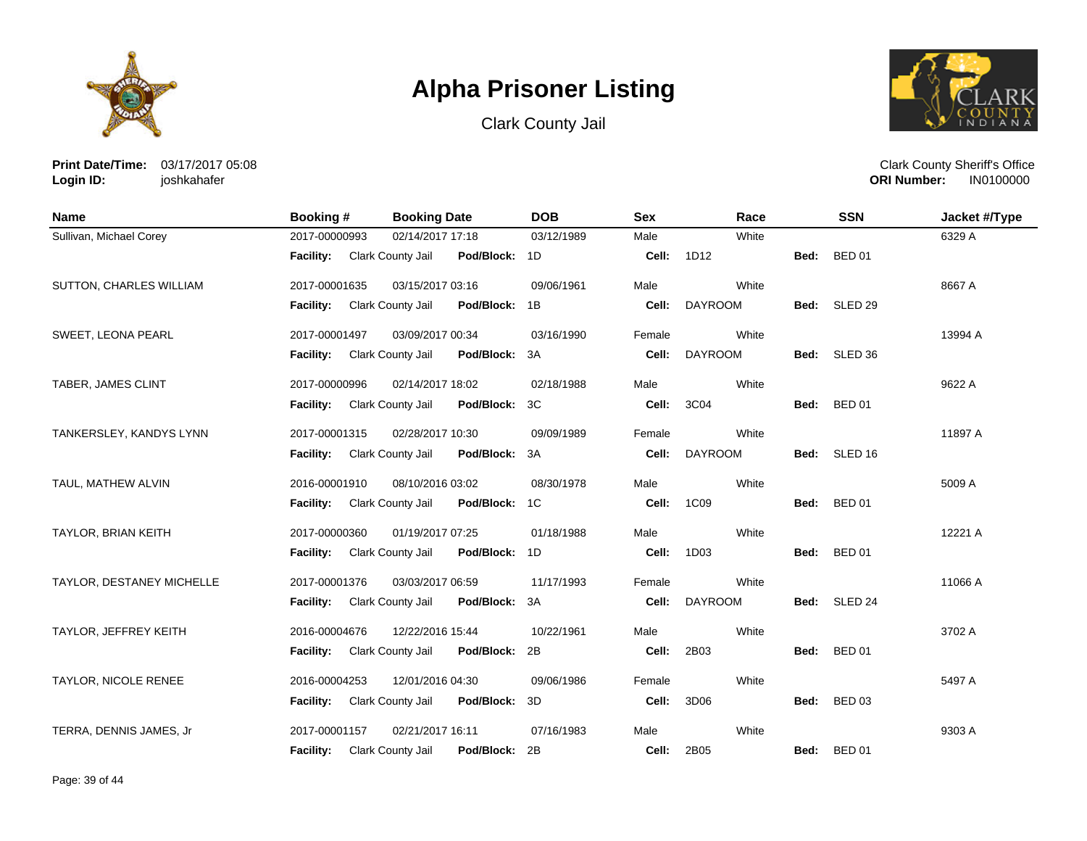





**Print Date/Time:** 03/17/2017 05:08 **Login ID:** joshkahafer

| <b>Name</b>                | Booking #                   | <b>Booking Date</b>                | <b>DOB</b> | <b>Sex</b> | Race           |      | <b>SSN</b>    | Jacket #/Type |
|----------------------------|-----------------------------|------------------------------------|------------|------------|----------------|------|---------------|---------------|
| Sullivan, Michael Corey    | 2017-00000993               | 02/14/2017 17:18                   | 03/12/1989 | Male       | White          |      |               | 6329 A        |
|                            | Facility: Clark County Jail | Pod/Block: 1D                      |            | Cell:      | 1D12           | Bed: | <b>BED 01</b> |               |
| SUTTON, CHARLES WILLIAM    | 2017-00001635               | 03/15/2017 03:16                   | 09/06/1961 | Male       | White          |      |               | 8667 A        |
|                            | <b>Facility:</b>            | Clark County Jail<br>Pod/Block: 1B |            | Cell:      | <b>DAYROOM</b> |      | Bed: SLED 29  |               |
| SWEET, LEONA PEARL         | 2017-00001497               | 03/09/2017 00:34                   | 03/16/1990 | Female     | White          |      |               | 13994 A       |
|                            | <b>Facility:</b>            | Clark County Jail<br>Pod/Block: 3A |            | Cell:      | <b>DAYROOM</b> |      | Bed: SLED 36  |               |
| TABER, JAMES CLINT         | 2017-00000996               | 02/14/2017 18:02                   | 02/18/1988 | Male       | White          |      |               | 9622 A        |
|                            | <b>Facility:</b>            | Clark County Jail<br>Pod/Block: 3C |            | Cell:      | 3C04           | Bed: | <b>BED 01</b> |               |
| TANKERSLEY, KANDYS LYNN    | 2017-00001315               | 02/28/2017 10:30                   | 09/09/1989 | Female     | White          |      |               | 11897 A       |
|                            | <b>Facility:</b>            | Clark County Jail<br>Pod/Block: 3A |            | Cell:      | <b>DAYROOM</b> |      | Bed: SLED 16  |               |
| TAUL, MATHEW ALVIN         | 2016-00001910               | 08/10/2016 03:02                   | 08/30/1978 | Male       | White          |      |               | 5009 A        |
|                            | Facility:                   | Clark County Jail<br>Pod/Block: 1C |            | Cell:      | 1C09           | Bed: | <b>BED 01</b> |               |
| <b>TAYLOR, BRIAN KEITH</b> | 2017-00000360               | 01/19/2017 07:25                   | 01/18/1988 | Male       | White          |      |               | 12221 A       |
|                            | Facility:                   | Pod/Block: 1D<br>Clark County Jail |            | Cell:      | 1D03           | Bed: | <b>BED 01</b> |               |
| TAYLOR, DESTANEY MICHELLE  | 2017-00001376               | 03/03/2017 06:59                   | 11/17/1993 | Female     | White          |      |               | 11066 A       |
|                            | <b>Facility:</b>            | Clark County Jail<br>Pod/Block: 3A |            | Cell:      | <b>DAYROOM</b> |      | Bed: SLED 24  |               |
| TAYLOR, JEFFREY KEITH      | 2016-00004676               | 12/22/2016 15:44                   | 10/22/1961 | Male       | White          |      |               | 3702 A        |
|                            | <b>Facility:</b>            | Clark County Jail<br>Pod/Block: 2B |            | Cell:      | 2B03           | Bed: | <b>BED 01</b> |               |
| TAYLOR, NICOLE RENEE       | 2016-00004253               | 12/01/2016 04:30                   | 09/06/1986 | Female     | White          |      |               | 5497 A        |
|                            | Facility:                   | Clark County Jail<br>Pod/Block: 3D |            | Cell:      | 3D06           | Bed: | <b>BED 03</b> |               |
| TERRA, DENNIS JAMES, Jr    | 2017-00001157               | 02/21/2017 16:11                   | 07/16/1983 | Male       | White          |      |               | 9303 A        |
|                            | <b>Facility:</b>            | Pod/Block: 2B<br>Clark County Jail |            | Cell:      | 2B05           | Bed: | <b>BED 01</b> |               |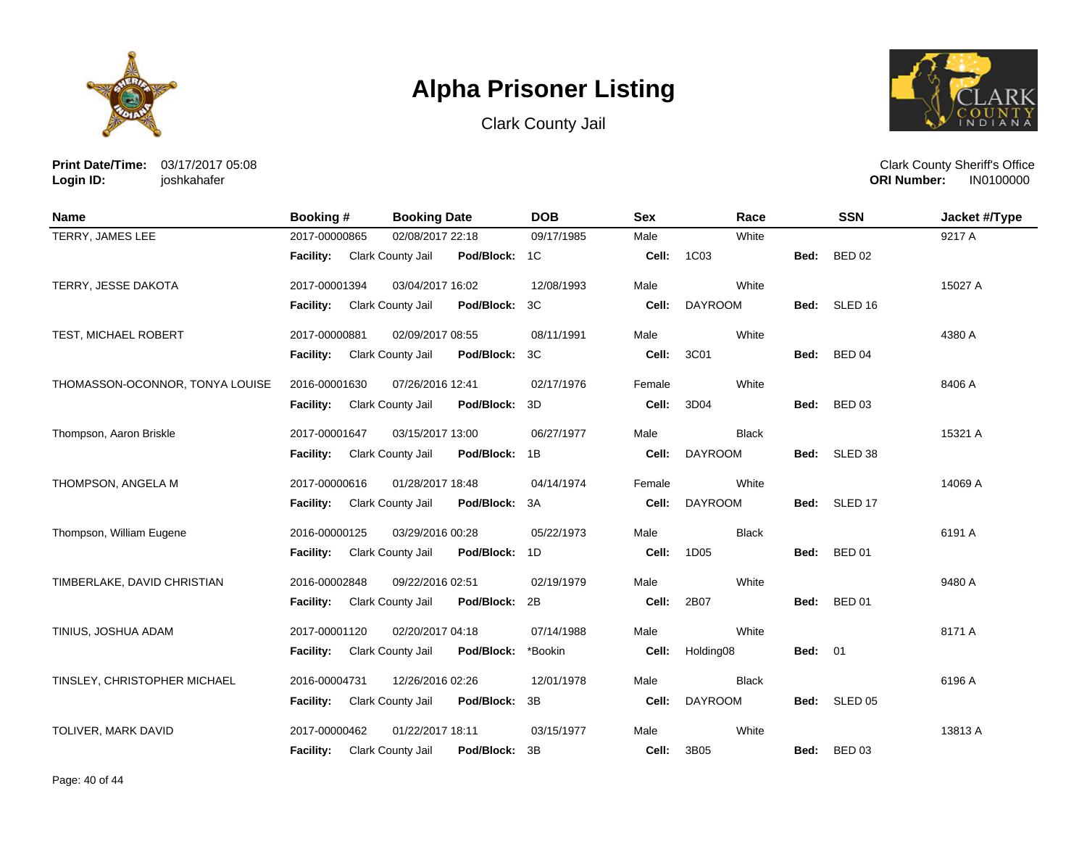





**Print Date/Time:** 03/17/2017 05:08 **Login ID:** joshkahafer

| <b>Name</b>                     | <b>Booking#</b>  | <b>Booking Date</b>      |               | <b>DOB</b> | <b>Sex</b> | Race           |                | <b>SSN</b>         | Jacket #/Type |
|---------------------------------|------------------|--------------------------|---------------|------------|------------|----------------|----------------|--------------------|---------------|
| TERRY, JAMES LEE                | 2017-00000865    | 02/08/2017 22:18         |               | 09/17/1985 | Male       | White          |                |                    | 9217 A        |
|                                 | <b>Facility:</b> | Clark County Jail        | Pod/Block: 1C |            | Cell:      | 1C03           | Bed:           | <b>BED 02</b>      |               |
| TERRY, JESSE DAKOTA             | 2017-00001394    | 03/04/2017 16:02         |               | 12/08/1993 | Male       | White          |                |                    | 15027 A       |
|                                 | <b>Facility:</b> | Clark County Jail        | Pod/Block:    | 3C         | Cell:      | <b>DAYROOM</b> | Bed:           | SLED <sub>16</sub> |               |
| TEST, MICHAEL ROBERT            | 2017-00000881    | 02/09/2017 08:55         |               | 08/11/1991 | Male       | White          |                |                    | 4380 A        |
|                                 | Facility:        | Clark County Jail        | Pod/Block:    | 3C         | Cell:      | 3C01           | Bed:           | <b>BED 04</b>      |               |
| THOMASSON-OCONNOR, TONYA LOUISE | 2016-00001630    | 07/26/2016 12:41         |               | 02/17/1976 | Female     | White          |                |                    | 8406 A        |
|                                 | <b>Facility:</b> | Clark County Jail        | Pod/Block:    | 3D         | Cell:      | 3D04           | Bed:           | <b>BED 03</b>      |               |
| Thompson, Aaron Briskle         | 2017-00001647    | 03/15/2017 13:00         |               | 06/27/1977 | Male       | <b>Black</b>   |                |                    | 15321 A       |
|                                 | <b>Facility:</b> | Clark County Jail        | Pod/Block:    | 1B         | Cell:      | <b>DAYROOM</b> | Bed:           | SLED 38            |               |
| THOMPSON, ANGELA M              | 2017-00000616    | 01/28/2017 18:48         |               | 04/14/1974 | Female     | White          |                |                    | 14069 A       |
|                                 | <b>Facility:</b> | Clark County Jail        | Pod/Block:    | 3A         | Cell:      | <b>DAYROOM</b> | Bed:           | SLED 17            |               |
| Thompson, William Eugene        | 2016-00000125    | 03/29/2016 00:28         |               | 05/22/1973 | Male       | <b>Black</b>   |                |                    | 6191 A        |
|                                 | <b>Facility:</b> | Clark County Jail        | Pod/Block:    | 1D         | Cell:      | 1D05           | Bed:           | <b>BED 01</b>      |               |
| TIMBERLAKE, DAVID CHRISTIAN     | 2016-00002848    | 09/22/2016 02:51         |               | 02/19/1979 | Male       | White          |                |                    | 9480 A        |
|                                 | Facility:        | Clark County Jail        | Pod/Block:    | 2B         | Cell:      | 2B07           | Bed:           | <b>BED 01</b>      |               |
| TINIUS, JOSHUA ADAM             | 2017-00001120    | 02/20/2017 04:18         |               | 07/14/1988 | Male       | White          |                |                    | 8171 A        |
|                                 | Facility:        | <b>Clark County Jail</b> | Pod/Block:    | *Bookin    | Cell:      | Holding08      | <b>Bed: 01</b> |                    |               |
| TINSLEY, CHRISTOPHER MICHAEL    | 2016-00004731    | 12/26/2016 02:26         |               | 12/01/1978 | Male       | <b>Black</b>   |                |                    | 6196 A        |
|                                 | Facility:        | Clark County Jail        | Pod/Block:    | 3B         | Cell:      | <b>DAYROOM</b> | Bed:           | SLED <sub>05</sub> |               |
| TOLIVER, MARK DAVID             | 2017-00000462    | 01/22/2017 18:11         |               | 03/15/1977 | Male       | White          |                |                    | 13813 A       |
|                                 | <b>Facility:</b> | Clark County Jail        | Pod/Block:    | 3B         | Cell:      | 3B05           | Bed:           | <b>BED 03</b>      |               |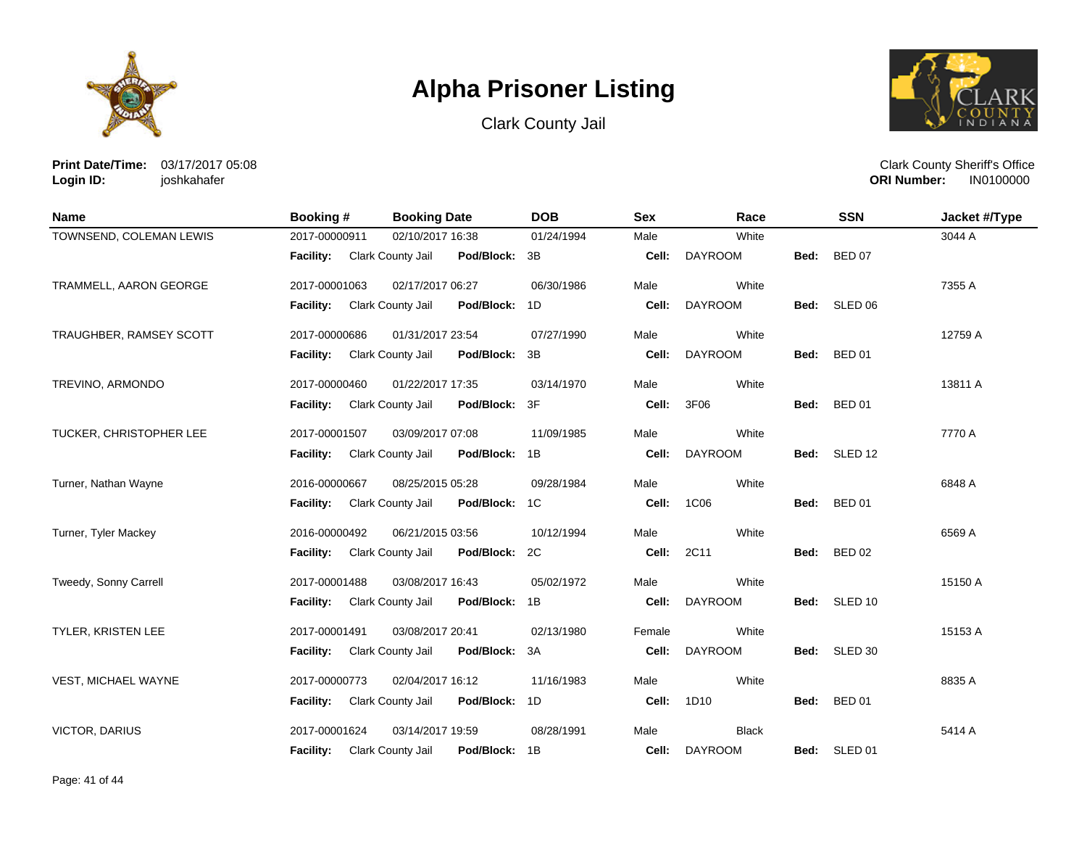





**Print Date/Time:** 03/17/2017 05:08 **Login ID:** joshkahafer

| <b>Name</b>               | Booking #        | <b>Booking Date</b>                | <b>DOB</b> | <b>Sex</b> | Race           |      | <b>SSN</b>    | Jacket #/Type |
|---------------------------|------------------|------------------------------------|------------|------------|----------------|------|---------------|---------------|
| TOWNSEND, COLEMAN LEWIS   | 2017-00000911    | 02/10/2017 16:38                   | 01/24/1994 | Male       | White          |      |               | 3044 A        |
|                           | Facility:        | Clark County Jail<br>Pod/Block: 3B |            | Cell:      | <b>DAYROOM</b> | Bed: | <b>BED 07</b> |               |
| TRAMMELL, AARON GEORGE    | 2017-00001063    | 02/17/2017 06:27                   | 06/30/1986 | Male       | White          |      |               | 7355 A        |
|                           | <b>Facility:</b> | Clark County Jail<br>Pod/Block: 1D |            | Cell:      | <b>DAYROOM</b> |      | Bed: SLED 06  |               |
| TRAUGHBER, RAMSEY SCOTT   | 2017-00000686    | 01/31/2017 23:54                   | 07/27/1990 | Male       | White          |      |               | 12759 A       |
|                           | Facility:        | Pod/Block: 3B<br>Clark County Jail |            | Cell:      | <b>DAYROOM</b> | Bed: | <b>BED 01</b> |               |
| TREVINO, ARMONDO          | 2017-00000460    | 01/22/2017 17:35                   | 03/14/1970 | Male       | White          |      |               | 13811 A       |
|                           | <b>Facility:</b> | Clark County Jail<br>Pod/Block: 3F |            | Cell:      | 3F06           | Bed: | <b>BED 01</b> |               |
| TUCKER, CHRISTOPHER LEE   | 2017-00001507    | 03/09/2017 07:08                   | 11/09/1985 | Male       | White          |      |               | 7770 A        |
|                           | <b>Facility:</b> | Pod/Block: 1B<br>Clark County Jail |            | Cell:      | <b>DAYROOM</b> |      | Bed: SLED 12  |               |
| Turner, Nathan Wayne      | 2016-00000667    | 08/25/2015 05:28                   | 09/28/1984 | Male       | White          |      |               | 6848 A        |
|                           | <b>Facility:</b> | Clark County Jail<br>Pod/Block: 1C |            | Cell:      | 1C06           | Bed: | <b>BED 01</b> |               |
| Turner, Tyler Mackey      | 2016-00000492    | 06/21/2015 03:56                   | 10/12/1994 | Male       | White          |      |               | 6569 A        |
|                           | <b>Facility:</b> | Clark County Jail<br>Pod/Block: 2C |            | Cell:      | 2C11           | Bed: | <b>BED 02</b> |               |
| Tweedy, Sonny Carrell     | 2017-00001488    | 03/08/2017 16:43                   | 05/02/1972 | Male       | White          |      |               | 15150 A       |
|                           | <b>Facility:</b> | Clark County Jail<br>Pod/Block: 1B |            | Cell:      | <b>DAYROOM</b> |      | Bed: SLED 10  |               |
| <b>TYLER, KRISTEN LEE</b> | 2017-00001491    | 03/08/2017 20:41                   | 02/13/1980 | Female     | White          |      |               | 15153 A       |
|                           | <b>Facility:</b> | Pod/Block: 3A<br>Clark County Jail |            | Cell:      | <b>DAYROOM</b> | Bed: | SLED 30       |               |
| VEST, MICHAEL WAYNE       | 2017-00000773    | 02/04/2017 16:12                   | 11/16/1983 | Male       | White          |      |               | 8835 A        |
|                           | <b>Facility:</b> | Clark County Jail<br>Pod/Block: 1D |            | Cell:      | 1D10           | Bed: | <b>BED 01</b> |               |
| <b>VICTOR, DARIUS</b>     | 2017-00001624    | 03/14/2017 19:59                   | 08/28/1991 | Male       | <b>Black</b>   |      |               | 5414 A        |
|                           | <b>Facility:</b> | Pod/Block: 1B<br>Clark County Jail |            | Cell:      | <b>DAYROOM</b> |      | Bed: SLED 01  |               |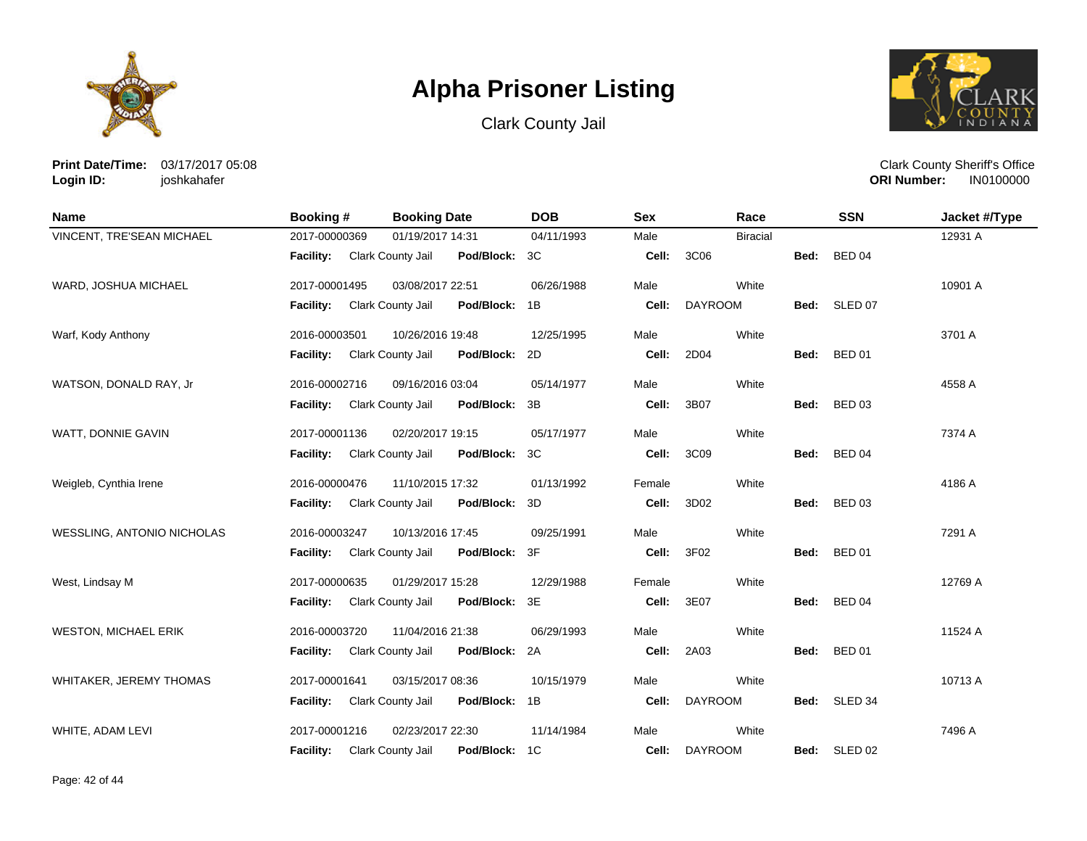





**Print Date/Time:** 03/17/2017 05:08 **Login ID:** joshkahafer

| <b>Name</b>                 | <b>Booking#</b>  | <b>Booking Date</b>                | <b>DOB</b> | <b>Sex</b> | Race            |      | <b>SSN</b>    | Jacket #/Type |
|-----------------------------|------------------|------------------------------------|------------|------------|-----------------|------|---------------|---------------|
| VINCENT, TRE'SEAN MICHAEL   | 2017-00000369    | 01/19/2017 14:31                   | 04/11/1993 | Male       | <b>Biracial</b> |      |               | 12931 A       |
|                             | Facility:        | Pod/Block: 3C<br>Clark County Jail |            | Cell:      | 3C06            | Bed: | <b>BED 04</b> |               |
| WARD, JOSHUA MICHAEL        | 2017-00001495    | 03/08/2017 22:51                   | 06/26/1988 | Male       | White           |      |               | 10901 A       |
|                             | Facility:        | Clark County Jail<br>Pod/Block: 1B |            | Cell:      | <b>DAYROOM</b>  |      | Bed: SLED 07  |               |
| Warf, Kody Anthony          | 2016-00003501    | 10/26/2016 19:48                   | 12/25/1995 | Male       | White           |      |               | 3701 A        |
|                             | Facility:        | Clark County Jail<br>Pod/Block: 2D |            | Cell:      | 2D04            | Bed: | <b>BED 01</b> |               |
| WATSON, DONALD RAY, Jr      | 2016-00002716    | 09/16/2016 03:04                   | 05/14/1977 | Male       | White           |      |               | 4558 A        |
|                             | Facility:        | Clark County Jail<br>Pod/Block: 3B |            | Cell:      | 3B07            | Bed: | <b>BED 03</b> |               |
| WATT, DONNIE GAVIN          | 2017-00001136    | 02/20/2017 19:15                   | 05/17/1977 | Male       | White           |      |               | 7374 A        |
|                             | <b>Facility:</b> | Clark County Jail<br>Pod/Block: 3C |            | Cell:      | 3C09            | Bed: | <b>BED 04</b> |               |
| Weigleb, Cynthia Irene      | 2016-00000476    | 11/10/2015 17:32                   | 01/13/1992 | Female     | White           |      |               | 4186 A        |
|                             | <b>Facility:</b> | Clark County Jail<br>Pod/Block: 3D |            | Cell:      | 3D02            | Bed: | <b>BED 03</b> |               |
| WESSLING, ANTONIO NICHOLAS  | 2016-00003247    | 10/13/2016 17:45                   | 09/25/1991 | Male       | White           |      |               | 7291 A        |
|                             | <b>Facility:</b> | Clark County Jail<br>Pod/Block: 3F |            | Cell:      | 3F02            | Bed: | <b>BED 01</b> |               |
| West, Lindsay M             | 2017-00000635    | 01/29/2017 15:28                   | 12/29/1988 | Female     | White           |      |               | 12769 A       |
|                             | Facility:        | Pod/Block: 3E<br>Clark County Jail |            | Cell:      | 3E07            | Bed: | <b>BED 04</b> |               |
| <b>WESTON, MICHAEL ERIK</b> | 2016-00003720    | 11/04/2016 21:38                   | 06/29/1993 | Male       | White           |      |               | 11524 A       |
|                             | <b>Facility:</b> | Clark County Jail<br>Pod/Block: 2A |            | Cell:      | 2A03            | Bed: | <b>BED 01</b> |               |
| WHITAKER, JEREMY THOMAS     | 2017-00001641    | 03/15/2017 08:36                   | 10/15/1979 | Male       | White           |      |               | 10713 A       |
|                             | <b>Facility:</b> | Clark County Jail<br>Pod/Block: 1B |            | Cell:      | <b>DAYROOM</b>  |      | Bed: SLED 34  |               |
| WHITE, ADAM LEVI            | 2017-00001216    | 02/23/2017 22:30                   | 11/14/1984 | Male       | White           |      |               | 7496 A        |
|                             | <b>Facility:</b> | Pod/Block:<br>Clark County Jail    | 1C         | Cell:      | <b>DAYROOM</b>  | Bed: | SLED 02       |               |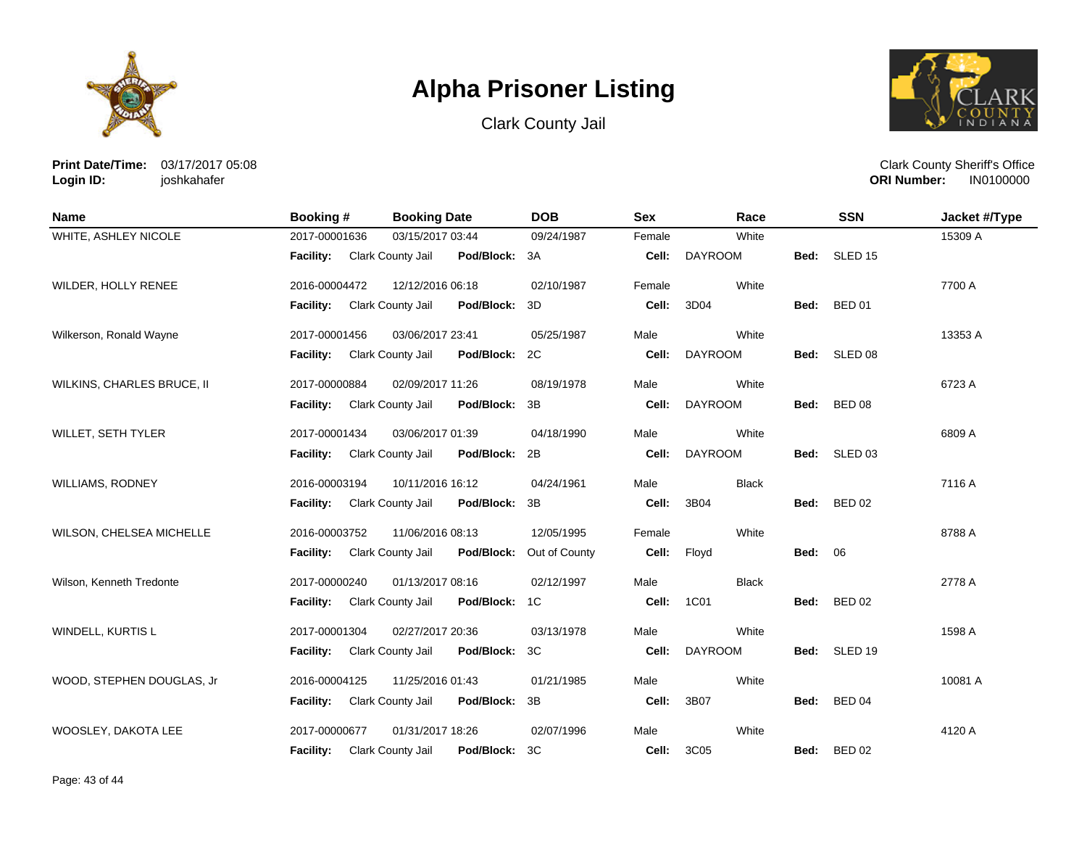





**Print Date/Time:** 03/17/2017 05:08 **Login ID:** joshkahafer

| <b>Name</b>                | Booking #        | <b>Booking Date</b>                | <b>DOB</b>    | <b>Sex</b> | Race           |                | <b>SSN</b>         | Jacket #/Type |
|----------------------------|------------------|------------------------------------|---------------|------------|----------------|----------------|--------------------|---------------|
| WHITE, ASHLEY NICOLE       | 2017-00001636    | 03/15/2017 03:44                   | 09/24/1987    | Female     | White          |                |                    | 15309 A       |
|                            | Facility:        | Clark County Jail<br>Pod/Block: 3A |               | Cell:      | DAYROOM        | Bed:           | SLED <sub>15</sub> |               |
| WILDER, HOLLY RENEE        | 2016-00004472    | 12/12/2016 06:18                   | 02/10/1987    | Female     | White          |                |                    | 7700 A        |
|                            | Facility:        | Pod/Block: 3D<br>Clark County Jail |               | Cell:      | 3D04           | Bed:           | <b>BED 01</b>      |               |
| Wilkerson, Ronald Wayne    | 2017-00001456    | 03/06/2017 23:41                   | 05/25/1987    | Male       | White          |                |                    | 13353 A       |
|                            | <b>Facility:</b> | Clark County Jail<br>Pod/Block: 2C |               | Cell:      | <b>DAYROOM</b> |                | Bed: SLED 08       |               |
| WILKINS, CHARLES BRUCE, II | 2017-00000884    | 02/09/2017 11:26                   | 08/19/1978    | Male       | White          |                |                    | 6723 A        |
|                            | <b>Facility:</b> | Clark County Jail<br>Pod/Block: 3B |               | Cell:      | <b>DAYROOM</b> | Bed:           | <b>BED 08</b>      |               |
| WILLET, SETH TYLER         | 2017-00001434    | 03/06/2017 01:39                   | 04/18/1990    | Male       | White          |                |                    | 6809 A        |
|                            | <b>Facility:</b> | Clark County Jail<br>Pod/Block: 2B |               | Cell:      | <b>DAYROOM</b> |                | Bed: SLED 03       |               |
| <b>WILLIAMS, RODNEY</b>    | 2016-00003194    | 10/11/2016 16:12                   | 04/24/1961    | Male       | <b>Black</b>   |                |                    | 7116 A        |
|                            | <b>Facility:</b> | Pod/Block: 3B<br>Clark County Jail |               | Cell:      | 3B04           | Bed:           | <b>BED 02</b>      |               |
| WILSON, CHELSEA MICHELLE   | 2016-00003752    | 11/06/2016 08:13                   | 12/05/1995    | Female     | White          |                |                    | 8788 A        |
|                            | Facility:        | Pod/Block:<br>Clark County Jail    | Out of County | Cell:      | Floyd          | <b>Bed: 06</b> |                    |               |
| Wilson, Kenneth Tredonte   | 2017-00000240    | 01/13/2017 08:16                   | 02/12/1997    | Male       | <b>Black</b>   |                |                    | 2778 A        |
|                            | <b>Facility:</b> | Clark County Jail<br>Pod/Block: 1C |               | Cell:      | 1C01           | Bed:           | <b>BED 02</b>      |               |
| WINDELL, KURTIS L          | 2017-00001304    | 02/27/2017 20:36                   | 03/13/1978    | Male       | White          |                |                    | 1598 A        |
|                            | <b>Facility:</b> | Pod/Block: 3C<br>Clark County Jail |               | Cell:      | <b>DAYROOM</b> | Bed:           | SLED 19            |               |
| WOOD, STEPHEN DOUGLAS, Jr  | 2016-00004125    | 11/25/2016 01:43                   | 01/21/1985    | Male       | White          |                |                    | 10081 A       |
|                            | <b>Facility:</b> | Clark County Jail<br>Pod/Block: 3B |               | Cell:      | 3B07           | Bed:           | <b>BED 04</b>      |               |
| WOOSLEY, DAKOTA LEE        | 2017-00000677    | 01/31/2017 18:26                   | 02/07/1996    | Male       | White          |                |                    | 4120 A        |
|                            | <b>Facility:</b> | Pod/Block:<br>Clark County Jail    | 3C            | Cell:      | 3C05           | Bed:           | <b>BED 02</b>      |               |